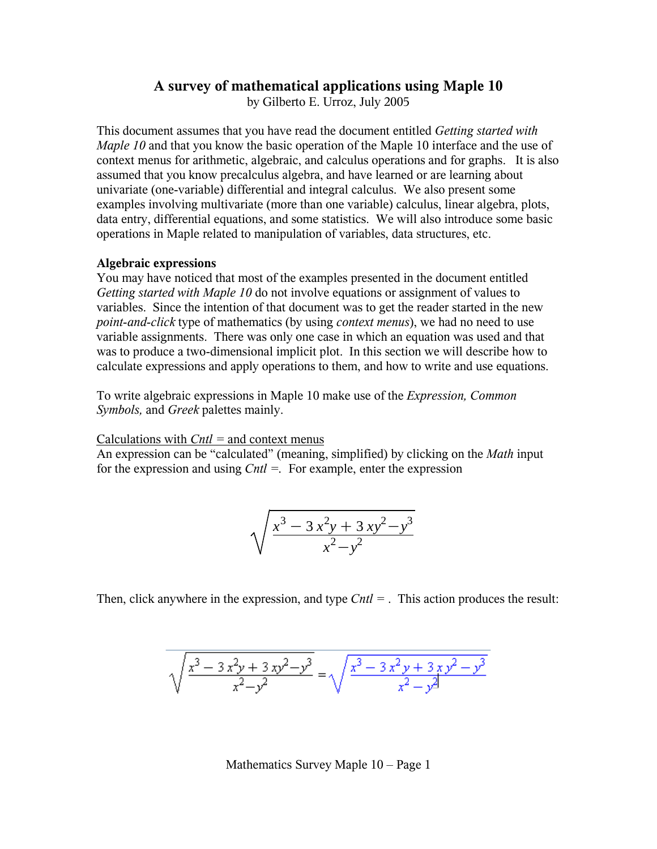## **A survey of mathematical applications using Maple 10**

by Gilberto E. Urroz, July 2005

This document assumes that you have read the document entitled *Getting started with Maple 10* and that you know the basic operation of the Maple 10 interface and the use of context menus for arithmetic, algebraic, and calculus operations and for graphs. It is also assumed that you know precalculus algebra, and have learned or are learning about univariate (one-variable) differential and integral calculus. We also present some examples involving multivariate (more than one variable) calculus, linear algebra, plots, data entry, differential equations, and some statistics. We will also introduce some basic operations in Maple related to manipulation of variables, data structures, etc.

#### **Algebraic expressions**

You may have noticed that most of the examples presented in the document entitled *Getting started with Maple 10* do not involve equations or assignment of values to variables. Since the intention of that document was to get the reader started in the new *point-and-click* type of mathematics (by using *context menus*), we had no need to use variable assignments. There was only one case in which an equation was used and that was to produce a two-dimensional implicit plot. In this section we will describe how to calculate expressions and apply operations to them, and how to write and use equations.

To write algebraic expressions in Maple 10 make use of the *Expression, Common Symbols,* and *Greek* palettes mainly.

Calculations with *Cntl =* and context menus

An expression can be "calculated" (meaning, simplified) by clicking on the *Math* input for the expression and using *Cntl =.* For example, enter the expression

$$
\sqrt{\frac{x^3 - 3x^2y + 3xy^2 - y^3}{x^2 - y^2}}
$$

Then, click anywhere in the expression, and type *Cntl =* . This action produces the result:

$$
\sqrt{\frac{x^3 - 3x^2y + 3xy^2 - y^3}{x^2 - y^2}} = \sqrt{\frac{x^3 - 3x^2y + 3xy^2 - y^3}{x^2 - y^2}}
$$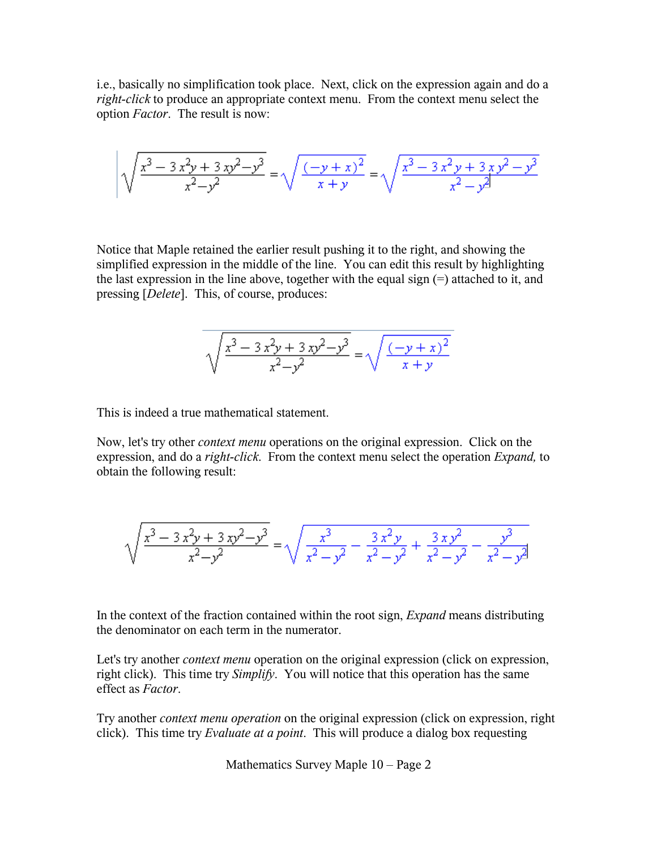i.e., basically no simplification took place. Next, click on the expression again and do a *right-click* to produce an appropriate context menu. From the context menu select the option *Factor*. The result is now:

$$
\sqrt{\frac{x^3 - 3x^2y + 3xy^2 - y^3}{x^2 - y^2}} = \sqrt{\frac{(-y + x)^2}{x + y}} = \sqrt{\frac{x^3 - 3x^2y + 3xy^2 - y^3}{x^2 - y^2}}
$$

Notice that Maple retained the earlier result pushing it to the right, and showing the simplified expression in the middle of the line. You can edit this result by highlighting the last expression in the line above, together with the equal sign (=) attached to it, and pressing [*Delete*]. This, of course, produces:

$$
\sqrt{\frac{x^3 - 3x^2y + 3xy^2 - y^3}{x^2 - y^2}} = \sqrt{\frac{(-y + x)^2}{x + y}}
$$

This is indeed a true mathematical statement.

Now, let's try other *context menu* operations on the original expression. Click on the expression, and do a *right-click*. From the context menu select the operation *Expand,* to obtain the following result:

$$
\sqrt{\frac{x^3 - 3x^2y + 3xy^2 - y^3}{x^2 - y^2}} = \sqrt{\frac{x^3}{x^2 - y^2} - \frac{3x^2y}{x^2 - y^2} + \frac{3xy^2}{x^2 - y^2} - \frac{y^3}{x^2 - y^2}}
$$

In the context of the fraction contained within the root sign, *Expand* means distributing the denominator on each term in the numerator.

Let's try another *context menu* operation on the original expression (click on expression, right click). This time try *Simplify*. You will notice that this operation has the same effect as *Factor*.

Try another *context menu operation* on the original expression (click on expression, right click). This time try *Evaluate at a point*. This will produce a dialog box requesting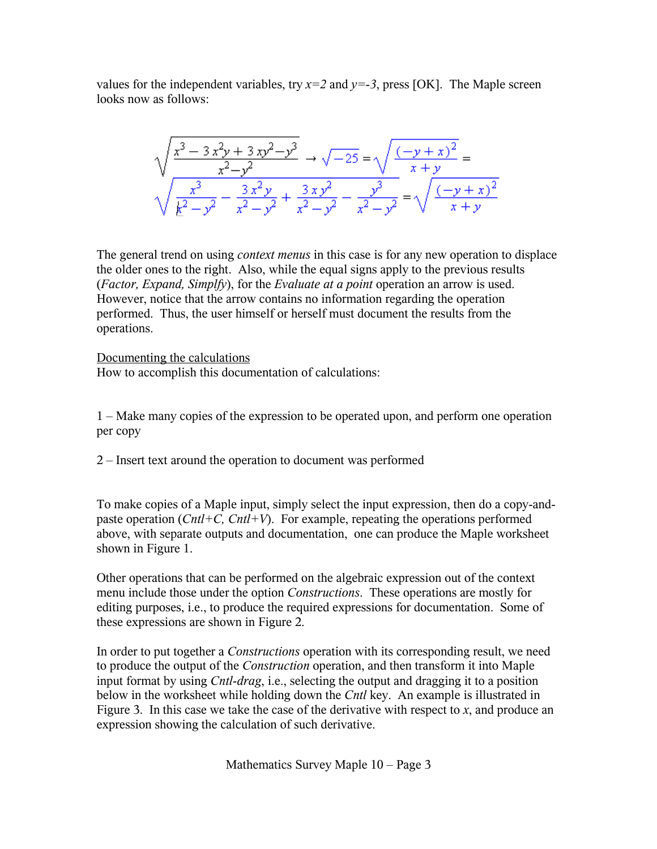values for the independent variables, try  $x=2$  and  $y=-3$ , press [OK]. The Maple screen looks now as follows:

$$
\sqrt{\frac{x^3 - 3x^2y + 3xy^2 - y^3}{x^2 - y^2}} \rightarrow \sqrt{-25} = \sqrt{\frac{(-y + x)^2}{x + y}} =
$$
  

$$
\sqrt{\frac{x^3}{k^2 - y^2} - \frac{3x^2y}{x^2 - y^2} + \frac{3xy^2}{x^2 - y^2} - \frac{y^3}{x^2 - y^2}} = \sqrt{\frac{(-y + x)^2}{x + y}}
$$

The general trend on using *context menus* in this case is for any new operation to displace the older ones to the right. Also, while the equal signs apply to the previous results (*Factor, Expand, Simplfy*), for the *Evaluate at a point* operation an arrow is used. However, notice that the arrow contains no information regarding the operation performed. Thus, the user himself or herself must document the results from the operations.

Documenting the calculations How to accomplish this documentation of calculations:

1 – Make many copies of the expression to be operated upon, and perform one operation per copy

2 – Insert text around the operation to document was performed

To make copies of a Maple input, simply select the input expression, then do a copy-andpaste operation (*Cntl+C, Cntl+V*). For example, repeating the operations performed above, with separate outputs and documentation, one can produce the Maple worksheet shown in Figure 1.

Other operations that can be performed on the algebraic expression out of the context menu include those under the option *Constructions*. These operations are mostly for editing purposes, i.e., to produce the required expressions for documentation. Some of these expressions are shown in Figure 2.

In order to put together a *Constructions* operation with its corresponding result, we need to produce the output of the *Construction* operation, and then transform it into Maple input format by using *Cntl-drag*, i.e., selecting the output and dragging it to a position below in the worksheet while holding down the *Cntl* key. An example is illustrated in Figure 3. In this case we take the case of the derivative with respect to  $x$ , and produce an expression showing the calculation of such derivative.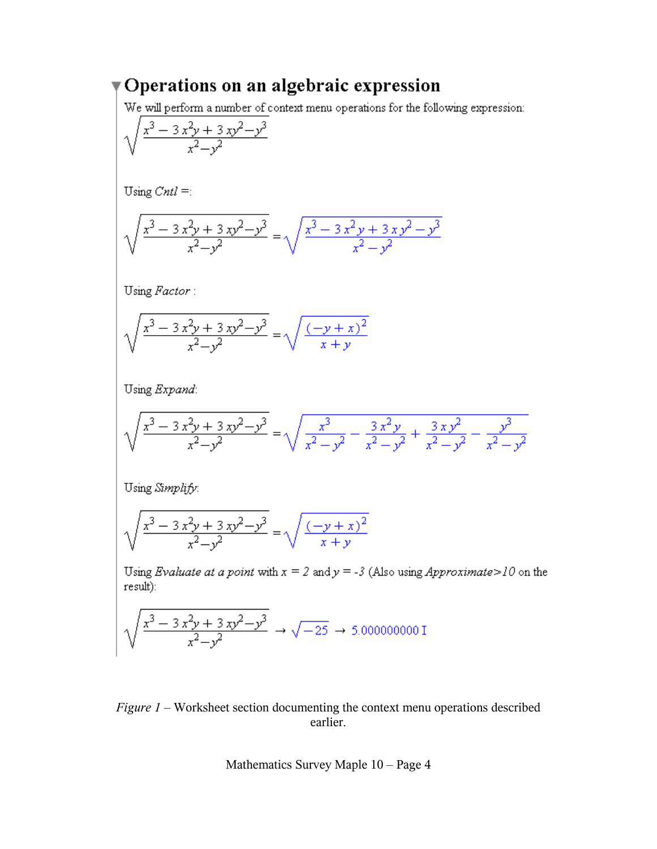# Operations on an algebraic expression

We will perform a number of context menu operations for the following expression:

$$
\sqrt{\frac{x^3 - 3x^2y + 3xy^2 - y^3}{x^2 - y^2}}
$$

Using  $Cntl =$ :

$$
\sqrt{\frac{x^3 - 3x^2y + 3xy^2 - y^3}{x^2 - y^2}} = \sqrt{\frac{x^3 - 3x^2y + 3xy^2 - y^3}{x^2 - y^2}}
$$

Using Factor:

$$
\sqrt{\frac{x^3 - 3x^2y + 3xy^2 - y^3}{x^2 - y^2}} = \sqrt{\frac{(-y + x)^2}{x + y}}
$$

Using Expand:

$$
\sqrt{\frac{x^3 - 3x^2y + 3xy^2 - y^3}{x^2 - y^2}} = \sqrt{\frac{x^3}{x^2 - y^2} - \frac{3x^2y}{x^2 - y^2} + \frac{3xy^2}{x^2 - y^2} - \frac{y^3}{x^2 - y^2}}
$$

Using Simplify:

$$
\sqrt{\frac{x^3 - 3x^2y + 3xy^2 - y^3}{x^2 - y^2}} = \sqrt{\frac{(-y + x)^2}{x + y}}
$$

Using *Evaluate at a point* with  $x = 2$  and  $y = -3$  (Also using *Approximate*>10 on the result):

$$
\sqrt{\frac{x^3 - 3x^2y + 3xy^2 - y^3}{x^2 - y^2}} \rightarrow \sqrt{-25} \rightarrow 5.0000000001
$$

## Figure  $1$  – Worksheet section documenting the context menu operations described earlier.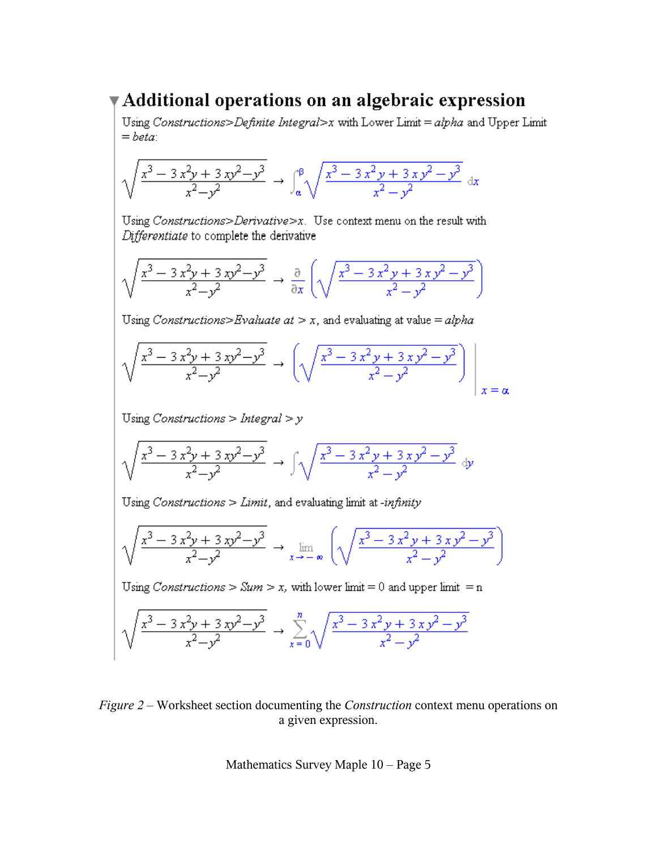## $\blacktriangledown$  Additional operations on an algebraic expression

Using Constructions>Definite Integral>x with Lower Limit = alpha and Upper Limit  $= beta$ 

$$
\sqrt{\frac{x^3 - 3x^2y + 3xy^2 - y^3}{x^2 - y^2}} \rightarrow \int_a^{\beta} \sqrt{\frac{x^3 - 3x^2y + 3xy^2 - y^3}{x^2 - y^2}} dx
$$

Using Constructions>Derivative> $x$ . Use context menu on the result with Differentiate to complete the derivative

$$
\sqrt{\frac{x^3 - 3x^2y + 3xy^2 - y^3}{x^2 - y^2}} \rightarrow \frac{\partial}{\partial x} \left( \sqrt{\frac{x^3 - 3x^2y + 3xy^2 - y^3}{x^2 - y^2}} \right)
$$

Using Constructions>Evaluate at > x, and evaluating at value =  $alpha$ 

$$
\sqrt{\frac{x^3 - 3x^2y + 3xy^2 - y^3}{x^2 - y^2}} \rightarrow \left(\sqrt{\frac{x^3 - 3x^2y + 3xy^2 - y^3}{x^2 - y^2}}\right)\Big|_{x = \alpha}
$$

Using Constructions > Integral >  $y$ 

$$
\sqrt{\frac{x^3 - 3x^2y + 3xy^2 - y^3}{x^2 - y^2}} \rightarrow \int \sqrt{\frac{x^3 - 3x^2y + 3xy^2 - y^3}{x^2 - y^2}} \, dy
$$

Using Constructions  $>$  Limit, and evaluating limit at -infinity

$$
\sqrt{\frac{x^3 - 3x^2y + 3xy^2 - y^3}{x^2 - y^2}} \rightarrow \lim_{x \to -\infty} \left( \sqrt{\frac{x^3 - 3x^2y + 3xy^2 - y^3}{x^2 - y^2}} \right)
$$

Using Constructions > Sum > x, with lower limit = 0 and upper limit = n

$$
\sqrt{\frac{x^3 - 3x^2y + 3xy^2 - y^3}{x^2 - y^2}} \rightarrow \sum_{x=0}^{n} \sqrt{\frac{x^3 - 3x^2y + 3xy^2 - y^3}{x^2 - y^2}}
$$

Figure 2 – Worksheet section documenting the Construction context menu operations on a given expression.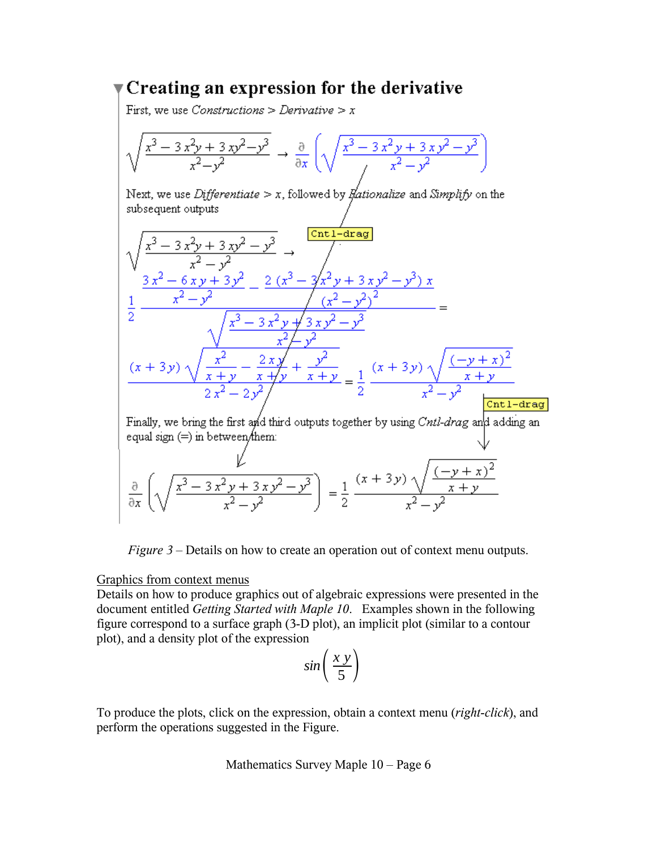## $\blacktriangledown$  Creating an expression for the derivative

First, we use *Constructions* > *Derivative* >  $x$ 

$$
\sqrt{\frac{x^3 - 3x^2y + 3xy^2 - y^3}{x^2 - y^2}} \rightarrow \frac{\partial}{\partial x} \left( \sqrt{\frac{x^3 - 3x^2y + 3xy^2 - y^3}{y^2 - y^2}} \right)
$$

Next, we use *Differentiate* > x, followed by *flationalize* and *Simplify* on the subsequent outputs

$$
\sqrt{\frac{x^3 - 3x^2y + 3xy^2 - y^3}{x^2 - y^2}} \rightarrow \frac{\text{[Cnt1-drag]}}{\frac{3x^2 - 6xy + 3y^2}{x^2 - y^2}} = \frac{2(x^3 - 3x^2y + 3xy^2 - y^3)x}{(x^2 - y^2)^2}
$$
\n
$$
\frac{1}{2} \frac{\sqrt{x^3 - 3x^2y + 3xy^2 - y^3}}{\sqrt{x^3 - 3x^2y + 3xy^2 - y^3}} = \frac{\sqrt{x^3 - 3x^2y + 3xy^2 - y^3}}{x^2 - y^2}
$$
\n
$$
\frac{(x + 3y)\sqrt{\frac{x^2}{x + y} - \frac{2xy}{x + y} + \frac{y^2}{x + y}}}{2x^2 - 2y^2}
$$
\nFinally, we bring the first and third outputs together by using *Cntl-drag* and adding an equal sign (=) in between them:  
\n
$$
\frac{\partial}{\partial x} \left( \sqrt{\frac{x^3 - 3x^2y + 3xy^2 - y^3}{x^2 - y^2}} \right) = \frac{1}{2} \frac{(x + 3y)\sqrt{\frac{(-y + x)^2}{x + y}}}{x^2 - y^2}
$$

*Figure 3* – Details on how to create an operation out of context menu outputs.

### Graphics from context menus

Details on how to produce graphics out of algebraic expressions were presented in the document entitled *Getting Started with Maple 10*. Examples shown in the following figure correspond to a surface graph (3-D plot), an implicit plot (similar to a contour plot), and a density plot of the expression

$$
sin\left(\frac{x y}{5}\right)
$$

To produce the plots, click on the expression, obtain a context menu (*right-click*), and perform the operations suggested in the Figure.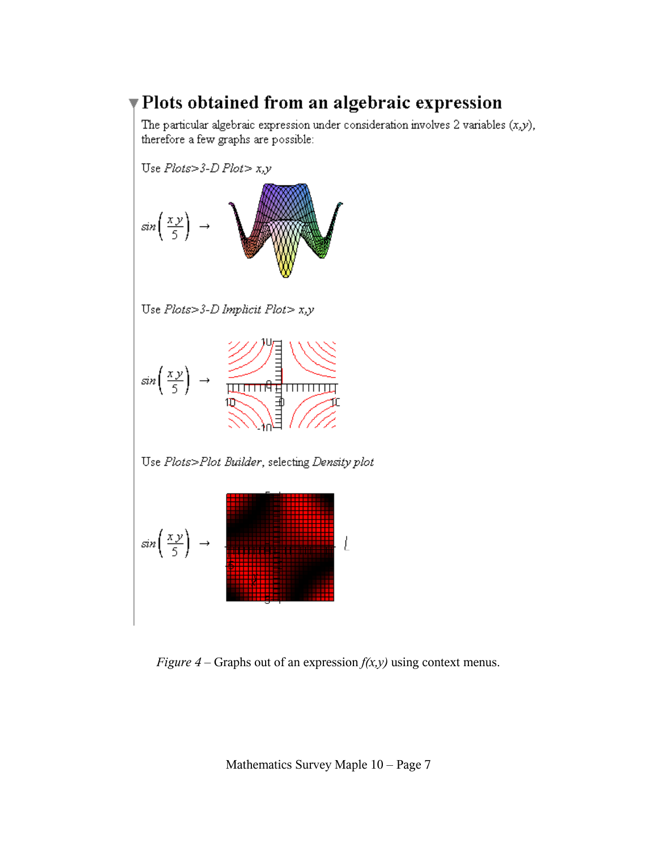# Plots obtained from an algebraic expression

The particular algebraic expression under consideration involves 2 variables  $(x, y)$ , therefore a few graphs are possible:

Use  $Plots > 3-D$   $Plots > x, y$  $\frac{x y}{x}$  $sin($ 

Use  $Plots > 3-D$  Implicit  $Plots > x, y$ 



Use Plots>Plot Builder, selecting Density plot



*Figure 4 –* Graphs out of an expression *f(x,y)* using context menus.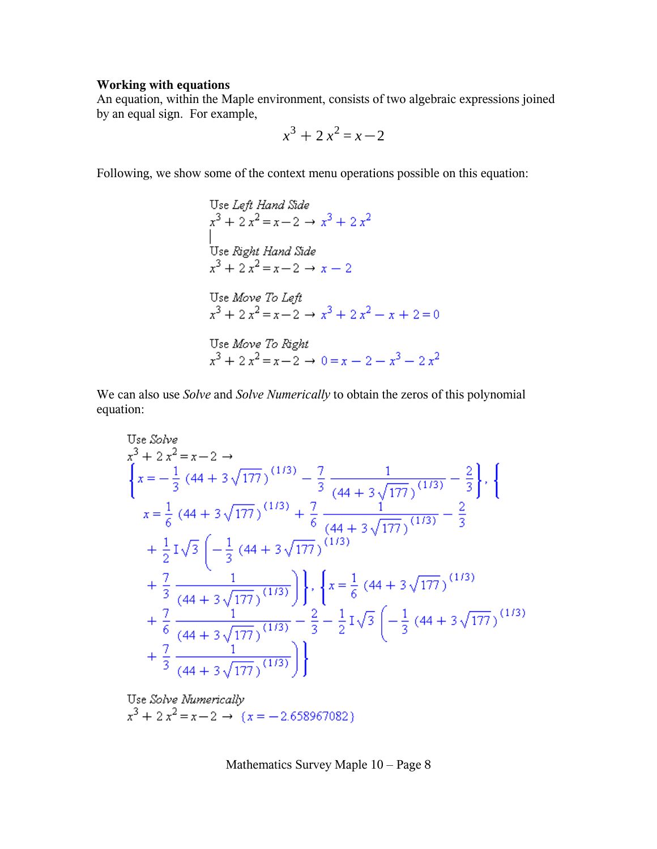## **Working with equations**

An equation, within the Maple environment, consists of two algebraic expressions joined by an equal sign. For example,

$$
x^3 + 2x^2 = x - 2
$$

Following, we show some of the context menu operations possible on this equation:

Use Left Hand Side  
\n
$$
x^3 + 2x^2 = x - 2 \rightarrow x^3 + 2x^2
$$
  
\nUse Right Hand Side  
\n $x^3 + 2x^2 = x - 2 \rightarrow x - 2$   
\nUse Move To Left  
\n $x^3 + 2x^2 = x - 2 \rightarrow x^3 + 2x^2 - x + 2 = 0$   
\nUse Move To Right  
\n $x^3 + 2x^2 = x - 2 \rightarrow 0 = x - 2 - x^3 - 2x^2$ 

We can also use *Solve* and *Solve Numerically* to obtain the zeros of this polynomial equation:

Use Solve  
\n
$$
x^{3} + 2x^{2} = x - 2 \rightarrow
$$
\n
$$
\left\{ x = -\frac{1}{3} (44 + 3\sqrt{177})^{(1/3)} - \frac{7}{3} \frac{1}{(44 + 3\sqrt{177})^{(1/3)}} - \frac{2}{3} \right\}, \left\{ x = \frac{1}{6} (44 + 3\sqrt{177})^{(1/3)} + \frac{7}{6} \frac{1}{(44 + 3\sqrt{177})^{(1/3)}} - \frac{2}{3} \right\}
$$
\n
$$
+ \frac{1}{2} I \sqrt{3} \left( -\frac{1}{3} (44 + 3\sqrt{177})^{(1/3)} + \frac{7}{3} \frac{1}{(44 + 3\sqrt{177})^{(1/3)}} \right) \right\}, \left\{ x = \frac{1}{6} (44 + 3\sqrt{177})^{(1/3)} + \frac{7}{6} \frac{1}{(44 + 3\sqrt{177})^{(1/3)}} - \frac{2}{3} - \frac{1}{2} I \sqrt{3} \left( -\frac{1}{3} (44 + 3\sqrt{177})^{(1/3)} + \frac{7}{3} \frac{1}{(44 + 3\sqrt{177})^{(1/3)}} \right) \right\}
$$

Use Solve Numerically<br> $x^3 + 2x^2 = x - 2 \rightarrow (x = -2.658967082)$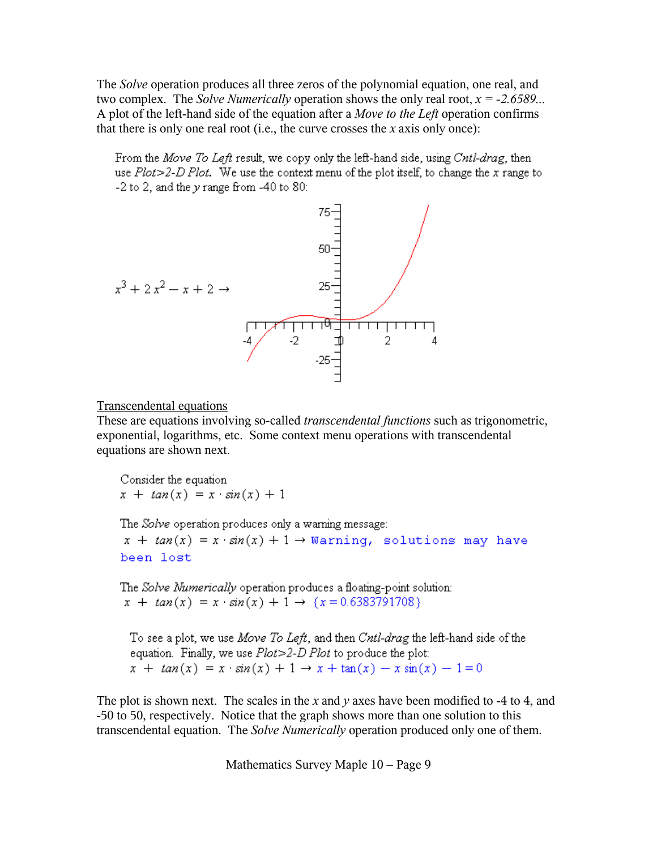The *Solve* operation produces all three zeros of the polynomial equation, one real, and two complex. The *Solve Numerically* operation shows the only real root, *x = -2.6589...* A plot of the left-hand side of the equation after a *Move to the Left* operation confirms that there is only one real root (i.e., the curve crosses the *x* axis only once):

From the Move To Left result, we copy only the left-hand side, using Cntl-drag, then use  $Plot > 2-D Plot$ . We use the context menu of the plot itself, to change the x range to  $-2$  to 2, and the y range from  $-40$  to 80:



Transcendental equations

These are equations involving so-called *transcendental functions* such as trigonometric, exponential, logarithms, etc. Some context menu operations with transcendental equations are shown next.

Consider the equation  $x + tan(x) = x \cdot sin(x) + 1$ 

The Solve operation produces only a warning message:

 $x + tan(x) = x \cdot sin(x) + 1 \rightarrow$  Warning, solutions may have been lost

The Solve Numerically operation produces a floating-point solution:  $x + tan(x) = x \cdot sin(x) + 1 \rightarrow \{x = 0.6383791708\}$ 

To see a plot, we use Move To Left, and then Cntl-drag the left-hand side of the equation. Finally, we use  $Plot > 2-D$  Plot to produce the plot:  $x + \tan(x) = x \cdot \sin(x) + 1 \rightarrow x + \tan(x) - x \sin(x) - 1 = 0$ 

The plot is shown next. The scales in the *x* and *y* axes have been modified to -4 to 4, and -50 to 50, respectively. Notice that the graph shows more than one solution to this transcendental equation. The *Solve Numerically* operation produced only one of them.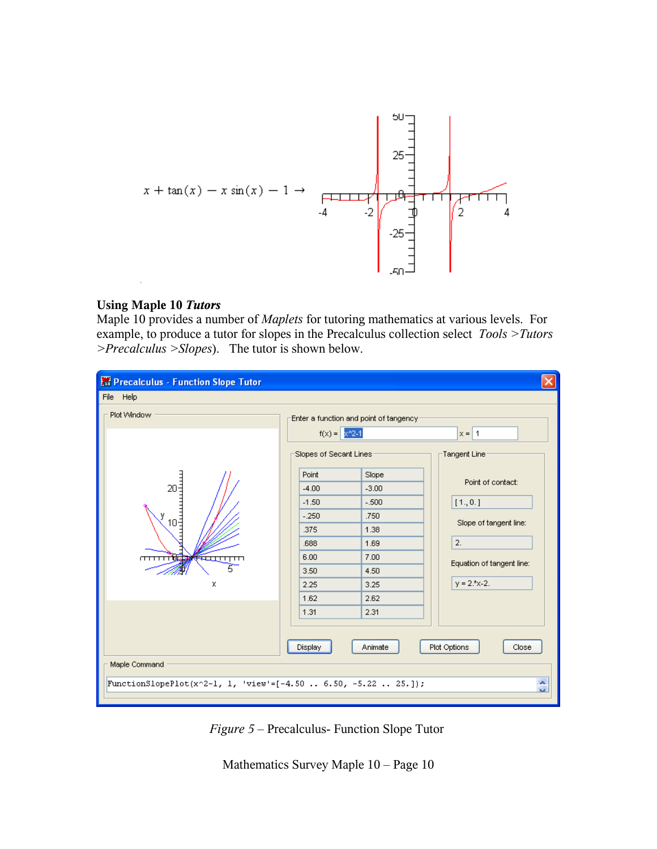

#### **Using Maple 10** *Tutors*

Maple 10 provides a number of *Maplets* for tutoring mathematics at various levels. For example, to produce a tutor for slopes in the Precalculus collection select *Tools >Tutors >Precalculus >Slopes*). The tutor is shown below.



*Figure 5* – Precalculus- Function Slope Tutor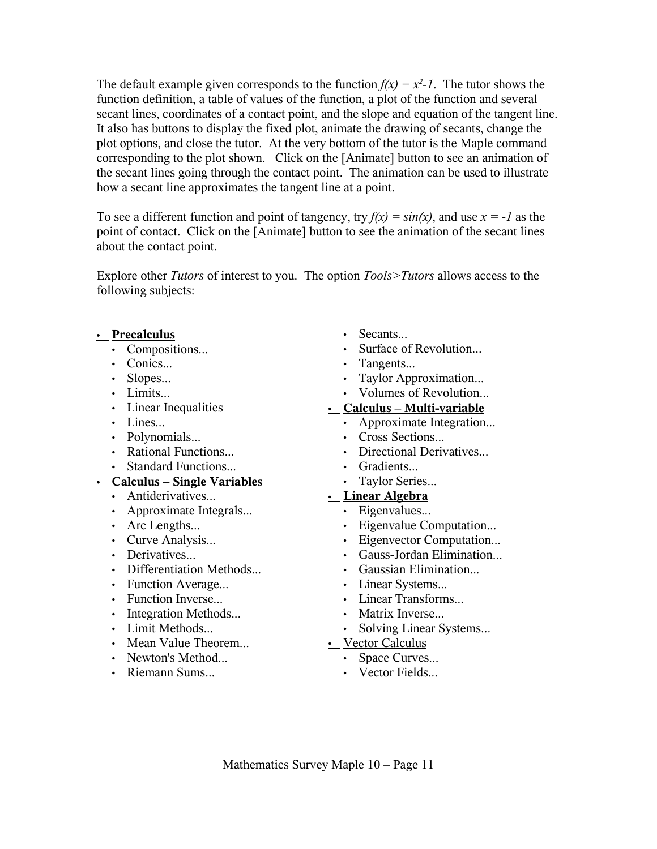The default example given corresponds to the function  $f(x) = x^2 - 1$ . The tutor shows the function definition, a table of values of the function, a plot of the function and several secant lines, coordinates of a contact point, and the slope and equation of the tangent line. It also has buttons to display the fixed plot, animate the drawing of secants, change the plot options, and close the tutor. At the very bottom of the tutor is the Maple command corresponding to the plot shown. Click on the [Animate] button to see an animation of the secant lines going through the contact point. The animation can be used to illustrate how a secant line approximates the tangent line at a point.

To see a different function and point of tangency, try  $f(x) = sin(x)$ , and use  $x = -1$  as the point of contact. Click on the [Animate] button to see the animation of the secant lines about the contact point.

Explore other *Tutors* of interest to you. The option *Tools>Tutors* allows access to the following subjects:

## • **Precalculus**

- Compositions...
- Conics...
- Slopes...
- Limits...
- Linear Inequalities
- Lines...
- Polynomials...
- Rational Functions...
- Standard Functions...

## • **Calculus – Single Variables**

- Antiderivatives...
- Approximate Integrals...
- Arc Lengths...
- Curve Analysis...
- Derivatives...
- Differentiation Methods
- Function Average...
- Function Inverse...
- Integration Methods...
- Limit Methods...
- Mean Value Theorem...
- Newton's Method...
- Riemann Sums...
- Secants...
- Surface of Revolution...
- Tangents...
- Taylor Approximation...
- Volumes of Revolution...

## • **Calculus – Multi-variable**

- Approximate Integration...
- Cross Sections...
- Directional Derivatives...
- Gradients...
- Taylor Series...

## • **Linear Algebra**

- Eigenvalues...
	- Eigenvalue Computation...
- Eigenvector Computation...
- Gauss-Jordan Elimination...
- Gaussian Elimination
- Linear Systems...
- Linear Transforms...
- Matrix Inverse...
- Solving Linear Systems...
- Vector Calculus
	- Space Curves...
	- Vector Fields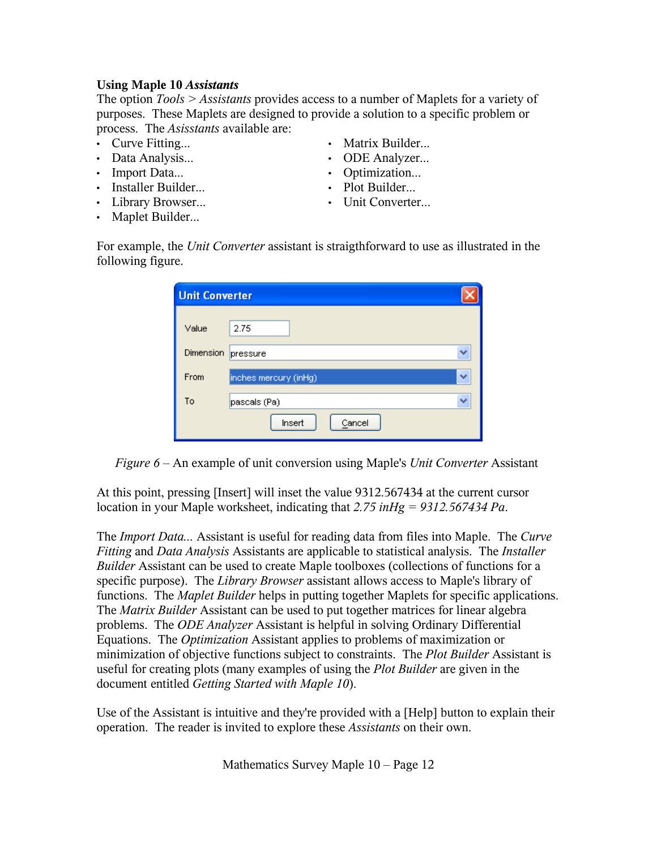## **Using Maple 10** *Assistants*

The option *Tools > Assistants* provides access to a number of Maplets for a variety of purposes. These Maplets are designed to provide a solution to a specific problem or process. The *Asisstants* available are:

- Curve Fitting...
- Data Analysis...
- Import Data...
- Installer Builder...
- Library Browser...
- Maplet Builder...
- Matrix Builder...
- ODE Analyzer...
- Optimization...
- Plot Builder...
- Unit Converter...

For example, the *Unit Converter* assistant is straigthforward to use as illustrated in the following figure.

| <b>Unit Converter</b> |                            |  |
|-----------------------|----------------------------|--|
| Value                 | 2.75                       |  |
| Dimension             | pressure                   |  |
| From                  | inches mercury (inHg)<br>v |  |
| To                    | pascals (Pa)               |  |
|                       | Insert<br>Cancel           |  |

*Figure 6* – An example of unit conversion using Maple's *Unit Converter* Assistant

At this point, pressing [Insert] will inset the value 9312.567434 at the current cursor location in your Maple worksheet, indicating that *2.75 inHg = 9312.567434 Pa*.

The *Import Data...* Assistant is useful for reading data from files into Maple. The *Curve Fitting* and *Data Analysis* Assistants are applicable to statistical analysis. The *Installer Builder* Assistant can be used to create Maple toolboxes (collections of functions for a specific purpose). The *Library Browser* assistant allows access to Maple's library of functions. The *Maplet Builder* helps in putting together Maplets for specific applications. The *Matrix Builder* Assistant can be used to put together matrices for linear algebra problems. The *ODE Analyzer* Assistant is helpful in solving Ordinary Differential Equations. The *Optimization* Assistant applies to problems of maximization or minimization of objective functions subject to constraints. The *Plot Builder* Assistant is useful for creating plots (many examples of using the *Plot Builder* are given in the document entitled *Getting Started with Maple 10*).

Use of the Assistant is intuitive and they're provided with a [Help] button to explain their operation. The reader is invited to explore these *Assistants* on their own.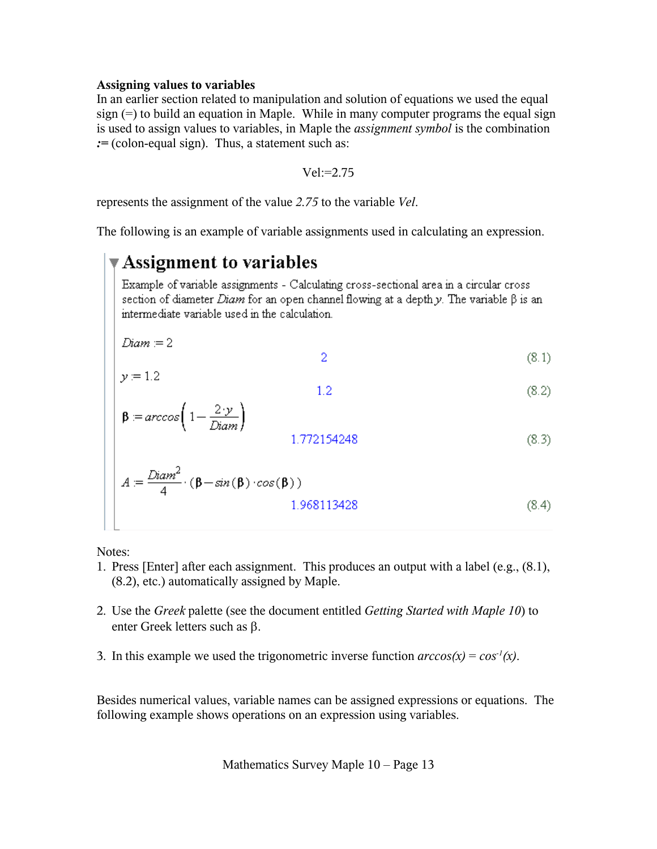### **Assigning values to variables**

In an earlier section related to manipulation and solution of equations we used the equal sign (=) to build an equation in Maple. While in many computer programs the equal sign is used to assign values to variables, in Maple the *assignment symbol* is the combination *:=* (colon-equal sign). Thus, a statement such as:

$$
Vel:=2.75
$$

represents the assignment of the value *2.75* to the variable *Vel*.

The following is an example of variable assignments used in calculating an expression.

# Assignment to variables

Example of variable assignments - Calculating cross-sectional area in a circular cross section of diameter *Diam* for an open channel flowing at a depth y. The variable  $\beta$  is an intermediate variable used in the calculation.

$$
\begin{cases}\nDiam = 2 & (8.1) \\
& \quad \text{if } \\
0 & \quad \text{otherwise}\n\end{cases}
$$

$$
1.2 \tag{8.2}
$$

$$
\beta = \arccos\left(1 - \frac{2 \cdot y}{Diam}\right)
$$
\n
$$
1.772154248\tag{8.3}
$$

$$
A := \frac{Diam^2}{4} \cdot (\beta - sin(\beta) \cdot cos(\beta))
$$
  
1.968113428 (8.4)

Notes:

- 1. Press [Enter] after each assignment. This produces an output with a label (e.g., (8.1), (8.2), etc.) automatically assigned by Maple.
- 2. Use the *Greek* palette (see the document entitled *Getting Started with Maple 10*) to enter Greek letters such as β.
- 3. In this example we used the trigonometric inverse function  $\arccos(x) = \cos^{-1}(x)$ .

Besides numerical values, variable names can be assigned expressions or equations. The following example shows operations on an expression using variables.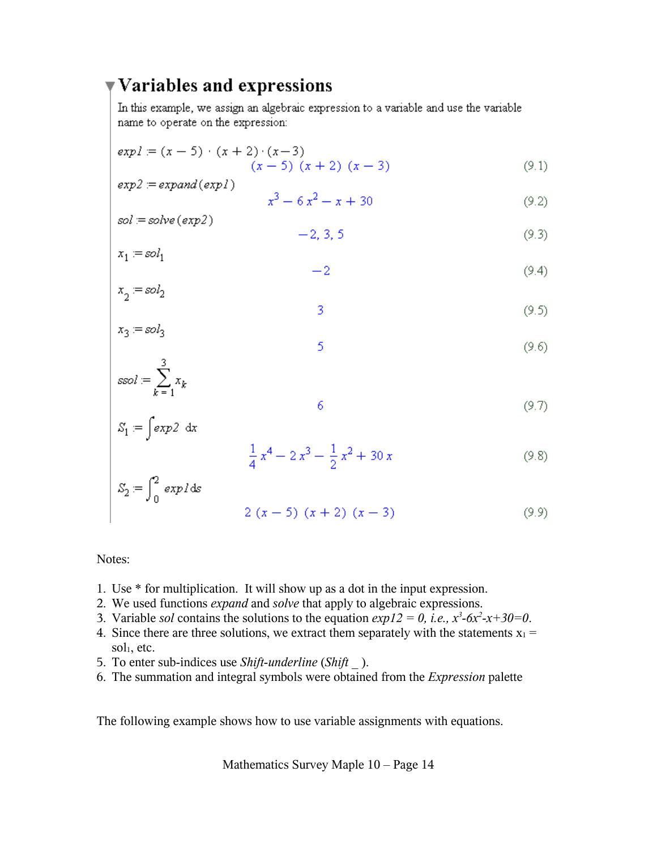# ▼ Variables and expressions

In this example, we assign an algebraic expression to a variable and use the variable name to operate on the expression:

$$
expl := (x - 5) \cdot (x + 2) \cdot (x - 3)
$$
  
(x - 5) (x + 2) (x - 3) (9.1)

$$
exp2 = expand(exp1)
$$

$$
x^3 - 6x^2 - x + 30\tag{9.2}
$$

$$
sol = solve\,(exp2)
$$

$$
-2, 3, 5 \tag{9.3}
$$

$$
x_1 = sol_1
$$
  

$$
-2
$$
 (9.4)

$$
x_2 = sol_2 \tag{9.5}
$$

$$
x_3 = sol_3 \tag{9.6}
$$

$$
ssol := \sum_{k=1}^{3} x_k
$$

$$
\int exp2 dx
$$
 (9.7)

$$
\frac{1}{4}x^4 - 2x^3 - \frac{1}{2}x^2 + 30x\tag{9.8}
$$

$$
S_2 = \int_0^2 \exp l \, ds
$$
  
2 (x - 5) (x + 2) (x - 3) (9.9)

Notes:

 $S_1 =$ 

- 1. Use \* for multiplication. It will show up as a dot in the input expression.
- 2. We used functions *expand* and *solve* that apply to algebraic expressions.
- 3. Variable *sol* contains the solutions to the equation  $exp12 = 0$ , *i.e.*,  $x^3$ -6 $x^2$ -x+30=0.
- 4. Since there are three solutions, we extract them separately with the statements  $x_1 =$  $sol<sub>1</sub>$ , etc.
- 5. To enter sub-indices use *Shift-underline* (*Shift \_* ).
- 6. The summation and integral symbols were obtained from the *Expression* palette

The following example shows how to use variable assignments with equations.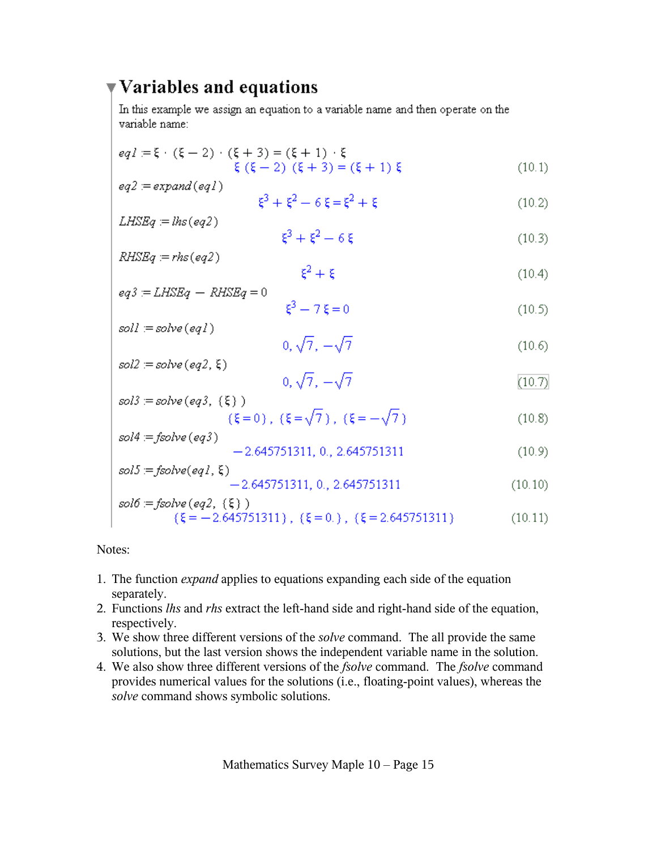## $\blacktriangledown$  Variables and equations

In this example we assign an equation to a variable name and then operate on the variable name:

$$
eq1 \equiv \xi \cdot (\xi - 2) \cdot (\xi + 3) = (\xi + 1) \cdot \xi
$$
  
 
$$
\xi (\xi - 2) (\xi + 3) = (\xi + 1) \xi
$$
 (10.1)

$$
eq2 := expand(eq1)
$$
  

$$
\xi^3 + \xi^2 - 6\xi = \xi^2 + \xi
$$
 (10.2)

$$
LHSEq = lhs(eq2)
$$

$$
\xi^3 + \xi^2 - 6\xi
$$
 (10.3)

$$
RHSEq = rhs(eq2)
$$
\n
$$
\xi^2 + \xi \tag{10.4}
$$

$$
eq3 = LHSEq - RHSEq = 0
$$
\n
$$
\xi^3 - 7\xi = 0
$$
\n(10.5)

$$
sol! = solve(eq1)
$$

$$
0, \sqrt{7}, -\sqrt{7}
$$
\n
$$
sol2 := solve(eq2, \xi)
$$
\n(10.6)

$$
0, \sqrt{7}, -\sqrt{7} \tag{10.7}
$$

sol3 = solve (eq3, {\xi})  
\n
$$
(\xi = 0), (\xi = \sqrt{7}), (\xi = -\sqrt{7})
$$
\n(10.8)

$$
so4 = \text{ysolve}(eq3) -2.645751311, 0., 2.645751311 \tag{10.9}
$$
\n
$$
so15 = \text{fsolve}(eq3, 5)
$$

$$
sols = jsolve(eq1, 5)
$$
  
-2.645751311, 0., 2.645751311 (10.10)  

$$
sol6 = fsolve(eq2, {\xi})
$$

$$
u_0 = jsoive \ (eq2, \ (5))
$$
  
{ $\xi = -2.645751311$ },  $\xi = 0.$ },  $\xi = 2.645751311$ } (10.11)

Notes:

- 1. The function *expand* applies to equations expanding each side of the equation separately.
- 2. Functions *lhs* and *rhs* extract the left-hand side and right-hand side of the equation, respectively.
- 3. We show three different versions of the *solve* command. The all provide the same solutions, but the last version shows the independent variable name in the solution.
- 4. We also show three different versions of the *fsolve* command. The *fsolve* command provides numerical values for the solutions (i.e., floating-point values), whereas the *solve* command shows symbolic solutions.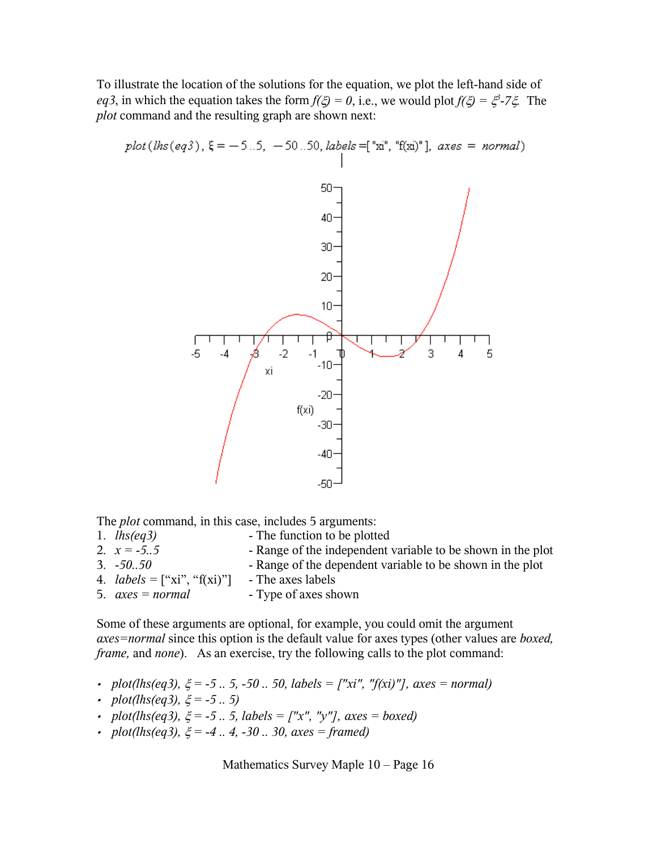To illustrate the location of the solutions for the equation, we plot the left-hand side of *eq3*, in which the equation takes the form  $f(\xi) = 0$ , i.e., we would plot  $f(\xi) = \xi^3 - 7\xi$ . The *plot* command and the resulting graph are shown next:

plot(
$$
lhs(eq3)
$$
),  $\xi = -5.5$ ,  $-50.50$ ,  $labels = ['xi", 'f(x)]$ ,  $axes = normal$ )

The *plot* command, in this case, includes 5 arguments:

- 1. *lhs(eq3)* The function to be plotted 2.  $x = -5.5$  - Range of the independent variable to be shown in the plot
- 3. *-50..50* Range of the dependent variable to be shown in the plot
- 4.  $labels = ['xi", "f(xi)"]$  The axes labels
- 5.  $axes = normal$  Type of axes shown

Some of these arguments are optional, for example, you could omit the argument *axes=normal* since this option is the default value for axes types (other values are *boxed, frame,* and *none*). As an exercise, try the following calls to the plot command:

- *plot(lhs(eq3),* ξ *= -5 .. 5, -50 .. 50, labels = ["xi", "f(xi)"], axes = normal)*
- *plot(lhs(eq3),* ξ *= -5 .. 5)*
- *plot(lhs(eq3),* ξ *= -5 .. 5, labels = ["x", "y"], axes = boxed)*
- *plot(lhs(eq3),* ξ *= -4 .. 4, -30 .. 30, axes = framed)*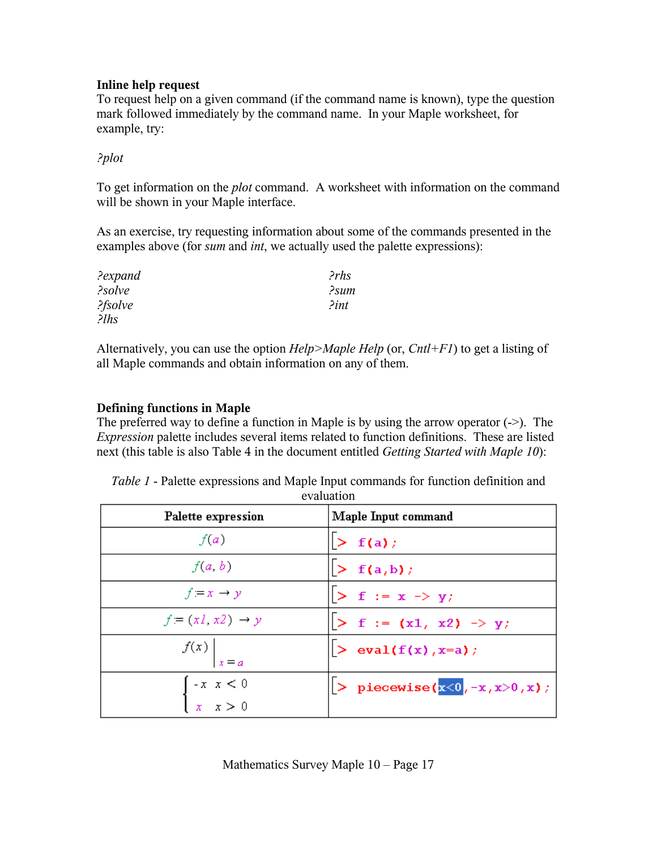## **Inline help request**

To request help on a given command (if the command name is known), type the question mark followed immediately by the command name. In your Maple worksheet, for example, try:

## *?plot*

To get information on the *plot* command. A worksheet with information on the command will be shown in your Maple interface.

As an exercise, try requesting information about some of the commands presented in the examples above (for *sum* and *int*, we actually used the palette expressions):

| ?expand | PrhS                 |
|---------|----------------------|
| ?solve  | ?sum                 |
| ?fsolve | $\lambda$ <i>int</i> |
| $2l$ hs |                      |

Alternatively, you can use the option *Help>Maple Help* (or, *Cntl+F1*) to get a listing of all Maple commands and obtain information on any of them.

## **Defining functions in Maple**

The preferred way to define a function in Maple is by using the arrow operator  $(\rightarrow)$ . The *Expression* palette includes several items related to function definitions. These are listed next (this table is also Table 4 in the document entitled *Getting Started with Maple 10*):

|                                                             | evaluation                                 |
|-------------------------------------------------------------|--------------------------------------------|
| Palette expression                                          | Maple Input command                        |
| f(a)                                                        | $>$ f(a);                                  |
| f(a, b)                                                     | $>$ f(a,b);                                |
| $f = x \rightarrow y$                                       | $\triangleright$ f := x -> y;              |
| $f = (x1, x2) \rightarrow y$                                | $> f := (x1, x2) \rightarrow y;$           |
| $\left  \begin{array}{c} f(x) \\ x = a \end{array} \right $ | $\left  > \text{ eval}(f(x), x=a) \right $ |
| $\begin{cases} -x & x < 0 \\ x & x > 0 \end{cases}$         | > piecewise( $x<0, -x, x>0, x$ );          |
|                                                             |                                            |

*Table 1* - Palette expressions and Maple Input commands for function definition and evaluation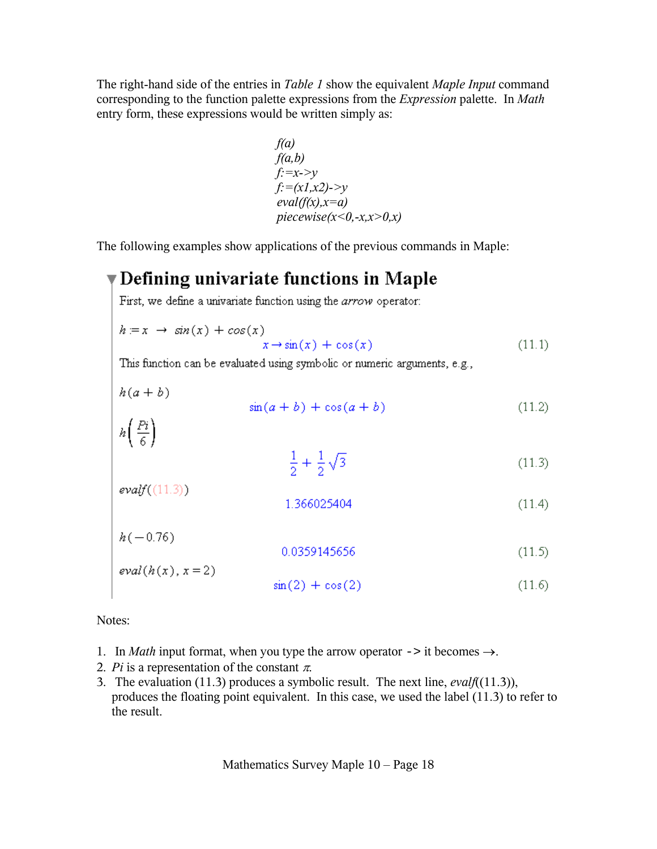The right-hand side of the entries in *Table 1* show the equivalent *Maple Input* command corresponding to the function palette expressions from the *Expression* palette. In *Math* entry form, these expressions would be written simply as:

$$
f(a)
$$
  
\n
$$
f(a,b)
$$
  
\n
$$
f: =x->y
$$
  
\n
$$
f:=(x1,x2)->y
$$
  
\n
$$
eval(f(x),x=a)
$$
  
\n
$$
piecewise(x<0,-x,x>0,x)
$$

The following examples show applications of the previous commands in Maple:

# $\overline{\mathbf{v}}$  Defining univariate functions in Maple

First, we define a univariate function using the arrow operator:

$$
h \coloneqq x \ \to \ \sin(x) + \cos(x) \\
 x \to \sin(x) + \cos(x) \tag{11.1}
$$

This function can be evaluated using symbolic or numeric arguments, e.g.,

 $h(a+b)$ 

$$
\sin(a+b) + \cos(a+b) \tag{11.2}
$$

$$
h\left(\frac{P_i}{6}\right) \tag{1.1}
$$

$$
\frac{1}{2} + \frac{1}{2}\sqrt{3} \tag{11.3}
$$

$$
evalf((11.3)) \t\t 1.366025404 \t\t (11.4)
$$

$$
h(-0.76)
$$
  
0.0359145656  

$$
eval(h(x), x = 2)
$$
 (11.5)

$$
\sin(2) + \cos(2) \tag{11.6}
$$

Notes:

- 1. In *Math* input format, when you type the arrow operator  $\rightarrow$  it becomes  $\rightarrow$ .
- 2. *Pi* is a representation of the constant  $\pi$ .
- 3. The evaluation (11.3) produces a symbolic result. The next line, *evalf*((11.3)), produces the floating point equivalent. In this case, we used the label (11.3) to refer to the result.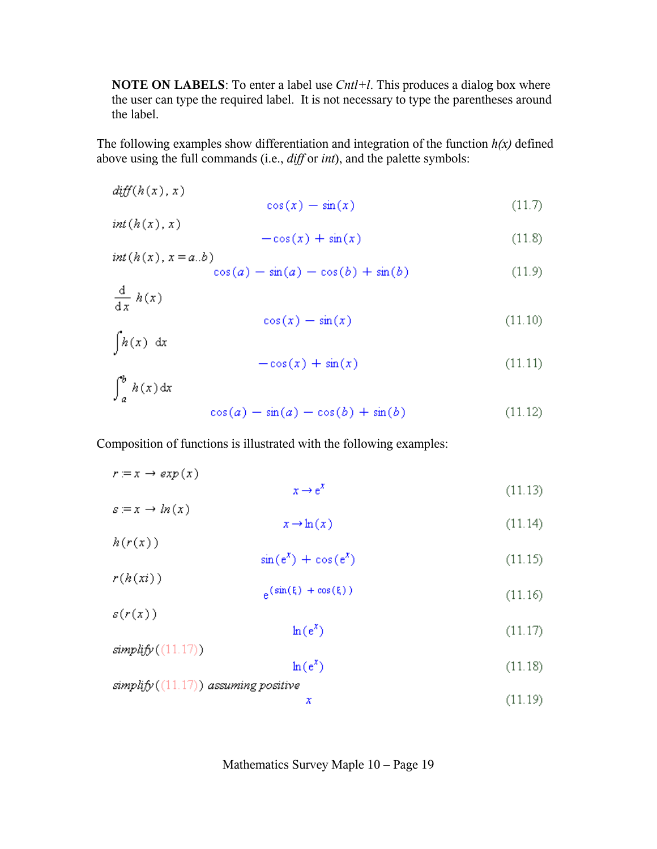**NOTE ON LABELS:** To enter a label use *Cntl+l*. This produces a dialog box where the user can type the required label. It is not necessary to type the parentheses around the label.

The following examples show differentiation and integration of the function  $h(x)$  defined above using the full commands (i.e., diff or int), and the palette symbols:

$$
diff(h(x), x) \qquad \qquad \cos(x) - \sin(x) \qquad \qquad (11.7)
$$

$$
int(h(x),x)
$$

$$
-\cos(x) + \sin(x) \tag{11.8}
$$

$$
int(h(x), x = a.b) \cos(a) - \sin(a) - \cos(b) + \sin(b) \tag{11.9}
$$

$$
\frac{\mathrm{d}}{\mathrm{d}x} h(x) \tag{11.10}
$$

$$
\cos(x) - \sin(x) \tag{11.10}
$$

 $\int h(x) dx$  $-\cos(x) + \sin(x)$ 

$$
\int_{a}^{b} h(x) dx
$$
  
\n
$$
\cos(a) - \sin(a) - \cos(b) + \sin(b)
$$
\n(11.12)

Composition of functions is illustrated with the following examples:

 $r = x \rightarrow exp(x)$  $x \rightarrow e^x$  $(11.13)$ 

$$
s := x \to \ln(x) \tag{11.14}
$$
\n
$$
x \to \ln(x) \tag{11.15}
$$

$$
h(r(x))
$$

$$
\sin(e^x) + \cos(e^x) \tag{11.15}
$$

$$
r(h(xi))
$$

$$
e^{(\sin(\xi) + \cos(\xi))}
$$
(11.16)

 $s(r(x))$ 

 $ln(e^x)$  $(11.17)$ 

$$
\ln(e^x) \tag{11.18}
$$

 $simplify((11.17))$  assuming positive

 $simplify((11.17))$ 

x

# $(11.19)$

 $(11.11)$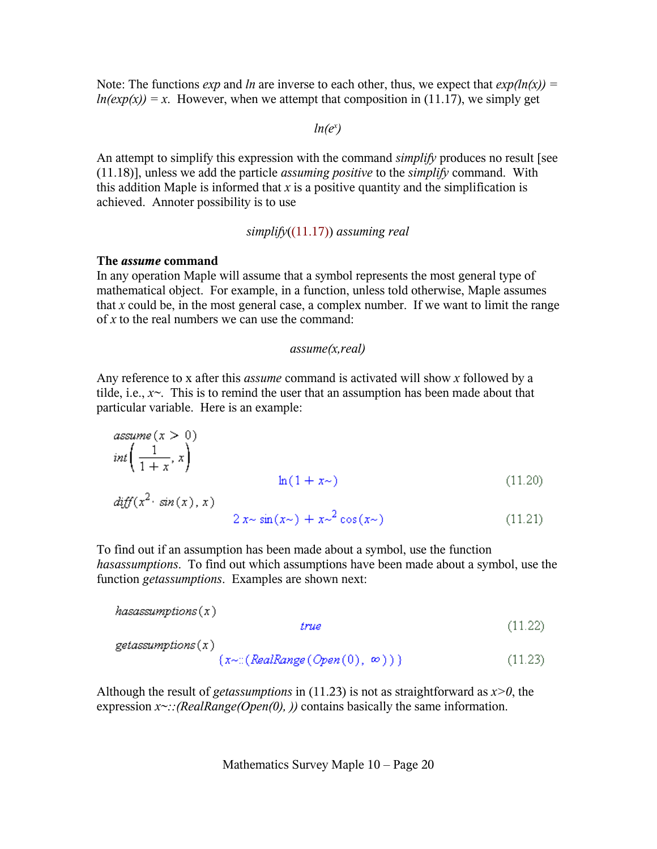Note: The functions *exp* and *ln* are inverse to each other, thus, we expect that  $exp(ln(x))$  =  $ln(exp(x)) = x$ . However, when we attempt that composition in (11.17), we simply get

### $ln(e^x)$

An attempt to simplify this expression with the command *simplify* produces no result [see (11.18)], unless we add the particle *assuming positive* to the *simplify* command. With this addition Maple is informed that  $x$  is a positive quantity and the simplification is achieved. Annoter possibility is to use

#### *simplify*((11.17)) *assuming real*

#### **The** *assume* **command**

In any operation Maple will assume that a symbol represents the most general type of mathematical object. For example, in a function, unless told otherwise, Maple assumes that  $x$  could be, in the most general case, a complex number. If we want to limit the range of *x* to the real numbers we can use the command:

#### *assume(x,real)*

Any reference to x after this *assume* command is activated will show *x* followed by a tilde, i.e.,  $x \sim$ . This is to remind the user that an assumption has been made about that particular variable. Here is an example:

$$
assume(x > 0)
$$
  
\n
$$
int\left(\frac{1}{1+x}, x\right)
$$
  
\n
$$
diff(x^2 \cdot sin(x), x)
$$
  
\n
$$
2x \sim sin(x\sim) + x \sim 2 cos(x\sim)
$$
\n(11.20)  
\n(11.21)

To find out if an assumption has been made about a symbol, use the function *hasassumptions*. To find out which assumptions have been made about a symbol, use the function *getassumptions*. Examples are shown next:

$$
has assumptions(x)
$$
\n
$$
true
$$
\n
$$
get assumptions(x)
$$
\n
$$
\{x \sim : (RealRange(Open(0), \infty))\}
$$
\n
$$
(11.23)
$$

Although the result of *getassumptions* in (11.23) is not as straightforward as *x>0*, the expression  $x \sim$ ::(RealRange(Open(0), )) contains basically the same information.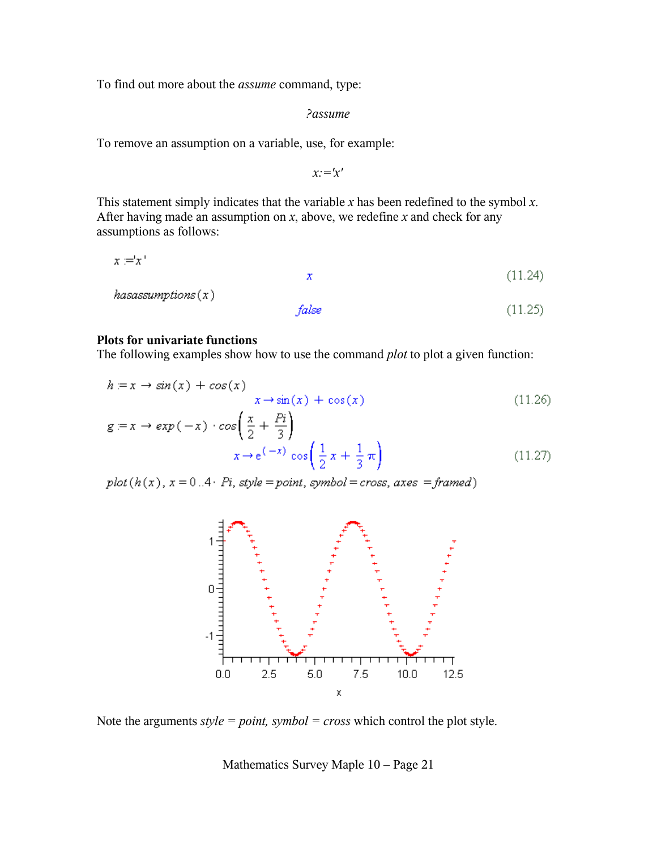To find out more about the *assume* command, type:

*?assume*

To remove an assumption on a variable, use, for example:

*x:='x'*

This statement simply indicates that the variable *x* has been redefined to the symbol *x*. After having made an assumption on *x*, above, we redefine *x* and check for any assumptions as follows:

$$
x = x'
$$
\nhas assumptions(x)

\nfalse

\n(11.24)

\n(11.25)

#### **Plots for univariate functions**

The following examples show how to use the command *plot* to plot a given function:

$$
h = x \rightarrow \sin(x) + \cos(x)
$$
  
\n
$$
x \rightarrow \sin(x) + \cos(x)
$$
  
\n
$$
g = x \rightarrow \exp(-x) \cdot \cos\left(\frac{x}{2} + \frac{Pi}{3}\right)
$$
  
\n
$$
x \rightarrow e^{(-x)} \cos\left(\frac{1}{2}x + \frac{1}{3}\pi\right)
$$
\n(11.27)

 $plot(h(x), x = 0..4 \cdot Pi, style = point, symbol = cross, axes = framed)$ 



Note the arguments *style = point, symbol = cross* which control the plot style.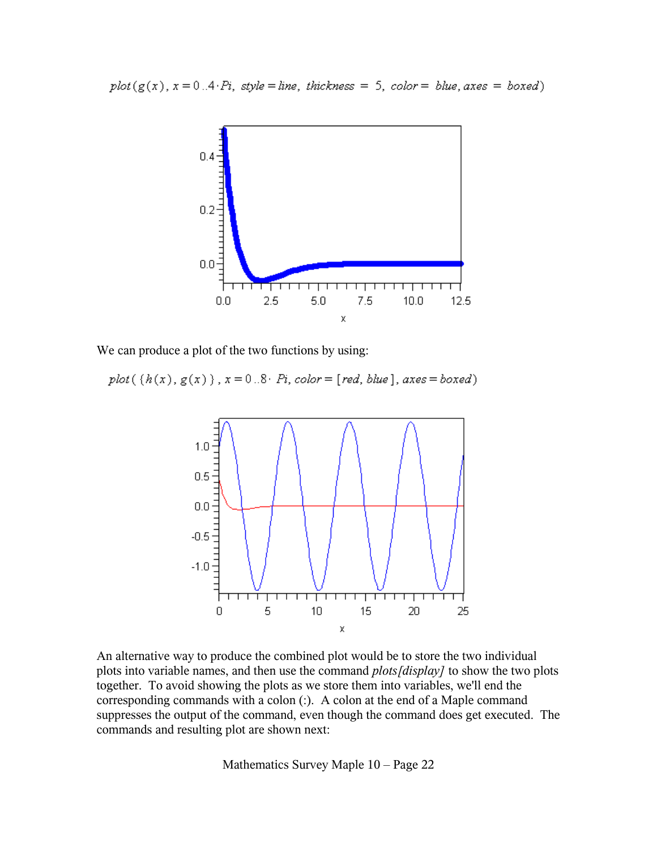



We can produce a plot of the two functions by using:

plot({ $h(x)$ ,  $g(x)$ },  $x = 0.8$   $Pi$ , color = [red, blue], axes = boxed)



An alternative way to produce the combined plot would be to store the two individual plots into variable names, and then use the command *plots[display]* to show the two plots together. To avoid showing the plots as we store them into variables, we'll end the corresponding commands with a colon (:). A colon at the end of a Maple command suppresses the output of the command, even though the command does get executed. The commands and resulting plot are shown next: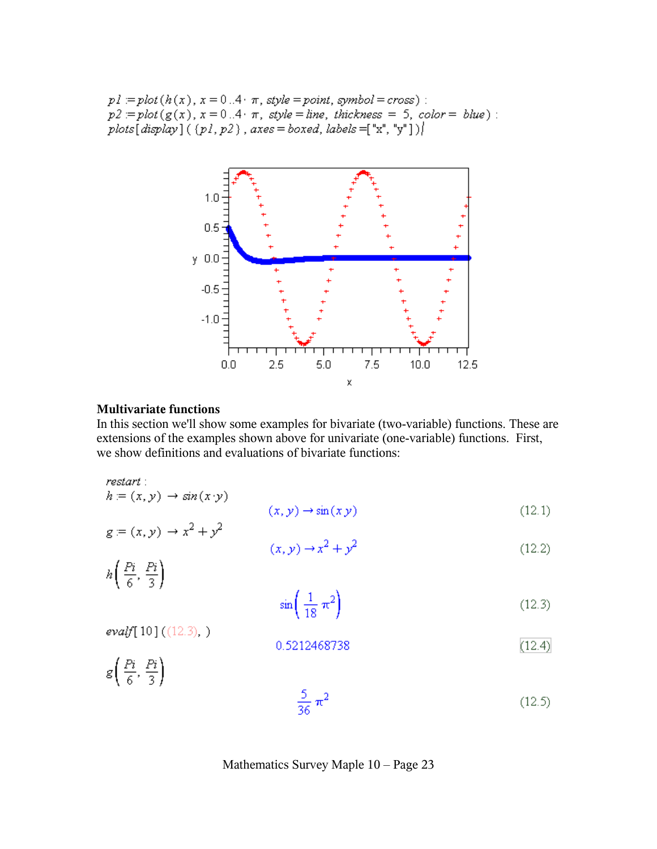$p1 = plot(h(x), x = 0.4 \cdot \pi, style = point, symbol = cross)$ :  $p2 = plot(g(x), x = 0.4 \cdot \pi, style = line, thickness = 5, color = blue).$ plots[display]({pl, p2}, axes = boxed, labels =["x", "y"])]



#### **Multivariate functions**

 $h = (x, y) \rightarrow \sin(x \cdot y)$ 

evalf $[10] ((12.3).)$ 

In this section we'll show some examples for bivariate (two-variable) functions. These are extensions of the examples shown above for univariate (one-variable) functions. First, we show definitions and evaluations of bivariate functions:

restart:

$$
(x, y) \to \sin(x y) \tag{12.1}
$$

$$
g = (x, y) \rightarrow x^2 + y^2
$$
  
 $(x, y) \rightarrow x^2 + y^2$ 

 $(12.2)$  $h\left(\frac{Pi}{6},\frac{Pi}{3}\right)$ 

$$
\sin\left(\frac{1}{18}\,\pi^2\right) \tag{12.3}
$$

$$
0.5212468738 \tag{12.4}
$$

 $g\left(\frac{Pi}{6},\frac{Pi}{3}\right)$ 

$$
\frac{5}{36} \pi^2 \tag{12.5}
$$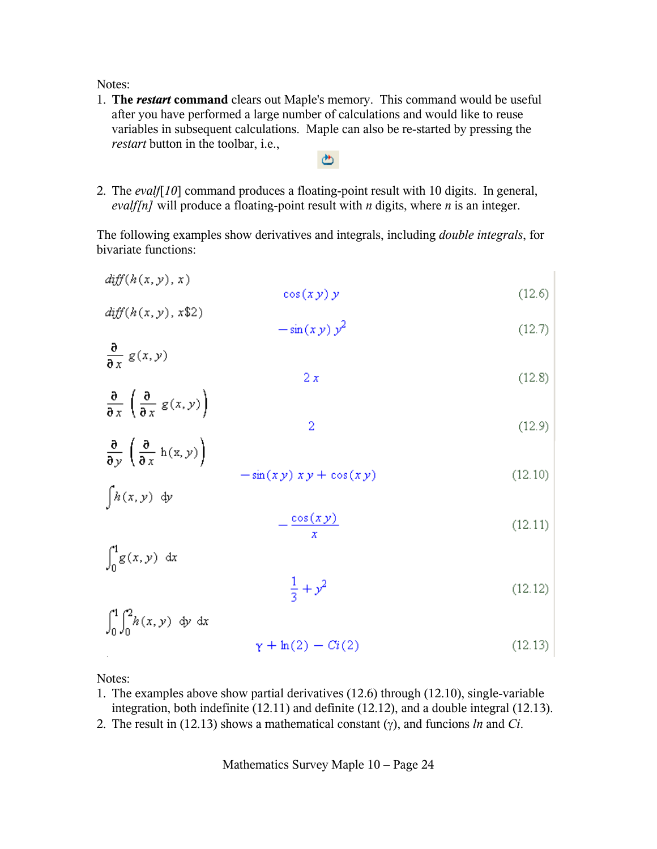Notes:

1. **The** *restart* **command** clears out Maple's memory. This command would be useful after you have performed a large number of calculations and would like to reuse variables in subsequent calculations. Maple can also be re-started by pressing the *restart* button in the toolbar, i.e.,

ඏ

2. The *evalf*[*10*] command produces a floating-point result with 10 digits. In general, *evalf[n]* will produce a floating-point result with *n* digits, where *n* is an integer.

The following examples show derivatives and integrals, including *double integrals*, for bivariate functions:

 $diff(h(x, y), x)$  $128$ 

$$
\cos(xy) y \tag{12.6}
$$
\n
$$
\text{diff}(h(x, y), x\text{$2$})
$$

$$
-\sin(xy)y^2\tag{12.7}
$$

- $\frac{\partial}{\partial x} g(x, y)$  $2x$  $(12.8)$
- $\frac{\partial}{\partial x} \left( \frac{\partial}{\partial x} g(x, y) \right)$  $\overline{2}$  $(12.9)$
- $\frac{\partial}{\partial y}\left(\frac{\partial}{\partial x}h(x,y)\right)$  $-\sin(xy) x y + \cos(xy)$  $(12.10)$
- $\int h(x,y) dy$

$$
-\frac{\cos(xy)}{x}
$$
 (12.11)

 $\int_{0}^{1} g(x, y) dx$ 

$$
\frac{1}{3} + y^2 \tag{12.12}
$$

 $\int_{0}^{1} \int_{0}^{2} h(x, y) dy dx$  $y + ln(2) - Ci(2)$  $(12.13)$ 

Notes:

- 1. The examples above show partial derivatives (12.6) through (12.10), single-variable integration, both indefinite (12.11) and definite (12.12), and a double integral (12.13).
- 2. The result in (12.13) shows a mathematical constant (γ), and funcions *ln* and *Ci*.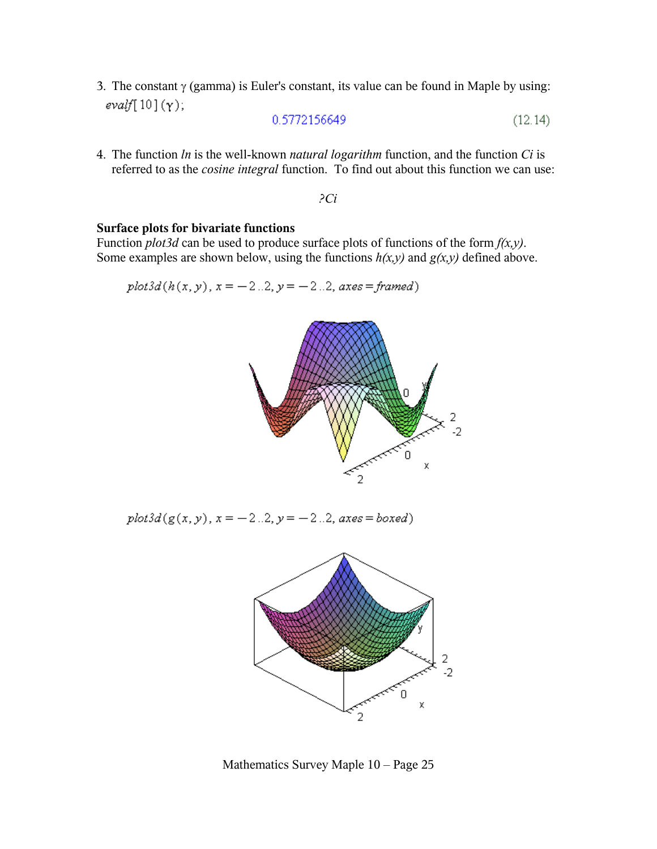3. The constant  $\gamma$  (gamma) is Euler's constant, its value can be found in Maple by using:  $evalf[10](\gamma);$ 

$$
0.5772156649 \tag{12.14}
$$

4. The function *ln* is the well-known *natural logarithm* function, and the function *Ci* is referred to as the *cosine integral* function. To find out about this function we can use:

*?Ci*

#### **Surface plots for bivariate functions**

Function *plot3d* can be used to produce surface plots of functions of the form *f(x,y)*. Some examples are shown below, using the functions  $h(x, y)$  and  $g(x, y)$  defined above.

 $plot3d(h(x, y), x = -2.2, y = -2.2, axes = framed)$ 



 $plot3d(g(x, y), x = -2..2, y = -2..2, axes = boxed)$ 



Mathematics Survey Maple 10 – Page 25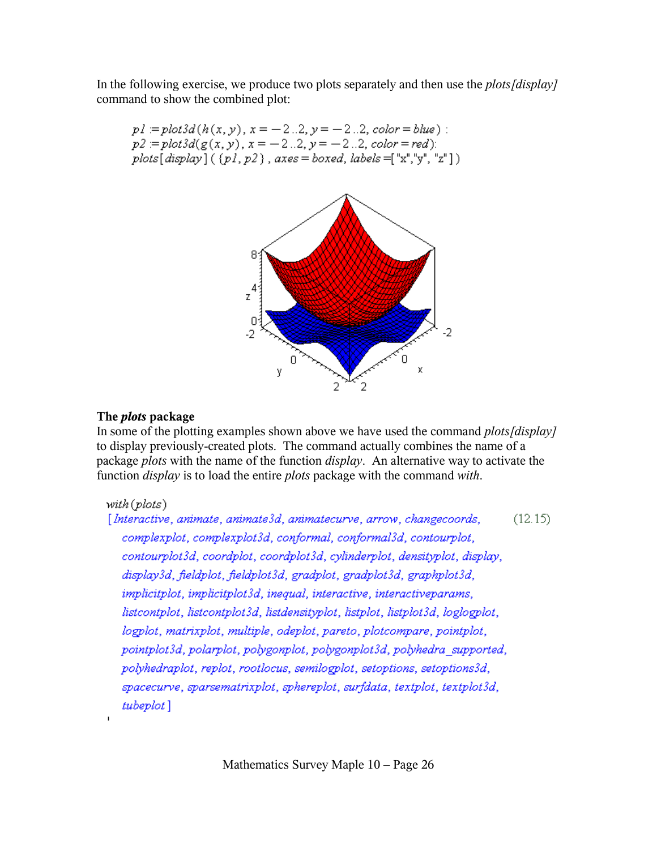In the following exercise, we produce two plots separately and then use the *plots[display]* command to show the combined plot:

$$
p1 = plot3d(h(x, y), x = -2..2, y = -2..2, color = blue):
$$
  
\n
$$
p2 = plot3d(g(x, y), x = -2..2, y = -2..2, color = red):
$$
  
\n
$$
plots[display] ((p1, p2), axes = boxed, labels = "x", "y", "z"])
$$



## **The** *plots* **package**

In some of the plotting examples shown above we have used the command *plots[display]* to display previously-created plots. The command actually combines the name of a package *plots* with the name of the function *display*.An alternative way to activate the function *display* is to load the entire *plots* package with the command *with*.

## $with (plots)$

[Interactive, animate, animate3d, animatecurve, arrow, changecoords,  $(12.15)$ complexplot, complexplot3d, conformal, conformal3d, contourplot, contourplot3d, coordplot, coordplot3d, cylinderplot, densityplot, display, display3d, fieldplot, fieldplot3d, gradplot, gradplot3d, graphplot3d, implicitplot, implicitplot3d, inequal, interactive, interactiveparams, listcontplot, listcontplot3d, listdensityplot, listplot, listplot3d, loglogplot, logplot, matrixplot, multiple, odeplot, pareto, plotcompare, pointplot, pointplot3d, polarplot, polygonplot, polygonplot3d, polyhedra\_supported, polyhedraplot, replot, rootlocus, semilogplot, setoptions, setoptions3d, spacecurve, sparsematrixplot, sphereplot, surfdata, textplot, textplot3d, tubeplot]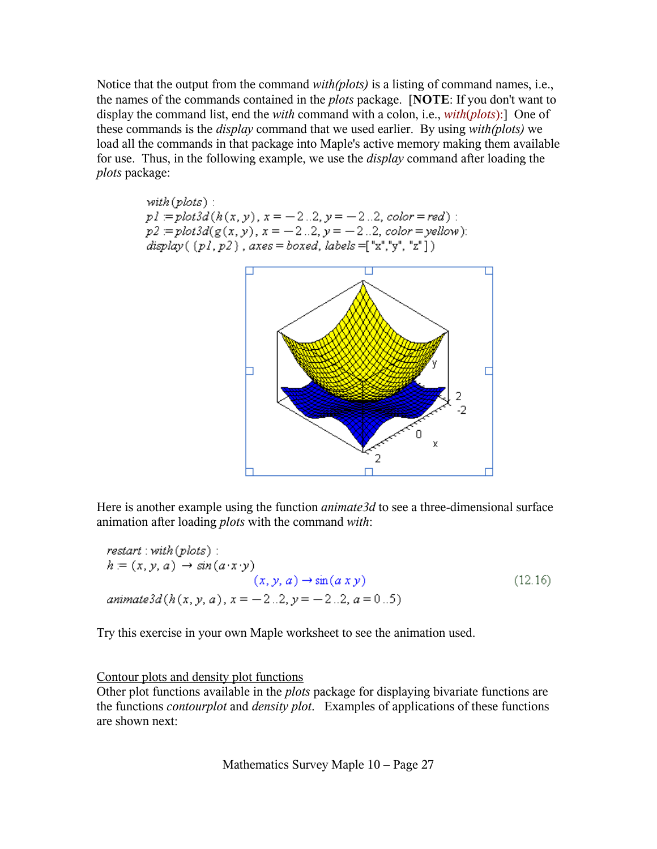Notice that the output from the command *with(plots)* is a listing of command names, i.e., the names of the commands contained in the *plots* package. [**NOTE**: If you don't want to display the command list, end the *with* command with a colon, i.e., *with*(*plots*):] One of these commands is the *display* command that we used earlier. By using *with(plots)* we load all the commands in that package into Maple's active memory making them available for use. Thus, in the following example, we use the *display* command after loading the *plots* package:

with (plots) :  
\n
$$
pl := plot3d(h(x, y), x = -2..2, y = -2..2, color = red) :
$$
\n
$$
p2 := plot3d(g(x, y), x = -2..2, y = -2..2, color = yellow) :
$$
\n
$$
display((p1, p2), axes = boxed, labels = ["x", "y", "z"])
$$



Here is another example using the function *animate3d* to see a three-dimensional surface animation after loading *plots* with the command *with*:

 $\textit{restart}: \textit{with} (\textit{plots})$ : restart : with (plots) :<br>  $h = (x, y, a) \rightarrow \sin(a \cdot x \cdot y)$ <br>  $(x, y, a) \rightarrow \sin(a x y)$  $(12.16)$ animate3d(h(x, y, a),  $x = -2.2$ ,  $y = -2.2$ ,  $a = 0.5$ )

Try this exercise in your own Maple worksheet to see the animation used.

### Contour plots and density plot functions

Other plot functions available in the *plots* package for displaying bivariate functions are the functions *contourplot* and *density plot*. Examples of applications of these functions are shown next: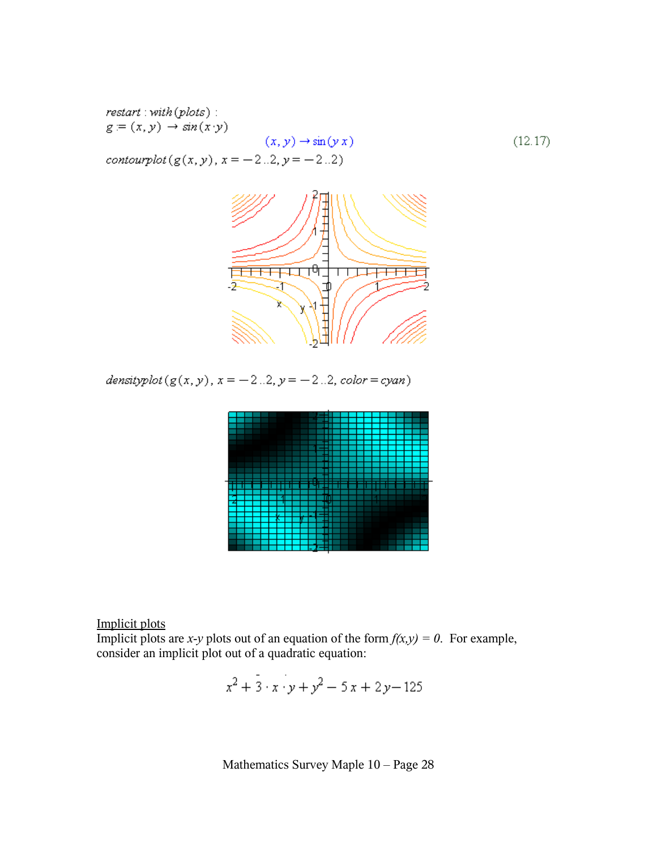$\mathit{restart}: \mathit{with}(\mathit{plots})$ :  $g = (x, y) \rightarrow \sin(x, y)$  $(12.17)$  $(x, y) \rightarrow \sin(y x)$ contourplot  $(g(x, y), x = -2..2, y = -2..2)$ 



densityplot  $(g(x, y), x = -2..2, y = -2..2, color = cyan)$ 



Implicit plots

Implicit plots are *x*-*y* plots out of an equation of the form  $f(x,y) = 0$ . For example, consider an implicit plot out of a quadratic equation:

$$
x^2 + 3 \cdot x \cdot y + y^2 - 5x + 2y - 125
$$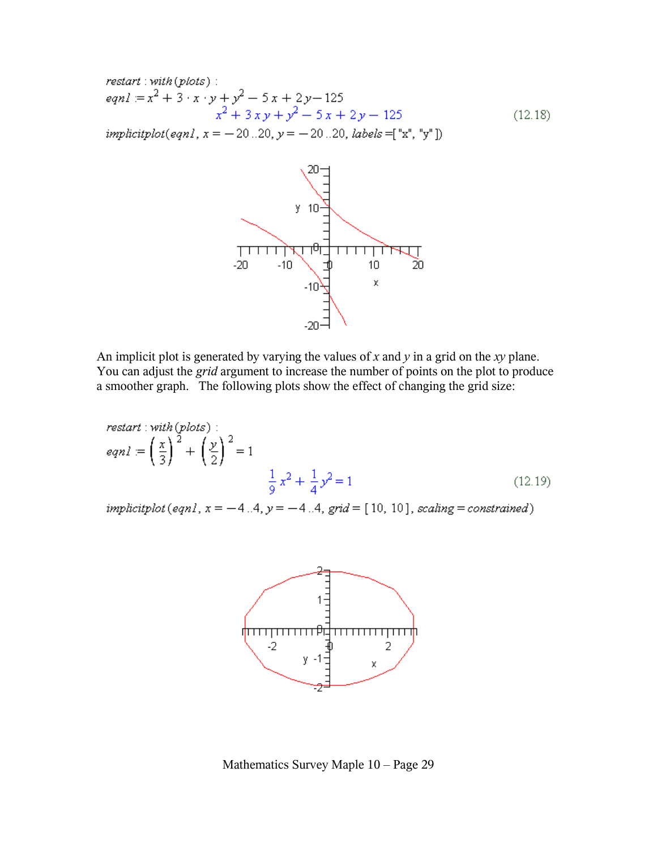$$
restart: with (plots):
$$
  
\n
$$
eqnl := x^{2} + 3 \cdot x \cdot y + y^{2} - 5x + 2y - 125
$$
  
\n
$$
x^{2} + 3xy + y^{2} - 5x + 2y - 125
$$
\n(12.18)

*implicitplot*(*eqn1*,  $x = -20...20$ ,  $y = -20...20$ , *labels* = ["x", "y"])



An implicit plot is generated by varying the values of *x* and *y* in a grid on the *xy* plane. You can adjust the *grid* argument to increase the number of points on the plot to produce a smoother graph. The following plots show the effect of changing the grid size:

$$
restart: with (plots):
$$
  

$$
eqnl := \left(\frac{x}{3}\right)^2 + \left(\frac{y}{2}\right)^2 = 1
$$
  

$$
\frac{1}{9}x^2 + \frac{1}{4}y^2 = 1
$$
 (12.19)

implicitplot (eqn1,  $x = -4.4$ ,  $y = -4.4$ , grid = [10, 10], scaling = constrained)



Mathematics Survey Maple 10 – Page 29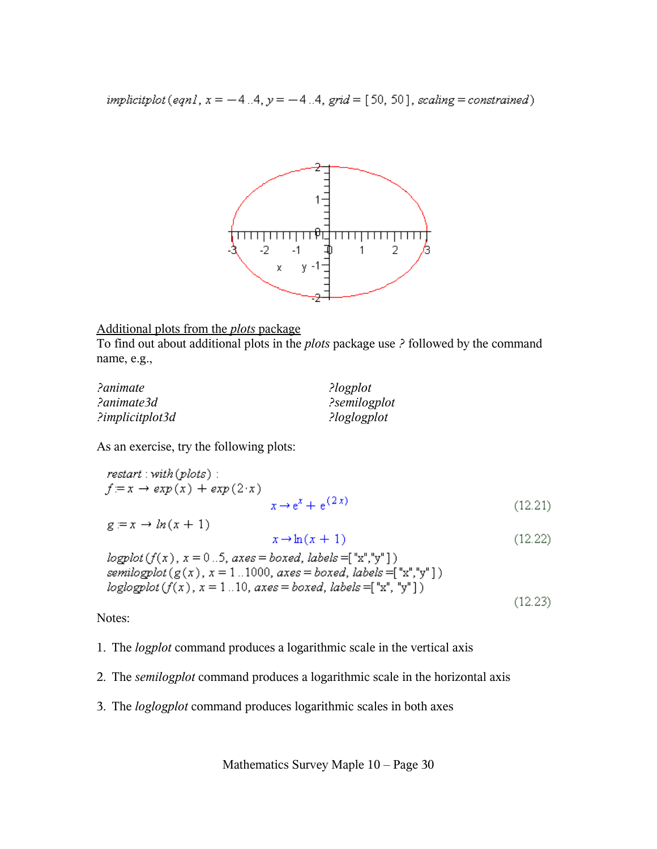implicitplot (eqn1,  $x = -4.4$ ,  $y = -4.4$ , grid = [50, 50], scaling = constrained)



#### Additional plots from the *plots* package

To find out about additional plots in the *plots* package use *?* followed by the command name, e.g.,

| ?animate        | ?logplot     |
|-----------------|--------------|
| ?animate3d      | ?semilogplot |
| ?implicitplot3d | ?loglogplot  |

As an exercise, try the following plots:

$$
restart: with (plots):
$$
  

$$
f := x \rightarrow exp(x) + exp(2 \cdot x)
$$
  

$$
x \rightarrow e^{x} + e^{(2x)}
$$
 (12.21)

$$
g := x \to \ln(x+1) \tag{12.22}
$$
\n
$$
x \to \ln(x+1) \tag{12.23}
$$

 $logplot(f(x), x = 0..5, axes = boxed, labels = ["x", "y"])$ semilogplot( $g(x)$ ,  $x = 1$ ...1000, axes = boxed, labels = ["x","y"])  $loglogplot(f(x), x = 1..10, axes = boxed, labels = ['x", 'y"])$  $(12.23)$ 

Notes:

1. The *logplot* command produces a logarithmic scale in the vertical axis

- 2. The *semilogplot* command produces a logarithmic scale in the horizontal axis
- 3. The *loglogplot* command produces logarithmic scales in both axes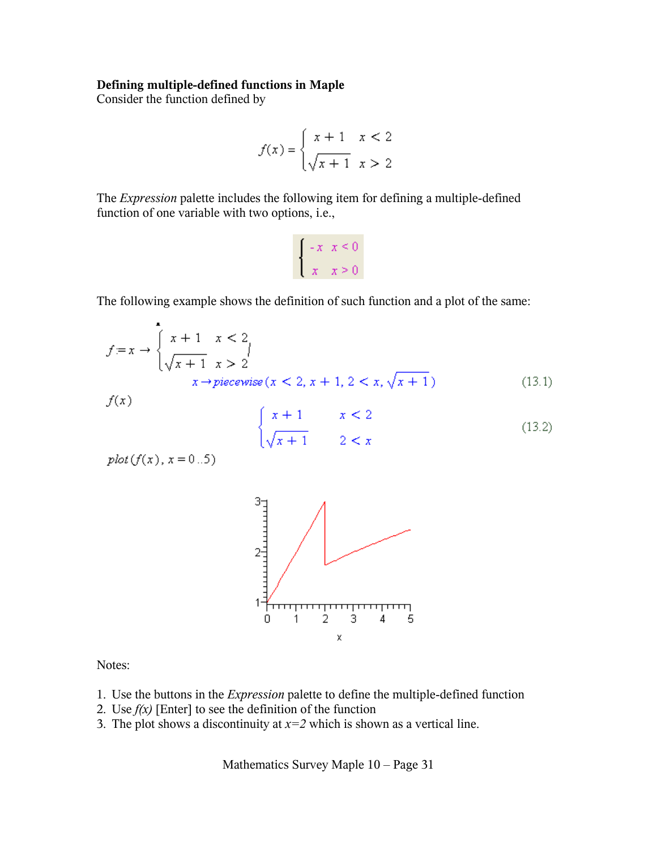#### **Defining multiple-defined functions in Maple**

Consider the function defined by

$$
f(x) = \begin{cases} x+1 & x < 2 \\ \sqrt{x+1} & x > 2 \end{cases}
$$

The *Expression* palette includes the following item for defining a multiple-defined function of one variable with two options, i.e.,

$$
\begin{cases}\n-x & x \le 0 \\
x & x \ge 0\n\end{cases}
$$

The following example shows the definition of such function and a plot of the same:

$$
f = x \to \begin{cases} x + 1 & x < 2 \\ \sqrt{x + 1} & x > 2 \end{cases}
$$
  

$$
x \to piecewise (x < 2, x + 1, 2 < x, \sqrt{x + 1})
$$
 (13.1)

 $f(x)$ 

$$
\begin{cases} x+1 & x < 2\\ \sqrt{x+1} & 2 < x \end{cases} \tag{13.2}
$$

 $plot(f(x), x = 0..5)$ 



Notes:

- 1. Use the buttons in the *Expression* palette to define the multiple-defined function
- 2. Use *f(x)* [Enter] to see the definition of the function
- 3. The plot shows a discontinuity at  $x=2$  which is shown as a vertical line.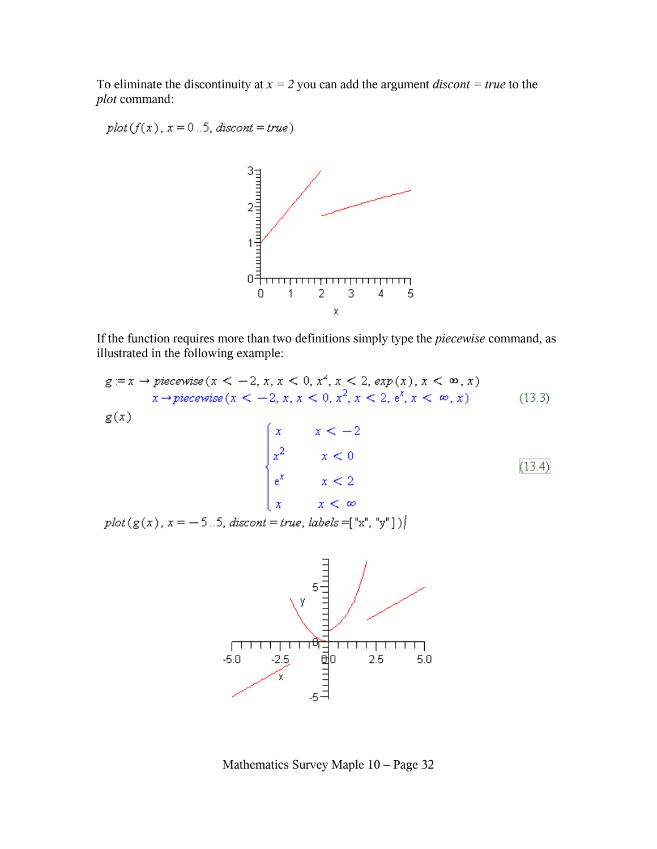To eliminate the discontinuity at  $x = 2$  you can add the argument *discont* = true to the *plot* command:

 $plot(f(x), x = 0..5, discount = true)$ 



If the function requires more than two definitions simply type the *piecewise* command, as illustrated in the following example:

$$
g := x \rightarrow piecewise(x < -2, x, x < 0, x^2, x < 2, exp(x), x < \infty, x)
$$
\n
$$
x \rightarrow piecewise(x < -2, x, x < 0, x^2, x < 2, e^x, x < \infty, x) \tag{13.3}
$$
\n
$$
g(x)
$$

$$
\begin{cases}\n x & x < -2 \\
 x^2 & x < 0 \\
 e^x & x < 2 \\
 x & x < \infty\n\end{cases}
$$
\n(13.4)

 $plot(g(x), x = -5..5, discount = true, labels = ["x", "y"]$ 



Mathematics Survey Maple 10 – Page 32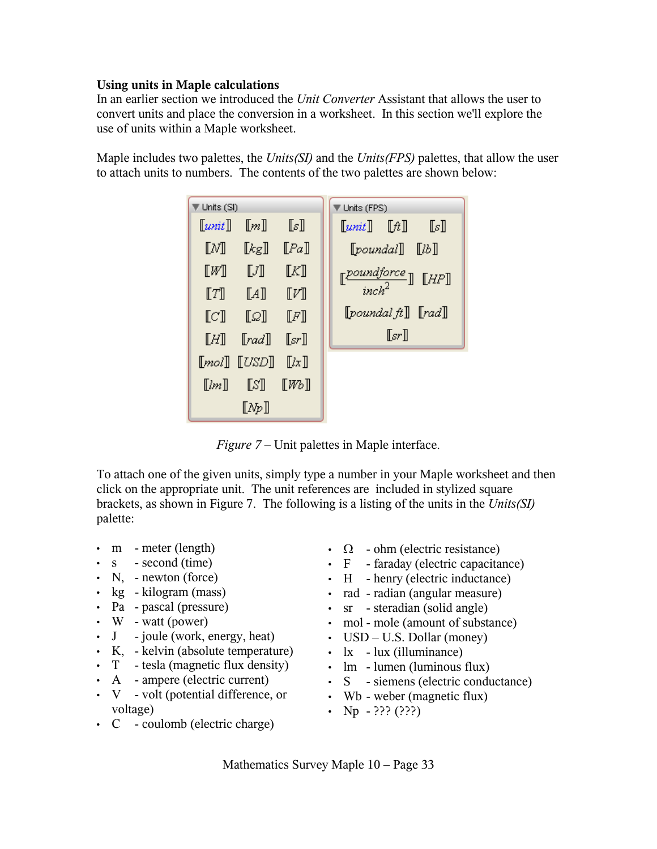## **Using units in Maple calculations**

In an earlier section we introduced the *Unit Converter* Assistant that allows the user to convert units and place the conversion in a worksheet. In this section we'll explore the use of units within a Maple worksheet.

Maple includes two palettes, the *Units(SI)* and the *Units(FPS)* palettes, that allow the user to attach units to numbers. The contents of the two palettes are shown below:



*Figure 7* – Unit palettes in Maple interface.

To attach one of the given units, simply type a number in your Maple worksheet and then click on the appropriate unit. The unit references are included in stylized square brackets, as shown in Figure 7. The following is a listing of the units in the *Units(SI)* palette:

- m meter (length)
- s second (time)
- N, newton (force)
- kg kilogram (mass)
- Pa pascal (pressure)
- W watt (power)
- J joule (work, energy, heat)
- K, kelvin (absolute temperature)
- T tesla (magnetic flux density)
- A ampere (electric current)
- V volt (potential difference, or voltage)
- C coulomb (electric charge)
- $\Omega$  ohm (electric resistance)
- F faraday (electric capacitance)
- H henry (electric inductance)
- rad radian (angular measure)
- sr steradian (solid angle)
- mol mole (amount of substance)
- USD U.S. Dollar (money)
- $\cdot$  lx lux (illuminance)
- lm lumen (luminous flux)
- S siemens (electric conductance)
- Wb weber (magnetic flux)
- Np  $-$  ??? (???)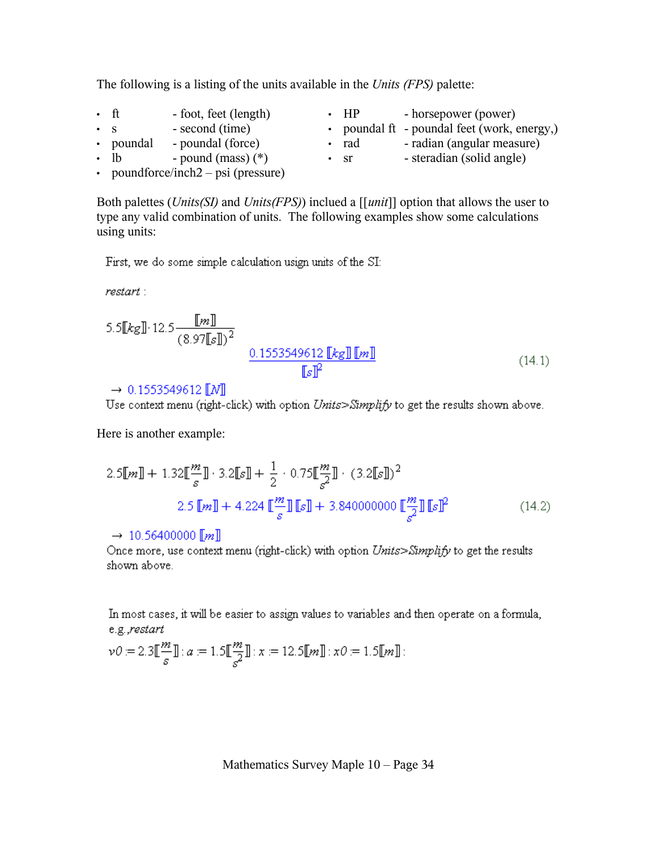| The following is a listing of the units available in the Units (FPS) palette: |  |  |  |  |  |  |
|-------------------------------------------------------------------------------|--|--|--|--|--|--|
|                                                                               |  |  |  |  |  |  |

|           | • ft       | - foot, feet (length) | <b>HP</b> | - horsepower (power)                        |
|-----------|------------|-----------------------|-----------|---------------------------------------------|
| $\cdot$ S |            | - second (time)       |           | • poundal ft - poundal feet (work, energy,) |
|           | • poundal  | - poundal (force)     | rad       | - radian (angular measure)                  |
|           | $\cdot$ lb | - pound (mass) $(*)$  | -Sr       | - steradian (solid angle)                   |
|           |            |                       |           |                                             |

• poundforce/inch2 – psi (pressure)

Both palettes (*Units(SI)* and *Units(FPS)*) inclued a [[*unit*]] option that allows the user to type any valid combination of units. The following examples show some calculations using units:

First, we do some simple calculation usign units of the SI:

 $\mathit{restart}$ :

5.5[[kg]]·12.5
$$
\frac{[[m]]}{(8.97[[s]])^2}
$$

$$
\frac{0.1553549612[[kg]][[m]]}{[[s]]^2}
$$
(14.1)

#### $\rightarrow 0.1553549612$  [N]

Use context menu (right-click) with option Units>Simplify to get the results shown above.

Here is another example:

$$
2.5[[m]] + 1.32[[\frac{m}{s}]] \cdot 3.2[[s]] + \frac{1}{2} \cdot 0.75[[\frac{m}{s^2}]] \cdot (3.2[[s]])^2
$$
  

$$
2.5[[m]] + 4.224[[\frac{m}{s}]][[s]] + 3.840000000[[\frac{m}{s^2}]][[s]]^2
$$
 (14.2)

#### $\rightarrow$  10.56400000 [*m*]

Once more, use context menu (right-click) with option Units>Simplify to get the results shown above.

In most cases, it will be easier to assign values to variables and then operate on a formula, e.g.,restart

$$
\nu 0 := 2.3 \llbracket \frac{m}{s} \rrbracket : a := 1.5 \llbracket \frac{m}{s^2} \rrbracket : x := 12.5 \llbracket m \rrbracket : x0 := 1.5 \llbracket m \rrbracket :
$$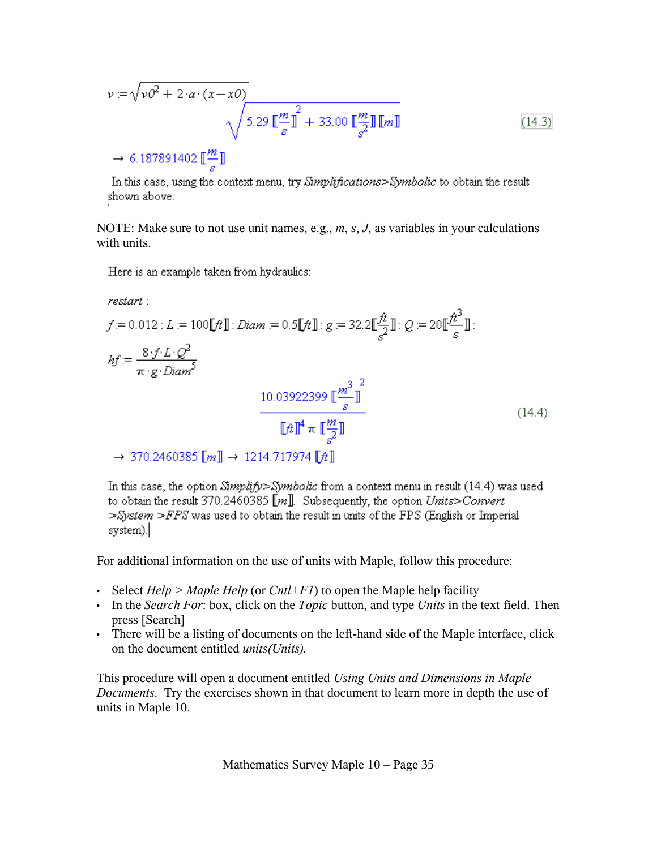$$
v = \sqrt{vO^2 + 2 \cdot a \cdot (x - x0)}
$$
  

$$
\sqrt{5.29 \left[\frac{m}{s}\right]^{2} + 33.00 \left[\frac{m}{s}\right] \left[m\right]}
$$
  

$$
\rightarrow 6.187891402 \left[\frac{m}{s}\right]
$$
 (14.3)

In this case, using the context menu, try Simplifications>Symbolic to obtain the result shown above.

NOTE: Make sure to not use unit names, e.g., *m*, *s*, *J*, as variables in your calculations with units.

Here is an example taken from hydraulics:

$$
restart:
$$
\n
$$
f = 0.012 : L = 100[[ft]] : Diam = 0.5[[ft]] : g = 32.2[[\frac{ft}{s}]] : Q = 20[[\frac{ft^3}{s}]] :
$$
\n
$$
hf = \frac{8 \cdot f \cdot L \cdot Q^2}{\pi \cdot g \cdot Diam^5}
$$
\n
$$
10.03922399 [[\frac{m^3}{s}]]^2
$$
\n
$$
= \frac{[ft]^4 \pi [[\frac{m}{s}]]}{[[ft]^4 \pi [[\frac{m}{s}]]}
$$
\n
$$
= 370.2460385 [[m]] → 1214.717974 [[ft]]
$$
\n(14.4)

In this case, the option  $Simplify > Symbolic$  from a context menu in result (14.4) was used to obtain the result 370.2460385  $[[m]]$ . Subsequently, the option Units>Convert  $>$ System  $>$  FPS was used to obtain the result in units of the FPS (English or Imperial system).

For additional information on the use of units with Maple, follow this procedure:

- Select *Help > Maple Help* (or *Cntl+F1*) to open the Maple help facility
- In the *Search For*: box, click on the *Topic* button, and type *Units* in the text field. Then press [Search]
- There will be a listing of documents on the left-hand side of the Maple interface, click on the document entitled *units(Units).*

This procedure will open a document entitled *Using Units and Dimensions in Maple Documents*. Try the exercises shown in that document to learn more in depth the use of units in Maple 10.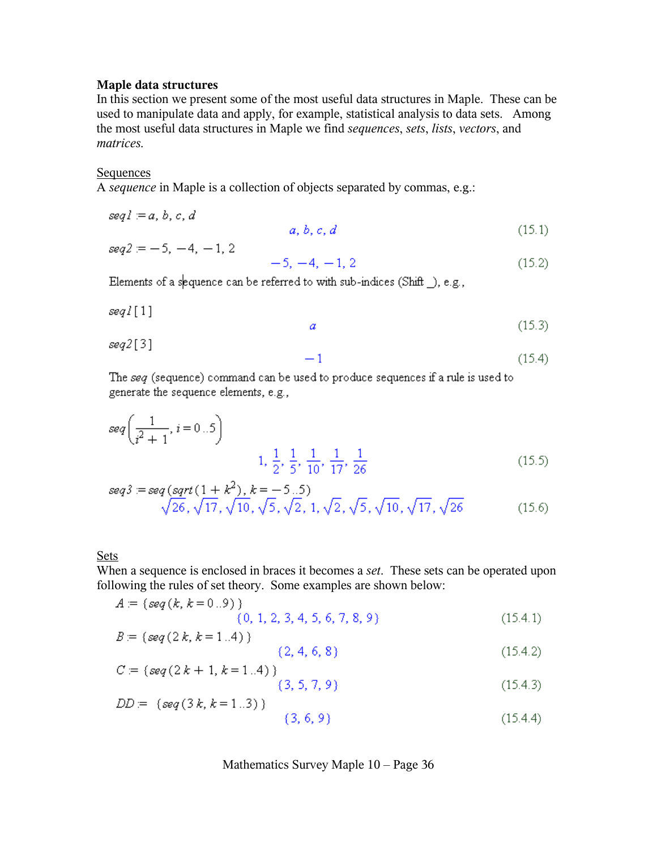#### **Maple data structures**

In this section we present some of the most useful data structures in Maple. These can be used to manipulate data and apply, for example, statistical analysis to data sets. Among the most useful data structures in Maple we find *sequences*, *sets*, *lists*, *vectors*, and *matrices.*

#### Sequences

A *sequence* in Maple is a collection of objects separated by commas, e.g.:

$$
seq1 = a, b, c, d
$$
  
\n
$$
seq2 = -5, -4, -1, 2
$$
  
\n
$$
-5, -4, -1, 2
$$
\n(15.1)  
\n(15.2)

Elements of a sequence can be referred to with sub-indices (Shift \_), e.g.,

$$
seq1[1]
$$

 $(15.4)$ 

$$
seq2[3] \qquad -1
$$

The seq (sequence) command can be used to produce sequences if a rule is used to generate the sequence elements, e.g.,

$$
seq\left(\frac{1}{i^2+1}, i=0..5\right)
$$
\n
$$
1, \frac{1}{2}, \frac{1}{5}, \frac{1}{10}, \frac{1}{17}, \frac{1}{26}
$$
\n
$$
(15.5)
$$

$$
seq3 := seq (sqrt(1 + k^2), k = -5..5)
$$
  
\n
$$
\sqrt{26}, \sqrt{17}, \sqrt{10}, \sqrt{5}, \sqrt{2}, 1, \sqrt{2}, \sqrt{5}, \sqrt{10}, \sqrt{17}, \sqrt{26}
$$
\n(15.6)

#### Sets

When a sequence is enclosed in braces it becomes a *set*. These sets can be operated upon following the rules of set theory. Some examples are shown below:

$$
A = \{seq(k, k = 0..9) \}
$$
  
(0, 1, 2, 3, 4, 5, 6, 7, 8, 9) (15.4.1)

$$
B = \{ \text{seq}(2k, k=1..4) \} \tag{2, 4, 6, 8} \tag{15.4.2}
$$

$$
C = \{ \text{seq}(2k + 1, k = 1..4) \}
$$
  
(3, 5, 7, 9) (15.4.3)

$$
DD = \{seq(3k, k = 1..3) \}
$$
  
(3, 6, 9) (15.4.4)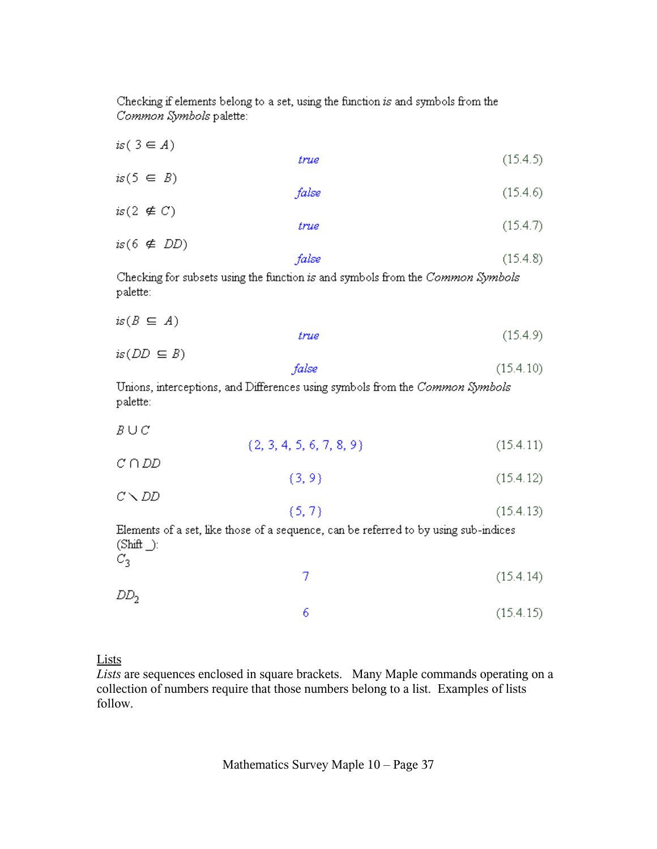Checking if elements belong to a set, using the function is and symbols from the Common Symbols palette:

| is $(3 \in A)$        |                                                                                      |           |
|-----------------------|--------------------------------------------------------------------------------------|-----------|
|                       | true                                                                                 | (15.4.5)  |
| $is(5 \in B)$         |                                                                                      |           |
|                       | false                                                                                | (15.4.6)  |
| is $(2 \notin C)$     |                                                                                      |           |
|                       | true                                                                                 | (15.4.7)  |
| is $(6 \notin DD)$    |                                                                                      |           |
|                       | false                                                                                | (15.4.8)  |
| palette:              | Checking for subsets using the function is and symbols from the Common Symbols       |           |
| $is(B \subseteq A)$   |                                                                                      |           |
|                       | true                                                                                 | (15.4.9)  |
| $is(DD \subseteq B)$  |                                                                                      |           |
|                       | false                                                                                | (15.4.10) |
| palette:              | Unions, interceptions, and Differences using symbols from the Common Symbols         |           |
| $B \cup C$            |                                                                                      |           |
|                       | $\{2, 3, 4, 5, 6, 7, 8, 9\}$                                                         | (15.4.11) |
| $C \cap DD$           |                                                                                      |           |
|                       | $\{3, 9\}$                                                                           | (15.4.12) |
| $C \setminus DD$      |                                                                                      |           |
|                       | (5, 7)                                                                               | (15.4.13) |
| $(Shif. )$ :<br>$C_3$ | Elements of a set, like those of a sequence, can be referred to by using sub-indices |           |
|                       | 7                                                                                    | (15.4.14) |
| DD <sub>2</sub>       |                                                                                      |           |

Lists

*Lists* are sequences enclosed in square brackets. Many Maple commands operating on a collection of numbers require that those numbers belong to a list. Examples of lists follow.

6

 $(15.4.15)$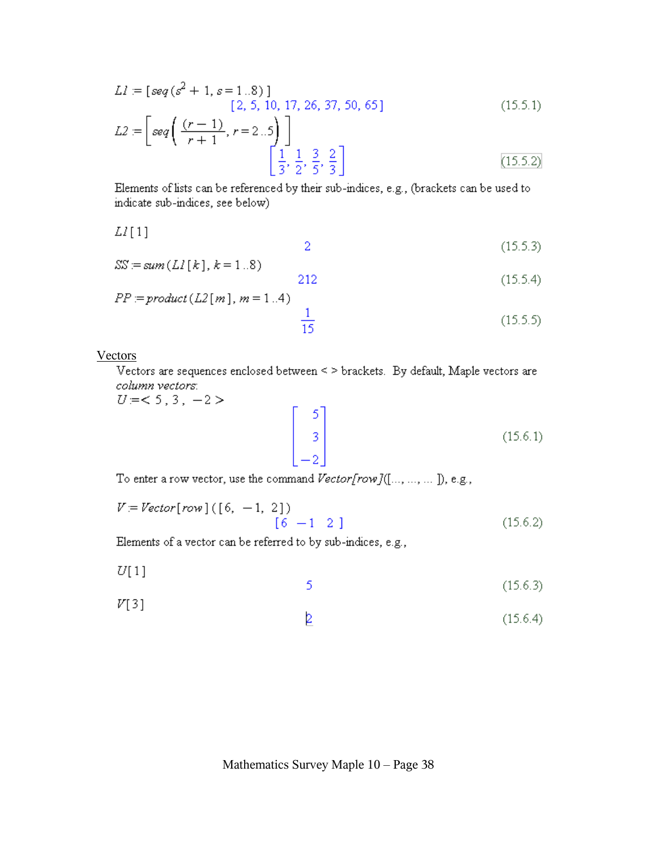$$
LI = [seq(s2 + 1, s = 1..8)]
$$
  
[2, 5, 10, 17, 26, 37, 50, 65]  

$$
L2 = [seq \left( \frac{(r-1)}{1}, r = 2..5 \right)]
$$
 (15.5.1)

$$
\begin{bmatrix} 3s \ 4 & r+1 \end{bmatrix}, r-2... \begin{bmatrix} 1 & 3 & 2 \\ \frac{1}{3} & \frac{1}{2} & \frac{3}{5} & \frac{2}{3} \end{bmatrix}
$$
 (15.5.2)

Elements of lists can be referenced by their sub-indices, e.g., (brackets can be used to indicate sub-indices, see below)

$$
LI[1]
$$

$$
SS = sum(L1[k], k = 1..8)
$$
  
212 (15.5.4)

$$
PP := product(L2[m], m = 1..4)
$$

$$
\frac{1}{15}
$$
(15.5.5)

**Vectors** 

Vectors are sequences enclosed between < > brackets. By default, Maple vectors are column vectors:

 $U = < 5, 3, -2>$ 

$$
\begin{bmatrix} 5 \\ 3 \\ -2 \end{bmatrix}
$$
 (15.6.1)

To enter a row vector, use the command Vector[row]([..., ..., ...]), e.g.,

$$
V = Vector[row] ([6, -1, 2])
$$
  
[6 -1 2 ] (15.6.2)

Elements of a vector can be referred to by sub-indices, e.g.,

- $U[1]$ 5  $(15.6.3)$
- $V[3]$ 2  $(15.6.4)$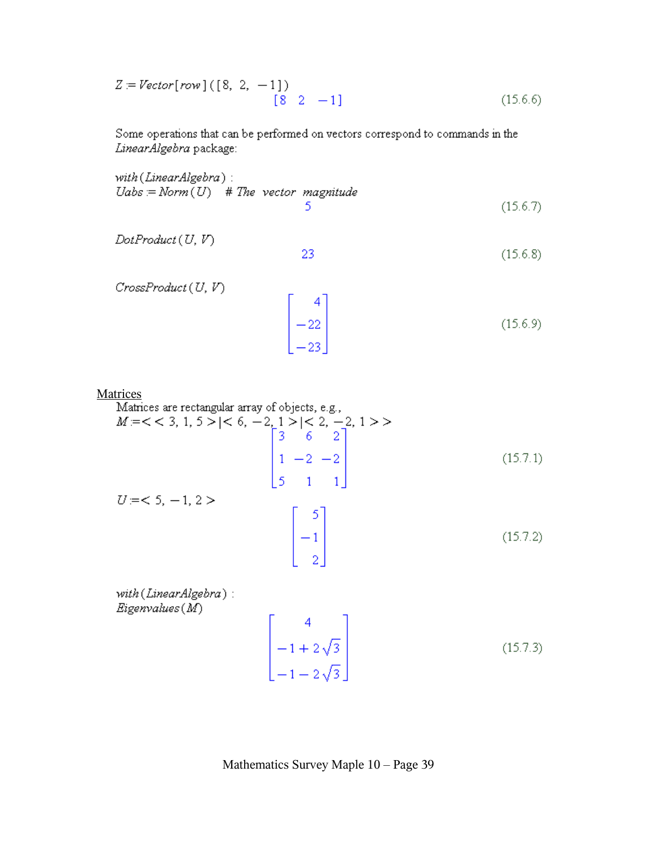$$
Z = Vector[row] ([8, 2, -1])
$$
  
[8 2 -1] (15.6.6)

Some operations that can be performed on vectors correspond to commands in the LinearAlgebra package:

with (LinearAlgebra):  $Uabs = Norm(U)$  # The vector magnitude 5  $(15.6.7)$ 

$$
DotProduct(U, V)
$$

23  $(15.6.8)$ 

 $CrossProduct(U, V)$ 

$$
\begin{bmatrix} 4 \\ -22 \\ -23 \end{bmatrix}
$$
 (15.6.9)

Matrices

Matrices are rectangular array of objects, e.g.,  
\n
$$
M = \langle \langle 3, 1, 5 \rangle | \langle 6, -2, 1 \rangle | \langle 2, -2, 1 \rangle \rangle
$$
  
\n $\begin{bmatrix}\n3 & 6 & 2 \\
1 & -2 & -2 \\
5 & 1 & 1\n\end{bmatrix}$ \n(15.7.1)  
\n $U = \langle 5, -1, 2 \rangle$   
\n $\begin{bmatrix}\n5 \\
-1 \\
2\n\end{bmatrix}$ \n(15.7.2)

with (LinearAlgebra):  $Eigenvalues(M)$ 

$$
\begin{bmatrix} 4 \\ -1 + 2\sqrt{3} \\ -1 - 2\sqrt{3} \end{bmatrix}
$$
 (15.7.3)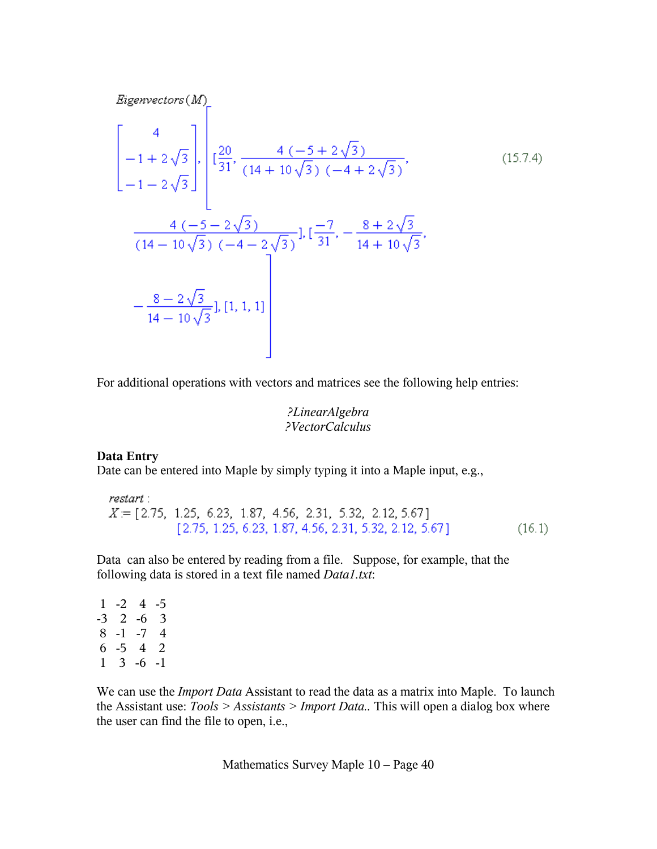Eigenvectors(M)  
\n
$$
\begin{bmatrix}\n4 \\
-1+2\sqrt{3} \\
-1-2\sqrt{3}\n\end{bmatrix}, \begin{bmatrix}\n20 \\
131 \\
14+10\sqrt{3} \quad (-4+2\sqrt{3}) \\
14-10\sqrt{3} \quad (-4-2\sqrt{3})\n\end{bmatrix}, \begin{bmatrix}\n-7 \\
14+10\sqrt{3} \\
14+10\sqrt{3}\n\end{bmatrix}, \begin{bmatrix}\n8+2\sqrt{3} \\
14+10\sqrt{3}\n\end{bmatrix},
$$
\n(15.7.4)  
\n
$$
-\frac{8-2\sqrt{3}}{14-10\sqrt{3}}], [1, 1, 1]
$$
\n
$$
\begin{bmatrix}\n1 & 1 & 1 \\
1 & 1 & 1\n\end{bmatrix}
$$

For additional operations with vectors and matrices see the following help entries:

*?LinearAlgebra ?VectorCalculus*

### **Data Entry**

Date can be entered into Maple by simply typing it into a Maple input, e.g.,

restart:  $X = [2.75, 1.25, 6.23, 1.87, 4.56, 2.31, 5.32, 2.12, 5.67]$  $[2.75, 1.25, 6.23, 1.87, 4.56, 2.31, 5.32, 2.12, 5.67]$  $(16.1)$ 

Data can also be entered by reading from a file. Suppose, for example, that the following data is stored in a text file named *Data1.txt*:

 $1 -2 4 -5$ -3 2 -6 3 8 -1 -7 4 6 -5 4 2  $1 \quad 3 \quad -6 \quad -1$ 

We can use the *Import Data* Assistant to read the data as a matrix into Maple. To launch the Assistant use: *Tools > Assistants > Import Data..* This will open a dialog box where the user can find the file to open, i.e.,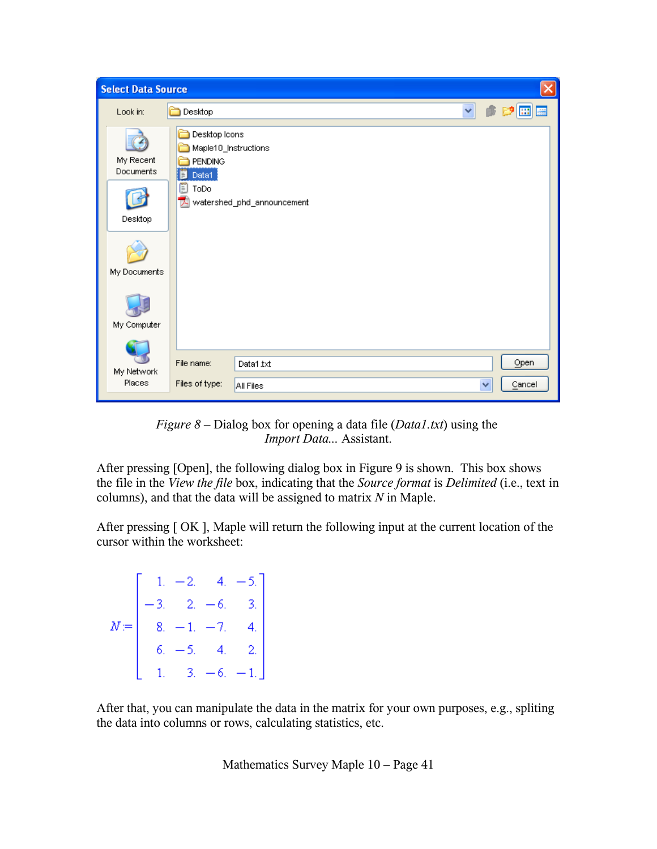| <b>Select Data Source</b>                         |                                                                                    |                                     |  |   | ×              |
|---------------------------------------------------|------------------------------------------------------------------------------------|-------------------------------------|--|---|----------------|
| Look in:                                          | Desktop                                                                            |                                     |  | Ÿ | <b>H</b>       |
| My Recent<br>Documents<br>Desktop<br>My Documents | Desktop Icons<br>Maple10_Instructions<br><b>PENDING</b><br>Data1<br>F<br>f<br>ToDo | <b>A</b> watershed_phd_announcement |  |   |                |
| My Computer                                       |                                                                                    |                                     |  |   |                |
| My Network<br>Places                              | File name:<br>Files of type:                                                       | Data1.txt<br>All Files              |  | × | Open<br>Cancel |

*Figure 8* – Dialog box for opening a data file (*Data1.txt*) using the *Import Data...* Assistant.

After pressing [Open], the following dialog box in Figure 9 is shown. This box shows the file in the *View the file* box, indicating that the *Source format* is *Delimited* (i.e., text in columns), and that the data will be assigned to matrix *N* in Maple.

After pressing [ OK ], Maple will return the following input at the current location of the cursor within the worksheet:

 $N = \begin{bmatrix} 1. & -2. & 4. & -5. \\ -3. & 2. & -6. & 3. \\ 8. & -1. & -7. & 4. \\ 6. & -5. & 4. & 2. \\ 1. & 2. & 5. & 1. \end{bmatrix}$ 

After that, you can manipulate the data in the matrix for your own purposes, e.g., spliting the data into columns or rows, calculating statistics, etc.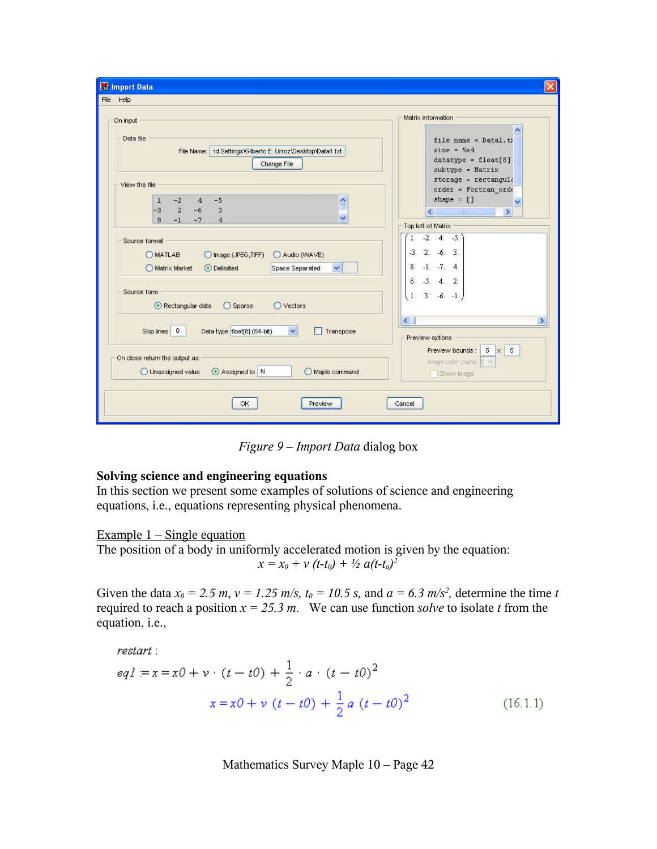| <b>Ext</b> Import Data                                                                                                          |                                                                                           |
|---------------------------------------------------------------------------------------------------------------------------------|-------------------------------------------------------------------------------------------|
| File Help                                                                                                                       |                                                                                           |
| On input                                                                                                                        | Matrix information                                                                        |
| Data file<br>nd Settings\Gilberto E. Urroz\Desktop\Data1.txt<br>File Name:<br>Change File                                       | file name = $Data1.t$<br>$size = 5x4$<br>$datatype = float[8]$<br>subtype = Matrix        |
| View the file                                                                                                                   | $store = rectangle$<br>$order = Fortran ordt$                                             |
| $-5$<br>$\geq$<br>$-2$<br>$\overline{4}$<br>1<br>$-3$<br>$\overline{2}$<br>$-6$<br>3<br>$\ddotmark$                             | shape $= []$<br>$\checkmark$<br>$\left\langle \cdot \right\rangle$<br>$\rightarrow$<br>Ⅲ. |
| 8<br>$-7$<br>$\overline{4}$<br>$-1$                                                                                             | Top left of Matrix                                                                        |
| Source format<br><b>OMATLAB</b><br>Audio (WAVE)<br>C Image (JPEG, TIFF)<br>Matrix Market<br>⊙ Delimited<br>Space Separated<br>v | $-2.4$<br>1.<br>$-5.$<br>$-3, 2,$<br>$-6, 3.$<br>$8. -1. -7. 4.$                          |
| Source form<br>Rectangular data<br>◯ Sparse<br>O Vectors                                                                        | $6. -5. 4. 2.$<br>$1. 3. -6. -1.$                                                         |
| Data type float[8] (64-bit)<br>Skip lines 0<br>$\checkmark$<br>Transpose                                                        | $\leftarrow$<br>$\blacktriangleright$<br>Preview options                                  |
| On close return the output as:<br>Assigned to N<br>O Unassigned value<br>Maple command                                          | Preview bounds:<br>5<br>5<br>X<br>Image color plane:  1 \<br>Show image                   |
| Preview<br>OK.                                                                                                                  | Cancel                                                                                    |

*Figure 9* – *Import Data* dialog box

### **Solving science and engineering equations**

In this section we present some examples of solutions of science and engineering equations, i.e., equations representing physical phenomena.

### Example  $1 -$  Single equation

The position of a body in uniformly accelerated motion is given by the equation:  $x = x_0 + v(t-t_0) + \frac{1}{2} a(t-t_0)^2$ 

Given the data  $x_0 = 2.5$  m,  $v = 1.25$  m/s,  $t_0 = 10.5$  s, and  $a = 6.3$  m/s<sup>2</sup>, determine the time *t* required to reach a position  $x = 25.3$  m. We can use function *solve* to isolate *t* from the equation, i.e.,

$$
restart : eq1 := x = x0 + v \cdot (t - t0) + \frac{1}{2} \cdot a \cdot (t - t0)^{2}
$$

$$
x = x0 + v \cdot (t - t0) + \frac{1}{2} a \cdot (t - t0)^{2}
$$
(16.1.1)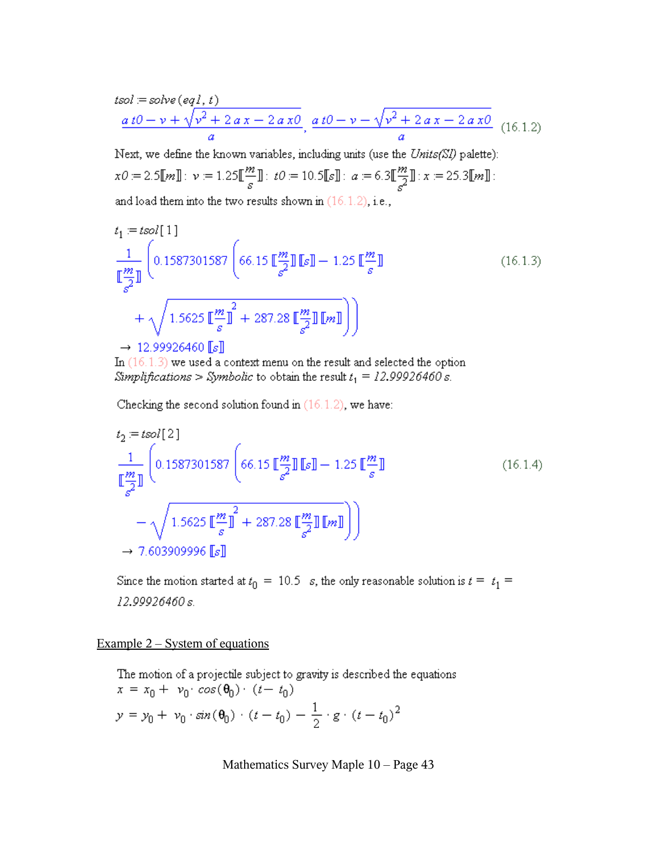$$
tsol := solve\left(eql, t\right)
$$
\n
$$
\frac{a\,t0 - v + \sqrt{v^2 + 2\,a\,x - 2\,a\,x0}}{a}, \frac{a\,t0 - v - \sqrt{v^2 + 2\,a\,x - 2\,a\,x0}}{a} \quad (16.1.2)
$$

Next, we define the known variables, including units (use the Units(SI) palette):  $x0 := 2.5 \llbracket m \rrbracket : \ \nu := 1.25 \llbracket \frac{m}{s} \rrbracket : \ t0 := 10.5 \llbracket s \rrbracket : \ a := 6.3 \llbracket \frac{m}{s^2} \rrbracket : x := 25.3 \llbracket m \rrbracket :$ and load them into the two results shown in  $(16.1.2)$ , i.e.,

$$
t_{1} = t\text{sol}[1]
$$
\n
$$
\frac{1}{\mathbb{E}\left[\frac{m}{s^{2}}\right]} \left( 0.1587301587 \left( 66.15 \mathbb{E}\left[\frac{m}{s^{2}}\right] \mathbb{E}\mathbb{I} - 1.25 \mathbb{E}\left[\frac{m}{s}\right] \right) \right)
$$
\n
$$
+ \sqrt{1.5625 \mathbb{E}\left[\frac{m}{s}\right]^{2} + 287.28 \mathbb{E}\left[\frac{m}{s^{2}}\right] \mathbb{E}m\mathbb{I}} \right)}
$$
\n
$$
\rightarrow 12.99926460 \mathbb{E}\mathbb{I}
$$
\n(16.1.3)

In  $(16.1.3)$  we used a context menu on the result and selected the option Simplifications > Symbolic to obtain the result  $t_1 = 12.99926460 s$ .

Checking the second solution found in  $(16.1.2)$ , we have:

$$
t_2 = t \text{sol}[2]
$$
\n
$$
\frac{1}{\left[\frac{m}{\sigma^2}\right]} \left( 0.1587301587 \left( 66.15 \left[\frac{m}{\sigma^2}\right] \left[\left[s\right] - 1.25 \left[\frac{m}{\sigma}\right] \right] - \sqrt{1.5625 \left[\frac{m}{\sigma}\right]^2 + 287.28 \left[\frac{m}{\sigma^2}\right] \left[\left[m\right] \right]}\right)\right)
$$
\n
$$
\rightarrow 7.603909996 \left[\left[s\right]\right]
$$
\n
$$
(16.1.4)
$$

Since the motion started at  $t_0 = 10.5$  s, the only reasonable solution is  $t = t_1 =$ 12.99926460 s.

Example  $2 - System$  of equations

The motion of a projectile subject to gravity is described the equations  $x = x_0 + v_0 \cdot cos(\theta_0) \cdot (t - t_0)$  $y = y_0 + v_0 \cdot \sin(\theta_0) \cdot (t - t_0) - \frac{1}{2} \cdot g \cdot (t - t_0)^2$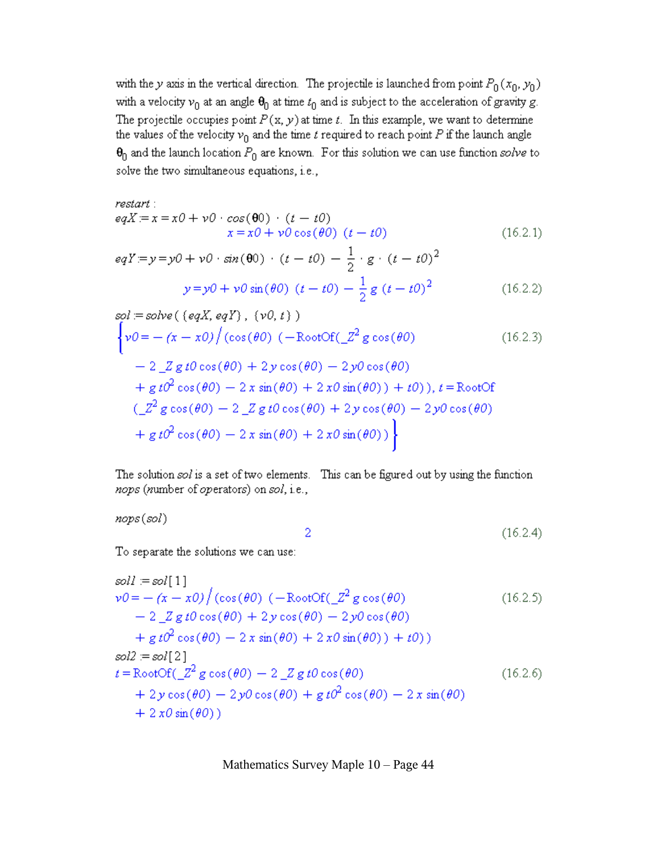with the y axis in the vertical direction. The projectile is launched from point  $P_0(x_0, y_0)$ with a velocity  $v_0$  at an angle  $\Theta_0$  at time  $t_0$  and is subject to the acceleration of gravity g. The projectile occupies point  $P(x, y)$  at time t. In this example, we want to determine the values of the velocity  $v_0$  and the time t required to reach point P if the launch angle  $\theta_0$  and the launch location  $P_0$  are known. For this solution we can use function solve to solve the two simultaneous equations, i.e.,

$$
restart :eqX := x = x0 + v0 \cdot cos(\theta0) \cdot (t - t0)x = x0 + v0 cos(\theta0) (t - t0)
$$
 (16.2.1)

$$
eqY = y = y0 + v0 \cdot \sin(\theta 0) \cdot (t - t0) - \frac{1}{2} \cdot g \cdot (t - t0)^2
$$
  

$$
y = y0 + v0 \sin(\theta 0) (t - t0) - \frac{1}{2} g (t - t0)^2
$$
 (16.2.2)

The solution sol is a set of two elements. This can be figured out by using the function nops (number of operators) on sol, i.e.,

nops(sol)

$$
2 \tag{16.2.4}
$$

To separate the solutions we can use:

$$
soll := sol[1]
$$
  
\n
$$
\nu 0 = -(\alpha - x0)/(\cos(\theta0) (-\text{RootOf}(\angle Z^2 g \cos(\theta0))
$$
 (16.2.5)  
\n
$$
-2 \angle Z g t0 \cos(\theta0) + 2y \cos(\theta0) - 2y0 \cos(\theta0)
$$
  
\n
$$
+ g t0^2 \cos(\theta0) - 2x \sin(\theta0) + 2x0 \sin(\theta0)) + t0)
$$
  
\n
$$
sol2 := sol[2]
$$
  
\n
$$
t = \text{RootOf}(\angle Z^2 g \cos(\theta0) - 2 \angle Z g t0 \cos(\theta0)
$$
  
\n
$$
+ 2y \cos(\theta0) - 2y0 \cos(\theta0) + g t0^2 \cos(\theta0) - 2x \sin(\theta0)
$$
  
\n
$$
+ 2x0 \sin(\theta0))
$$
  
\n(16.2.6)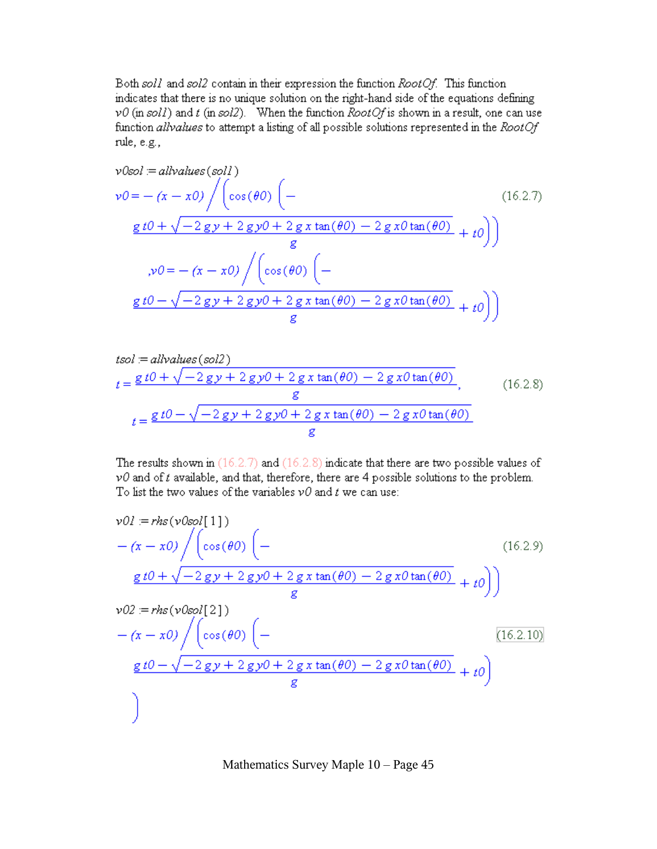Both soll and soll contain in their expression the function RootOf. This function indicates that there is no unique solution on the right-hand side of the equations defining  $v0$  (in soll) and t (in soll). When the function RootOf is shown in a result, one can use function allvalues to attempt a listing of all possible solutions represented in the RootOf rule, e.g.,

$$
v0sol = allvalues(soll)
$$
  
\n
$$
v0 = -(x - x0) / (cos(\theta0) (-
$$
  
\n
$$
\frac{g t0 + \sqrt{-2gy + 2gy0 + 2gx tan(\theta0) - 2gx0 tan(\theta0)}}{g} + t0)
$$
  
\n
$$
v0 = -(x - x0) / (cos(\theta0) (-
$$
  
\n
$$
\frac{g t0 - \sqrt{-2gy + 2gy0 + 2gx tan(\theta0) - 2gx0 tan(\theta0)}}{g} + t0)
$$
 (16.2.7)

$$
tsol := all values (sol2)
$$
  
\n
$$
t = \frac{g t0 + \sqrt{-2 gy + 2 gy0 + 2 g x \tan(\theta 0) - 2 g x 0 \tan(\theta 0)}}{g},
$$
 (16.2.8)  
\n
$$
t = \frac{g t0 - \sqrt{-2 gy + 2 gy0 + 2 g x \tan(\theta 0) - 2 g x 0 \tan(\theta 0)}}{g}
$$

The results shown in  $(16.2.7)$  and  $(16.2.8)$  indicate that there are two possible values of  $v0$  and of  $t$  available, and that, therefore, there are 4 possible solutions to the problem. To list the two values of the variables  $v0$  and t we can use:

$$
v01 = rhs(v0sol[1])
$$
  
\n
$$
-(x - x0) / (cos(\theta 0) (-
$$
  
\n
$$
\frac{g t0 + \sqrt{-2gy + 2gy0 + 2gx tan(\theta 0) - 2gx0 tan(\theta 0)}}{g} + t0)
$$
  
\n
$$
v02 = rhs(v0sol[2])
$$
  
\n
$$
-(x - x0) / (cos(\theta 0) (-
$$
  
\n
$$
\frac{g t0 - \sqrt{-2gy + 2gy0 + 2gx tan(\theta 0) - 2gx0 tan(\theta 0)}}{g} + t0)
$$
  
\n
$$
\left(\frac{16.2.10}{g}\right)
$$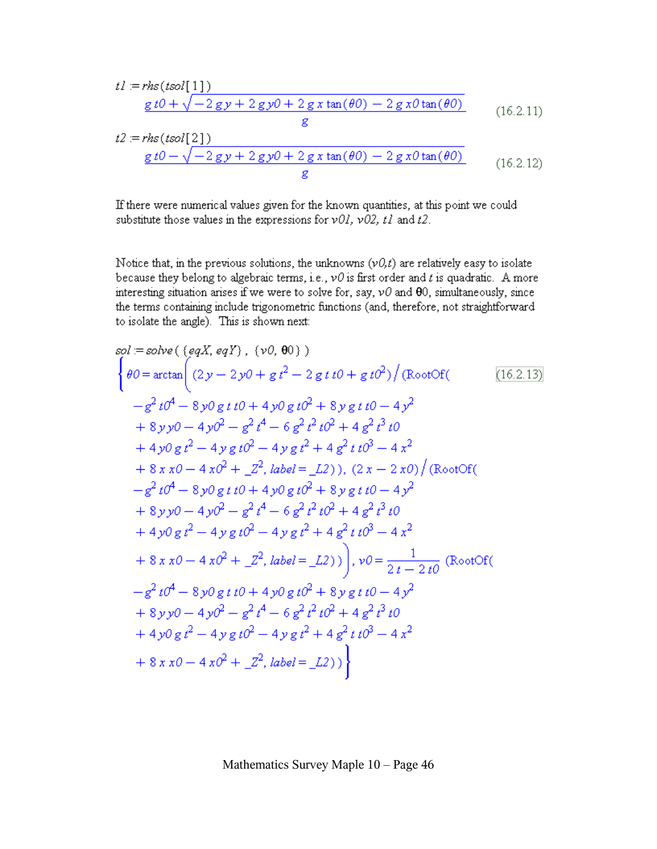$$
t1 = rhs(tsol[1])
$$
  
\n
$$
\underline{g t0 + \sqrt{-2gy + 2gy0 + 2gx \tan(\theta 0) - 2gx0 \tan(\theta 0)}}
$$
  
\n
$$
t2 = rhs(tsol[2])
$$
  
\n
$$
\underline{g t0 - \sqrt{-2gy + 2gy0 + 2gx \tan(\theta 0) - 2gx0 \tan(\theta 0)}}
$$
  
\n
$$
(16.2.11)
$$
  
\n
$$
\underline{g t0 - \sqrt{-2gy + 2gy0 + 2gx \tan(\theta 0) - 2gx0 \tan(\theta 0)}}
$$
  
\n
$$
(16.2.12)
$$

If there were numerical values given for the known quantities, at this point we could substitute those values in the expressions for  $v0l$ ,  $v02$ ,  $tl$  and  $t2$ .

Notice that, in the previous solutions, the unknowns  $(v0,t)$  are relatively easy to isolate because they belong to algebraic terms, i.e.,  $v0$  is first order and t is quadratic. A more interesting situation arises if we were to solve for, say,  $v0$  and  $\theta$ 0, simultaneously, since the terms containing include trigonometric functions (and, therefore, not straightforward to isolate the angle). This is shown next:

sol := solve({eqX, eqY}, {v0, 00})  
\n
$$
\begin{cases}\n\theta0 = \arctan\left((2y - 2y0 + g t^2 - 2gt t0 + gt0^2)\right)(\text{RootOf}(6) \\
-\frac{e^2 t0^4 - 8y0gt t0 + 4y0gt t0^2 + 8ygt t0 - 4y^2 \\
+ 8y y0 - 4y0^2 - \frac{e^2 t^4 - 6g^2 t^2 t0^2 + 4g^2 t^3 t0 \\
+ 4y0gt^2 - 4ygt t0^2 - 4ygt^2 + 4g^2 t t0^3 - 4x^2 \\
+ 8x x0 - 4x0^2 + z^2, label = L2), (2x - 2x0)/(\text{RootOf}(6) \\
-\frac{e^2 t0^4 - 8y0gt t0 + 4y0gt t0^2 + 8ygt t0 - 4y^2 \\
+ 8y y0 - 4y0^2 - \frac{e^2 t^4 - 6g^2 t^2 t0^2 + 4g^2 t^3 t0 \\
+ 4y0gt^2 - 4ygt t0^2 - 4ygt^2 + 4g^2 t t0^3 - 4x^2 \\
+ 8x x0 - 4x0^2 + z^2, label = L2))\big), v0 = \frac{1}{2t - 2t0}(\text{RootOf}(6) \\
-\frac{e^2 t0^4 - 8y0gt t0 + 4y0gt t0^2 + 8ygt t0 - 4y^2 \\
+ 8y y0 - 4y0^2 - \frac{e^2 t^4 - 6g^2 t^2 t0^2 + 4g^2 t^3 t0 \\
+ 4y0gt^2 - 4ygt^2 - \frac{e^2 t^4 - 6g^2 t^2 t0^2 + 4g^2 t^3 t0 \\
+ 4y0gt^2 - 4ygt^2 - \frac{e^2 t^4 - 6g^2 t^2 t0^2 + 4g^2 t^3 t0}{t^2 - 4ygt^2 - 4g^2 t^2 - 4g^2 t^2} \\
+ 8x x0 - 4x0^2 + z^2, label = L2)\big)\big\}
$$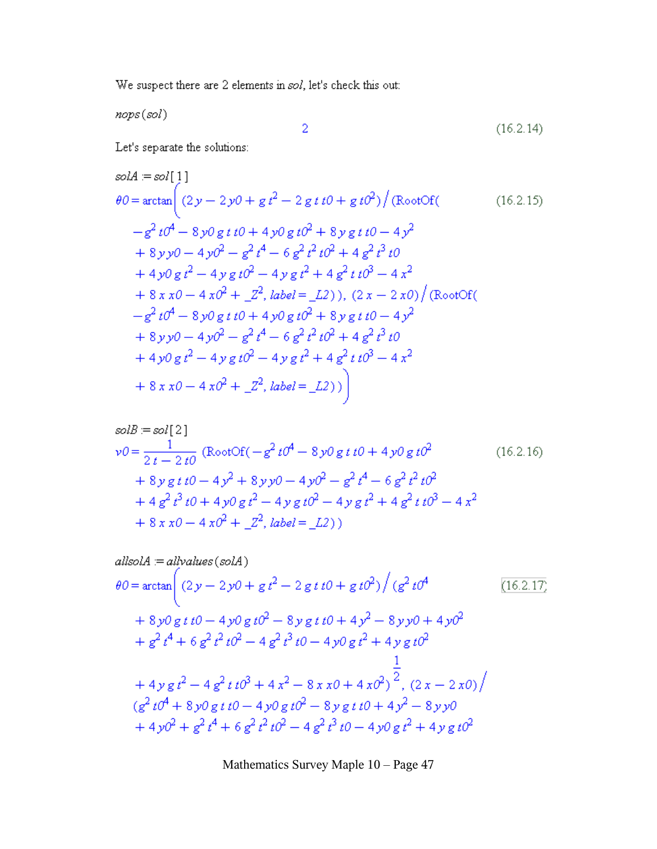We suspect there are 2 elements in  $sol$ , let's check this out:

 $\bar{2}$ 

nops(sol)

$$
(16.2.14)
$$

Let's separate the solutions:

$$
solA := sol[1]
$$
  
\n
$$
\theta0 = \arctan\left((2y - 2y0 + g t^2 - 2gt t t0 + gt t0^2) / (\text{RootOf}((16.2.15)
$$
  
\n
$$
-\frac{g^2}{t0^4} - 8y0gt t0 + 4y0gt t0^2 + 8ygt t0 - 4y^2
$$
  
\n
$$
+ 8y y0 - 4y0^2 - \frac{g^2}{t^4} - 6\frac{g^2}{t^2}t0^2 + 4\frac{g^2}{t^3}t0
$$
  
\n
$$
+ 4y0gt^2 - 4ygt t0^2 - 4ygt t^2 + 4\frac{g^2}{t^3}t0^3 - 4x^2
$$
  
\n
$$
+ 8x x0 - 4x0^2 + \frac{g^2}{t^2}, label = \frac{L}{2}), (2x - 2x0) / (\text{RootOf}((\frac{-g^2}{t0^4} - 8y0gt t0 + 4y0gt t0^2 + 8ygt t0 - 4y^2 + 8y y0 - 4y0^2 - \frac{g^2}{t^4} - 6\frac{g^2}{t^2}t0^2 + 4\frac{g^2}{t^3}t0 + 4y0gt^2 - 4ygt t0^2 - 4ygt^2 + 4\frac{g^2}{t^3}t0^3 - 4x^2
$$
  
\n
$$
+ 8x x0 - 4x0^2 + \frac{g^2}{t^2}, label = \frac{L}{2})
$$

$$
solB = sol[2]
$$
  
\n
$$
\nu 0 = \frac{1}{2t - 2t0} \left( \text{RootOf}(-g^2 t0^4 - 8y0 g t t0 + 4y0 g t0^2 + 8y g t t0 - 4y^2 + 8y y0 - 4y0^2 - g^2 t^4 - 6g^2 t^2 t0^2 + 4g^2 t^3 t0 + 4y0 g t^2 - 4y g t0^2 - 4y g t^2 + 4g^2 t t0^3 - 4x^2 + 8x x0 - 4x0^2 + 2^2, label = L2 \right)
$$
\n(16.2.16)

$$
allsolA := allvalues(solA)
$$
  
\n
$$
\theta0 = \arctan\left(\left(2y - 2y0 + g t^2 - 2 g t t0 + g t0^2\right) / \left(g^2 t0^4\right)\right)
$$
  
\n
$$
+ 8y0 g t t0 - 4y0 g t0^2 - 8y g t t0 + 4y^2 - 8y y0 + 4y0^2
$$
  
\n
$$
+ g^2 t^4 + 6 g^2 t^2 t0^2 - 4 g^2 t^3 t0 - 4y0 g t^2 + 4y g t0^2
$$
  
\n
$$
+ 4y g t^2 - 4 g^2 t t0^3 + 4 x^2 - 8x x0 + 4x0^2 \frac{1}{2}, (2x - 2x0) / \frac{1}{2}
$$
  
\n
$$
\left(g^2 t0^4 + 8y0 g t t0 - 4y0 g t0^2 - 8y g t t0 + 4y^2 - 8y y0
$$
  
\n
$$
+ 4y0^2 + g^2 t^4 + 6 g^2 t^2 t0^2 - 4 g^2 t^3 t0 - 4y0 g t^2 + 4y g t0^2
$$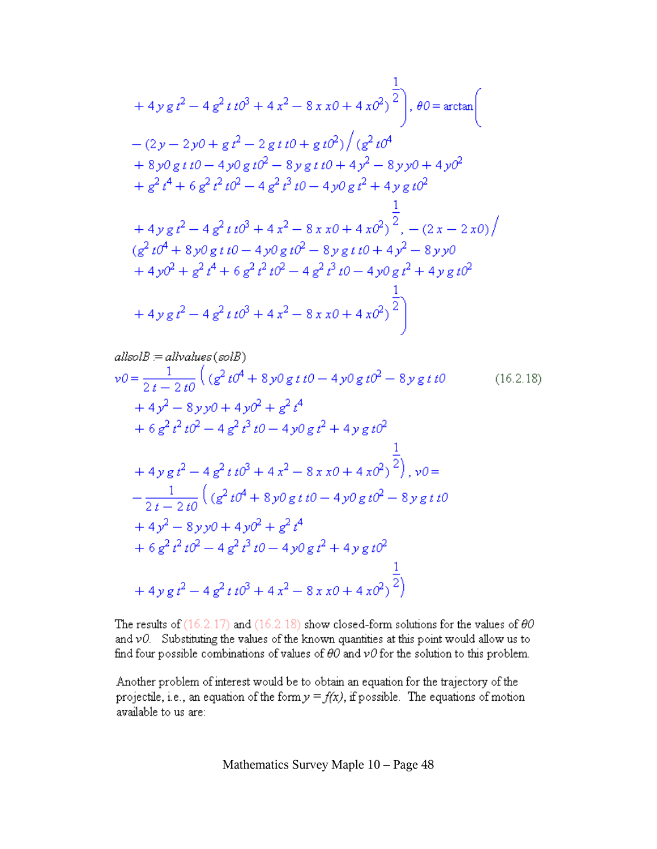$$
+ 4y g t2 - 4 g2 t t 03 + 4 x2 - 8 x x 0 + 4 x 02)1 / θ0 = arctan(
$$
  
\n
$$
-(2y - 2y0 + g t2 - 2 g t t 0 + g t 02) / (g2 t 04
$$
  
\n
$$
+ 8y0 g t t 0 - 4y0 g t 02 - 8y g t t 0 + 4y2 - 8y y 0 + 4y 02
$$
  
\n
$$
+ g2 t4 + 6 g2 t2 t 02 - 4 g2 t3 t 0 - 4y0 g t2 + 4y g t 02
$$
  
\n
$$
+ 4y g t2 - 4 g2 t t 03 + 4 x2 - 8x x 0 + 4x 02)2, -(2x - 2x 0)/(g2 t 04 + 8y0 g t t 0 - 4y0 g t 02 - 8y g t t 0 + 4y2 - 8y y 0)\n+ 4y 02 + g2 t4 + 6 g2 t2 t 02 - 4 g2 t3 t 0 - 4y0 g t2 + 4y g t 02
$$
  
\n
$$
+ 4y g t2 - 4 g2 t t 03 + 4 x2 - 8x x 0 + 4x 02)2
$$

$$
allsolB := allvalues (solB)
$$
  
\n
$$
v0 = \frac{1}{2t - 2t0} \left( (g^2 t0^4 + 8 y0 g t t0 - 4 y0 g t0^2 - 8 y g t t0 \right)
$$
  
\n
$$
+ 4 y^2 - 8 y y0 + 4 y0^2 + g^2 t^4
$$
  
\n
$$
+ 6 g^2 t^2 t0^2 - 4 g^2 t^3 t0 - 4 y0 g t^2 + 4 y g t0^2
$$
  
\n
$$
+ 4 y g t^2 - 4 g^2 t t0^3 + 4 x^2 - 8 x x0 + 4 x0^2 \right)^{\frac{1}{2}}
$$
,  $v0 =$   
\n
$$
- \frac{1}{2t - 2t0} \left( (g^2 t0^4 + 8 y0 g t t0 - 4 y0 g t0^2 - 8 y g t t0 \right)
$$
  
\n
$$
+ 4 y^2 - 8 y y0 + 4 y0^2 + g^2 t^4
$$
  
\n
$$
+ 6 g^2 t^2 t0^2 - 4 g^2 t^3 t0 - 4 y0 g t^2 + 4 y g t0^2
$$
  
\n
$$
+ 4 y g t^2 - 4 g^2 t t0^3 + 4 x^2 - 8 x x0 + 4 x0^2 \Big)^{\frac{1}{2}}
$$

The results of  $(16.2.17)$  and  $(16.2.18)$  show closed-form solutions for the values of  $\theta0$ and  $v0$ . Substituting the values of the known quantities at this point would allow us to find four possible combinations of values of  $\theta O$  and  $\nu O$  for the solution to this problem.

Another problem of interest would be to obtain an equation for the trajectory of the projectile, i.e., an equation of the form  $y = f(x)$ , if possible. The equations of motion available to us are: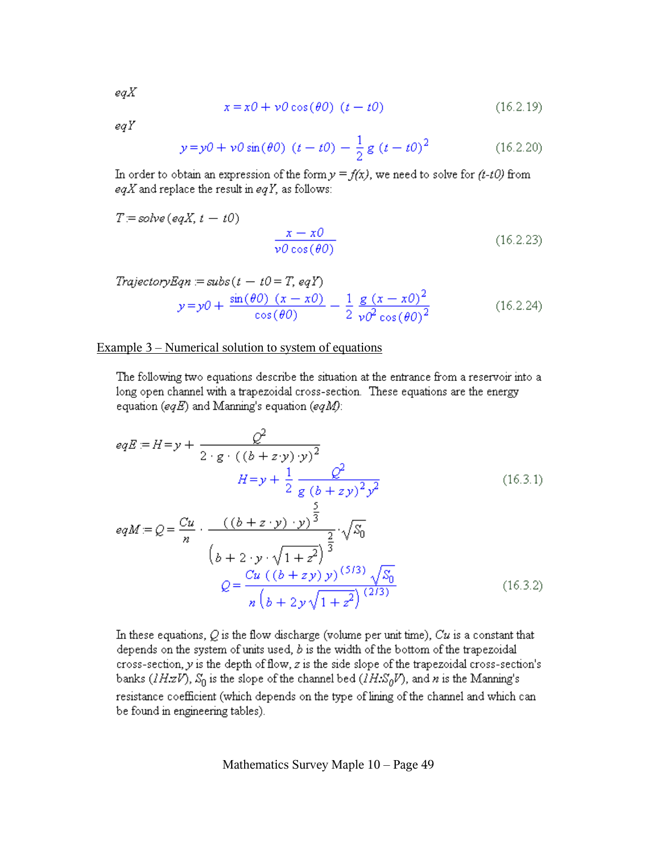$$
x = x0 + v0\cos(\theta 0) \quad (t - t0)
$$
 (16.2.19)

egY

$$
y = y0 + v0 \sin(\theta 0) (t - t0) - \frac{1}{2} g (t - t0)^2
$$
 (16.2.20)

In order to obtain an expression of the form  $y = f(x)$ , we need to solve for  $(t-t0)$  from eqX and replace the result in eqY, as follows:

$$
T = solve (eqX, t - t0)
$$

$$
\frac{x - x0}{\nu 0 \cos(\theta 0)}
$$
(16.2.23)

$$
TrajectoryEqn := subs(t - t0 = T, eqY)
$$
  
\n
$$
y = y0 + \frac{\sin(\theta 0) (x - x0)}{\cos(\theta 0)} - \frac{1}{2} \frac{g (x - x0)^2}{y0^2 \cos(\theta 0)^2}
$$
 (16.2.24)

#### Example  $3$  – Numerical solution to system of equations

The following two equations describe the situation at the entrance from a reservoir into a long open channel with a trapezoidal cross-section. These equations are the energy equation (eqE) and Manning's equation (eqM):

$$
eqE = H = y + \frac{Q^2}{2 \cdot g \cdot ((b + z \cdot y) \cdot y)^2}
$$
  
\n
$$
H = y + \frac{1}{2} \frac{Q^2}{g (b + z y)^2 y^2}
$$
  
\n
$$
eqM = Q = \frac{Cu}{n} \cdot \frac{((b + z \cdot y) \cdot y)^{\frac{5}{3}}}{(b + z \cdot y \cdot \sqrt{1 + z^2})^{\frac{2}{3}}} \cdot \sqrt{S_0}
$$
  
\n
$$
Q = \frac{Cu ((b + z y) y)^{(5/3)} \sqrt{S_0}}{n (b + z y) \sqrt{1 + z^2}} \qquad (16.3.2)
$$

In these equations,  $Q$  is the flow discharge (volume per unit time),  $Cu$  is a constant that depends on the system of units used,  $b$  is the width of the bottom of the trapezoidal cross-section,  $y$  is the depth of flow,  $z$  is the side slope of the trapezoidal cross-section's banks ( $lHzV$ ),  $S_0$  is the slope of the channel bed ( $lH.S_0V$ ), and n is the Manning's resistance coefficient (which depends on the type of lining of the channel and which can be found in engineering tables).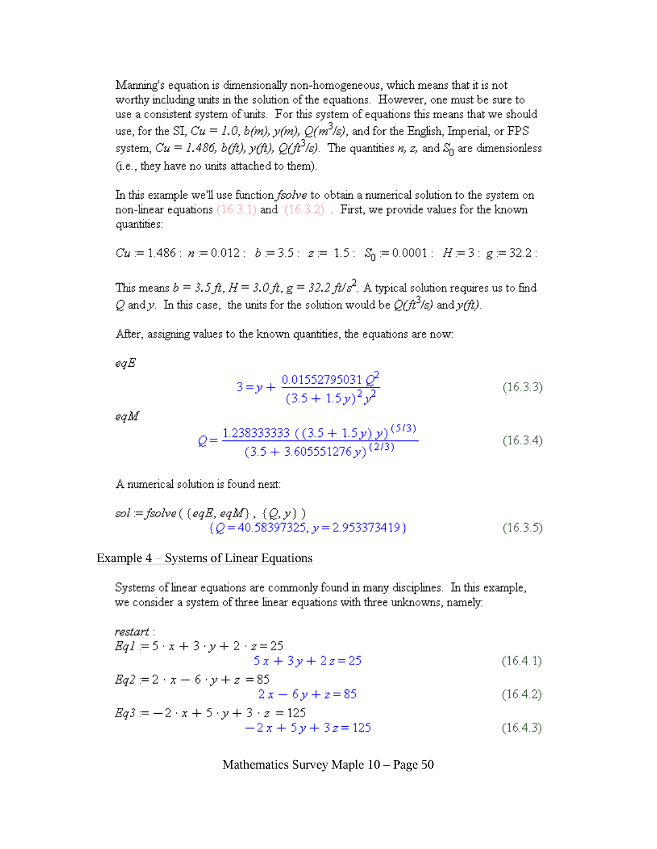Manning's equation is dimensionally non-homogeneous, which means that it is not worthy including units in the solution of the equations. However, one must be sure to use a consistent system of units. For this system of equations this means that we should use, for the SI,  $Cu = 1.0$ ,  $b(m)$ ,  $y(m)$ ,  $Q(m^3/s)$ , and for the English, Imperial, or FPS system,  $Cu = 1.486$ ,  $b (ft)$ ,  $y (ft)$ ,  $Q (ft^3/s)$ . The quantities n, z, and  $S_0$  are dimensionless (i.e., they have no units attached to them).

In this example we'll use function fsolve to obtain a numerical solution to the system on non-linear equations (16.3.1) and (16.3.2). First, we provide values for the known quantities:

$$
Cu = 1.486 : n = 0.012 : b = 3.5 : z = 1.5 : S0 = 0.0001 : H = 3 : g = 32.2 :
$$

This means  $b = 3.5 \text{ ft}$ ,  $H = 3.0 \text{ ft}$ ,  $g = 32.2 \text{ ft/s}^2$ . A typical solution requires us to find Q and y. In this case, the units for the solution would be  $Q(ft^3/s)$  and  $y(ft)$ .

After, assigning values to the known quantities, the equations are now:

egE

$$
3 = y + \frac{0.01552795031 Q^2}{(3.5 + 1.5y)^2 y^2}
$$
 (16.3.3)

eqM

$$
Q = \frac{1.238333333 \left( \left( 3.5 + 1.5 y \right) y \right)^{(5/3)}}{(3.5 + 3.605551276 y)^{(2/3)}}
$$
(16.3.4)

A numerical solution is found next:

sol := 
$$
fsolve
$$
 (  $\{eqE, eqM\}$  ,  $\{Q, y\}$  )  
\n $\{Q = 40.58397325, y = 2.953373419\}$  (16.3.5)

#### Example  $4$  – Systems of Linear Equations

Systems of linear equations are commonly found in many disciplines. In this example, we consider a system of three linear equations with three unknowns, namely:

restart:

$$
Eq1 := 5 \cdot x + 3 \cdot y + 2 \cdot z = 25
$$
  
5 x + 3 y + 2 z = 25 (16.4.1)

$$
Eq2 := 2 \cdot x - 6 \cdot y + z = 85
$$
  
2x - 6y + z = 85 (16.4.2)

$$
Eq3 := -2 \cdot x + 5 \cdot y + 3 \cdot z = 125
$$
  
-2x + 5y + 3z = 125 (16.4.3)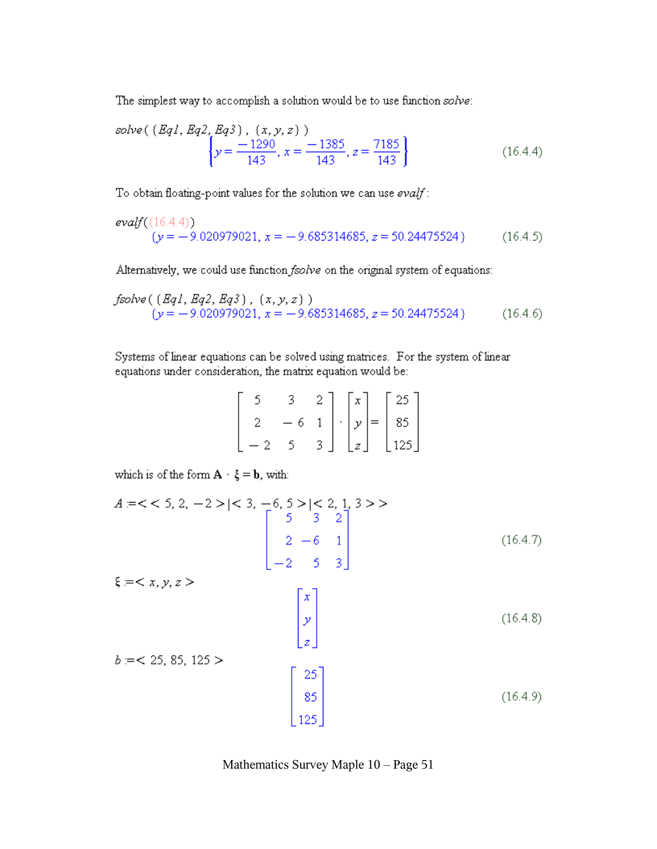The simplest way to accomplish a solution would be to use function solve:

solve(
$$
\{Eq1, Eq2, Eq3\}
$$
,  $(x, y, z)$ )  
\n
$$
\left\{y = \frac{-1290}{143}, x = \frac{-1385}{143}, z = \frac{7185}{143}\right\}
$$
\n(16.4.4)

To obtain floating-point values for the solution we can use evalf:

$$
evalf((16.4.4))(y = -9.020979021, x = -9.685314685, z = 50.24475524)
$$
 (16.4.5)

Alternatively, we could use function fsolve on the original system of equations:

$$
fsolve \left( \{ Eq1, Eq2, Eq3 \} , \{x, y, z \} \right)
$$
  

$$
\{y = -9.020979021, x = -9.685314685, z = 50.24475524 \}
$$
 (16.4.6)

Systems of linear equations can be solved using matrices. For the system of linear equations under consideration, the matrix equation would be:

|  | $\begin{bmatrix} 5 & 3 & 2 \\ 2 & -6 & 1 \\ -2 & 5 & 3 \end{bmatrix} \cdot \begin{bmatrix} x \\ y \\ z \end{bmatrix} = \begin{bmatrix} 25 \\ 85 \\ 125 \end{bmatrix}$ |  |  |  |
|--|-----------------------------------------------------------------------------------------------------------------------------------------------------------------------|--|--|--|
|  |                                                                                                                                                                       |  |  |  |

which is of the form  $\mathbf{A} \cdot \mathbf{\xi} = \mathbf{b}$ , with:

$$
A = \langle 5, 2, -2 \rangle \mid \langle 3, -6, 5 \rangle \mid \langle 2, 1, 3 \rangle \rangle
$$
\n
$$
\begin{bmatrix}\n5 & 3 & 2 \\
2 & -6 & 1 \\
-2 & 5 & 3\n\end{bmatrix}
$$
\n(16.4.7)\n
$$
b = \langle 25, 85, 125 \rangle
$$
\n
$$
\begin{bmatrix}\nx \\
y \\
z\n\end{bmatrix}
$$
\n(16.4.8)\n
$$
b = \langle 25, 85, 125 \rangle
$$
\n
$$
\begin{bmatrix}\n25 \\
85 \\
125\n\end{bmatrix}
$$
\n(16.4.9)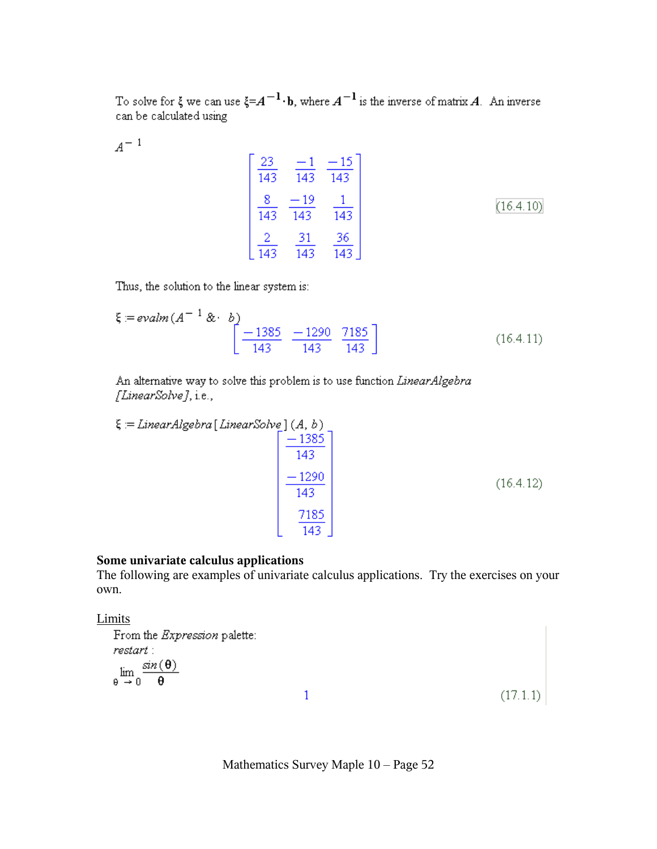To solve for  $\xi$  we can use  $\xi = A^{-1} \cdot b$ , where  $A^{-1}$  is the inverse of matrix A. An inverse can be calculated using

 $A^{-1}$ 

$$
\begin{bmatrix} \frac{23}{143} & \frac{-1}{143} & \frac{-15}{143} \\ \frac{8}{143} & \frac{-19}{143} & \frac{1}{143} \\ \frac{2}{143} & \frac{31}{143} & \frac{36}{143} \end{bmatrix}
$$
 (16.4.10)

Thus, the solution to the linear system is:

$$
\xi = \text{evalm} \left( A^{-1} \&\cdot b \right) \begin{bmatrix} -1385 & -1290 & 7185 \\ \hline 143 & 143 & 143 \end{bmatrix} \tag{16.4.11}
$$

An alternative way to solve this problem is to use function LinearAlgebra [LinearSolve], i.e.,

$$
\xi = LinearAlgebra [LinearSolve] (A, b)
$$

$$
\begin{bmatrix} -1385 \\ -1290 \\ -143 \\ 143 \\ 7185 \\ 143 \end{bmatrix}
$$
(16.4.12)

### **Some univariate calculus applications**

The following are examples of univariate calculus applications. Try the exercises on your own.

### **Limits**

From the *Expression* palette: restart :  $\lim_{\theta\rightarrow 0}\frac{\sin\left(\theta\right)}{\theta}$ 

Mathematics Survey Maple 10 – Page 52

 $\mathbf{1}$ 

 $(17.1.1)$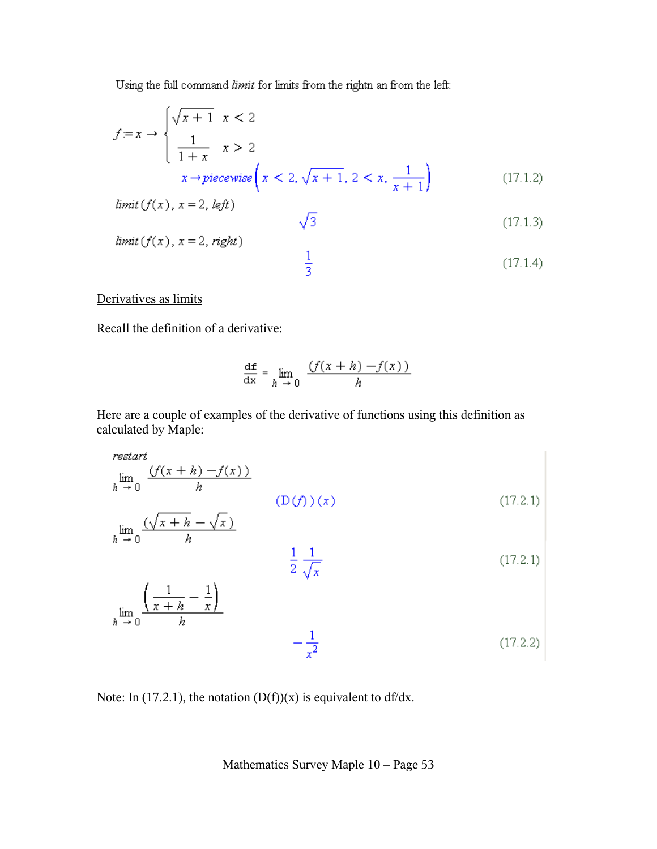Using the full command limit for limits from the rightn an from the left:

$$
f=x \to \begin{cases} \sqrt{x+1} & x < 2\\ \frac{1}{1+x} & x > 2\\ x & \to \text{piecewise} \end{cases} \quad x < 2, \sqrt{x+1}, 2 < x, \frac{1}{x+1} \tag{17.1.2}
$$

 $limit(f(x), x = 2, left)$ 

$$
\sqrt{3} \tag{17.1.3}
$$

$$
limit (f(x), x = 2, right)
$$
\n
$$
\frac{1}{3}
$$
\n(17.1.4)

Derivatives as limits

Recall the definition of a derivative:

$$
\frac{\mathrm{df}}{\mathrm{dx}} = \lim_{h \to 0} \frac{f(x+h) - f(x)}{h}
$$

Here are a couple of examples of the derivative of functions using this definition as calculated by Maple:

$$
restart
$$
\n
$$
\lim_{h \to 0} \frac{(f(x+h) - f(x))}{h}
$$
\n
$$
\lim_{h \to 0} \frac{(\sqrt{x+h} - \sqrt{x})}{h}
$$
\n
$$
\frac{1}{2} \frac{1}{\sqrt{x}}
$$
\n
$$
\lim_{h \to 0} \frac{\left(\frac{1}{x+h} - \frac{1}{x}\right)}{h}
$$
\n
$$
\lim_{h \to 0} \frac{\left(\frac{1}{x+h} - \frac{1}{x}\right)}{h}
$$
\n
$$
\frac{1}{x^{2}}
$$
\n(17.2.1)\n
$$
\left(17.2.1\right)
$$
\n
$$
\frac{1}{x^{2}}
$$
\n(17.2.2)

Note: In (17.2.1), the notation  $(D(f))(x)$  is equivalent to df/dx.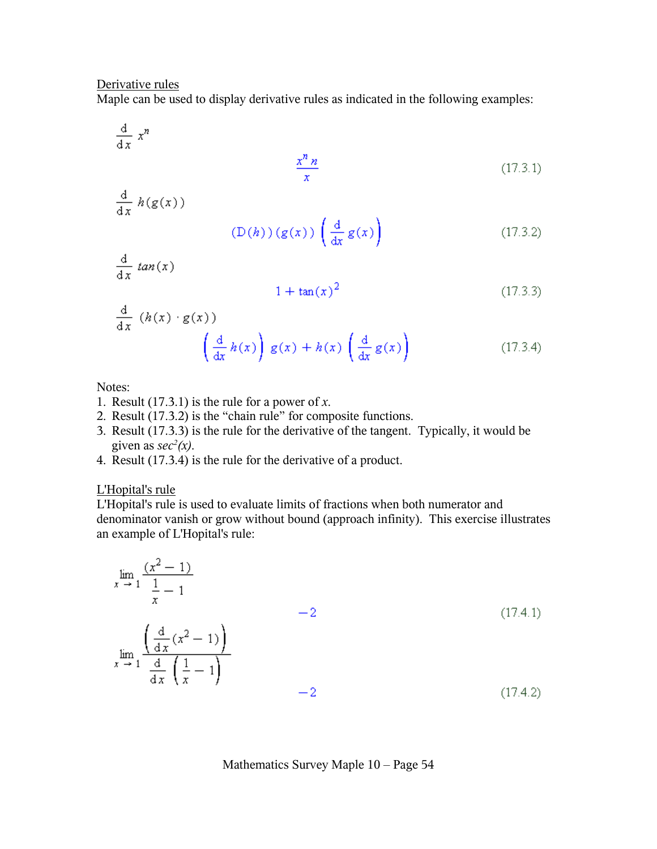#### Derivative rules

Maple can be used to display derivative rules as indicated in the following examples:

 $\frac{d}{dx} x^n$  $\frac{x^n n}{x}$  $(17.3.1)$  $\frac{d}{dx} h(g(x))$  $(D(h))(g(x))\left(\frac{d}{dx}g(x)\right)$  $(17.3.2)$  $\frac{d}{dx}$  tan(x)  $1 + \tan(x)^2$  $(17.3.3)$  $\frac{d}{dx}$   $(h(x) \cdot g(x))$ x))<br> $\left(\frac{d}{dx}h(x)\right)g(x) + h(x)\left(\frac{d}{dx}g(x)\right)$  $(17.3.4)$ 

Notes:

- 1. Result (17.3.1) is the rule for a power of *x*.
- 2. Result (17.3.2) is the "chain rule" for composite functions.
- 3. Result (17.3.3) is the rule for the derivative of the tangent. Typically, it would be given as  $sec^2(x)$ .
- 4. Result (17.3.4) is the rule for the derivative of a product.

#### L'Hopital's rule

L'Hopital's rule is used to evaluate limits of fractions when both numerator and denominator vanish or grow without bound (approach infinity). This exercise illustrates an example of L'Hopital's rule:

$$
\lim_{x \to 1} \frac{(x^2 - 1)}{\frac{1}{x} - 1}
$$
\n
$$
= 2
$$
\n(17.4.1)\n
$$
\lim_{x \to 1} \frac{\left(\frac{d}{dx}(x^2 - 1)\right)}{\frac{d}{dx}\left(\frac{1}{x} - 1\right)}
$$
\n
$$
= 2
$$
\n(17.4.2)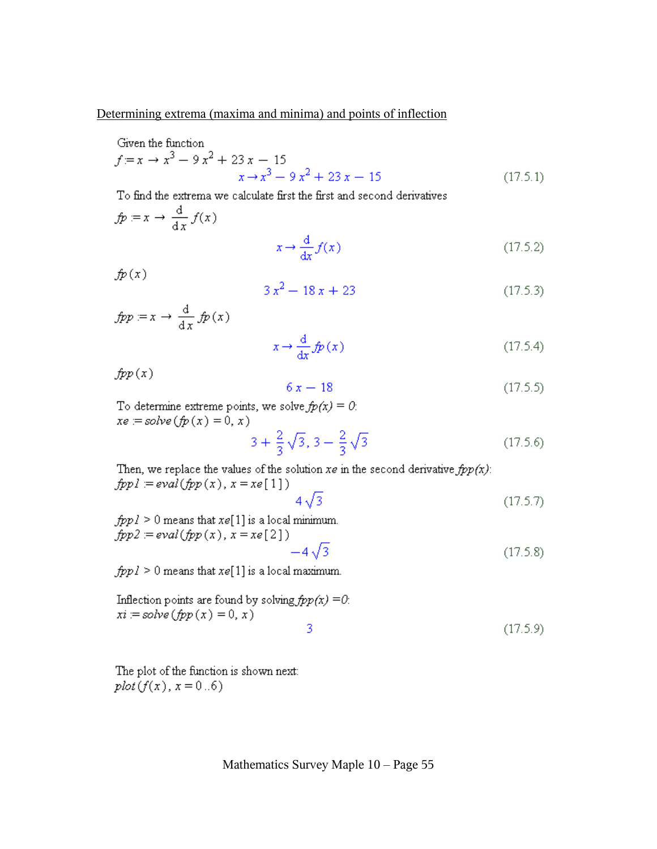#### Determining extrema (maxima and minima) and points of inflection

Given the function

$$
f = x \to x^3 - 9x^2 + 23x - 15
$$
  

$$
x \to x^3 - 9x^2 + 23x - 15
$$
 (17.5.1)

To find the extrema we calculate first the first and second derivatives

$$
fp := x \to \frac{d}{dx} f(x)
$$

$$
x \to \frac{d}{dx} f(x)
$$
(17.5.2)

 $fp(x)$ 

$$
3x^2 - 18x + 23\tag{17.5.3}
$$

$$
fpp = x \to \frac{d}{dx} f p(x)
$$

$$
x \to \frac{d}{dx} f p(x)
$$
(17.5.4)

 $fpp(x)$ 

$$
6 x - 18 \tag{17.5.5}
$$

To determine extreme points, we solve  $fp(x) = 0$ :  $xe = solve(fp(x) = 0, x)$ 

 $3 + \frac{2}{3}\sqrt{3}$ ,  $3 - \frac{2}{3}\sqrt{3}$  $(17.5.6)$ 

Then, we replace the values of the solution  $xe$  in the second derivative  $fpp(x)$ :  $fppl = eval(fpp(x), x = xe[1])$ 

$$
4\sqrt{3} \tag{17.5.7}
$$

 $(17.5.8)$ 

 $fpp1 \ge 0$  means that  $xe[1]$  is a local minimum.  $fpp2 = eval(fpp(x), x = xe[2])$  $-4\sqrt{3}$ 

 $fpp1 \geq 0$  means that  $xe[1]$  is a local maximum.

Inflection points are found by solving 
$$
fpp(x) = 0
$$
:  
\n $xi := solve (fpp(x) = 0, x)$ 

The plot of the function is shown next:  $plot(f(x), x = 0..6)$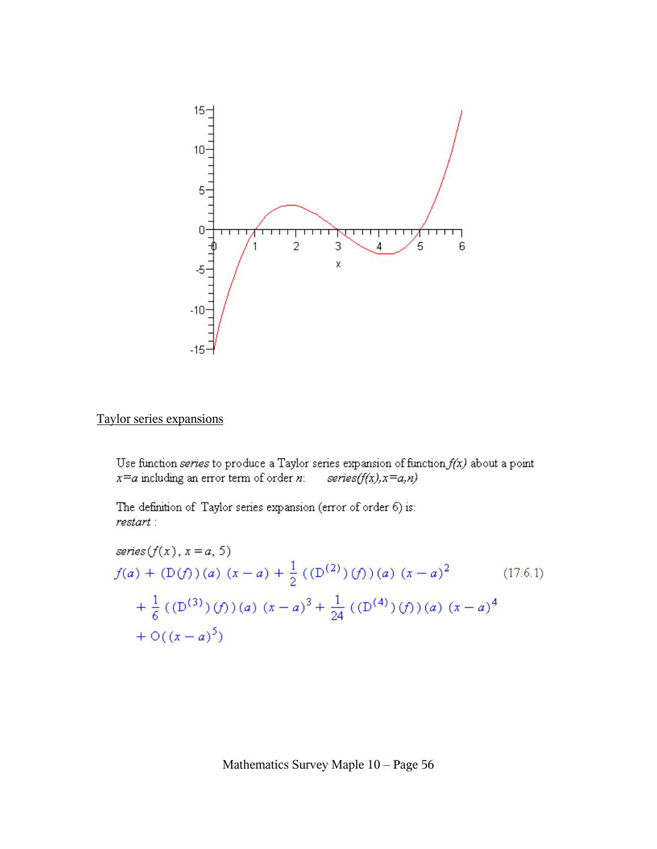

## Taylor series expansions

Use function series to produce a Taylor series expansion of function  $f(x)$  about a point  $x=a$  including an error term of order n: series $(f(x), x=a, n)$ 

The definition of Taylor series expansion (error of order 6) is: restart :

series
$$
(f(x), x = a, 5)
$$
  
\n $f(a) + (D(f))(a) (x - a) + \frac{1}{2} ((D(2)) (f))(a) (x - a)2$  (17.6.1)  
\n $+ \frac{1}{6} ((D(3)) (f))(a) (x - a)3 + \frac{1}{24} ((D(4)) (f))(a) (x - a)4$   
\n $+ O((x - a)5)$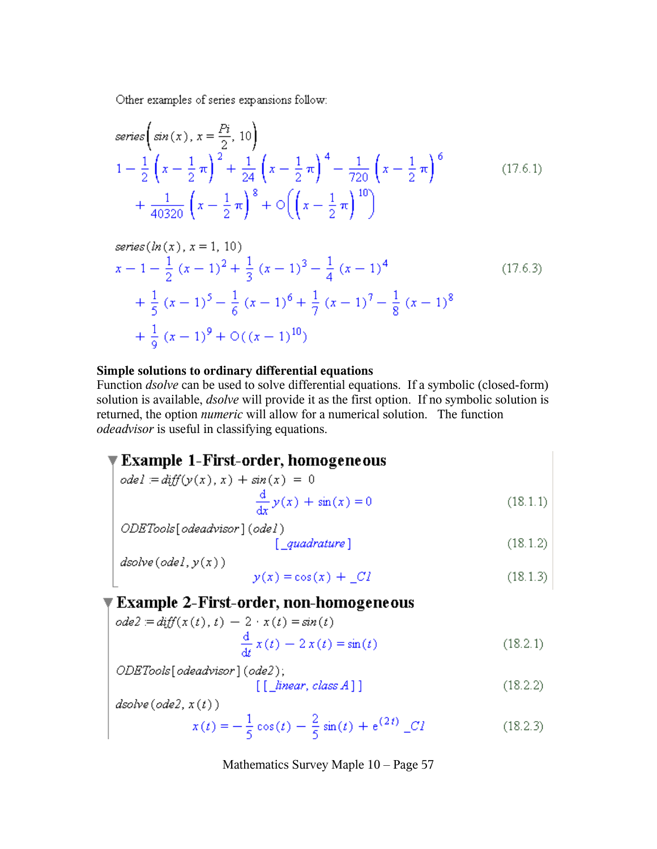Other examples of series expansions follow:

series
$$
\begin{aligned}\n\text{series} & \left( \sin(x), x = \frac{Pi}{2}, 10 \right) \\
1 - \frac{1}{2} \left( x - \frac{1}{2} \pi \right)^2 + \frac{1}{24} \left( x - \frac{1}{2} \pi \right)^4 - \frac{1}{720} \left( x - \frac{1}{2} \pi \right)^6 \\
&+ \frac{1}{40320} \left( x - \frac{1}{2} \pi \right)^8 + \mathcal{O} \left( \left( x - \frac{1}{2} \pi \right)^{10} \right)\n\end{aligned} \tag{17.6.1}
$$

series (*ln(x)*, 
$$
x = 1
$$
, 10)  
\n
$$
x - 1 - \frac{1}{2} (x - 1)^2 + \frac{1}{3} (x - 1)^3 - \frac{1}{4} (x - 1)^4
$$
\n
$$
+ \frac{1}{5} (x - 1)^5 - \frac{1}{6} (x - 1)^6 + \frac{1}{7} (x - 1)^7 - \frac{1}{8} (x - 1)^8
$$
\n
$$
+ \frac{1}{9} (x - 1)^9 + O((x - 1)^{10})
$$
\n(17.6.3)

#### Simple solutions to ordinary differential equations

Function *dsolve* can be used to solve differential equations. If a symbolic (closed-form) solution is available, *dsolve* will provide it as the first option. If no symbolic solution is returned, the option *numeric* will allow for a numerical solution. The function odeadvisor is useful in classifying equations.

## ▼ Example 1-First-order, homogeneous

 $dsolve(odel, y(x))$ 

$$
ode1 = diff(y(x), x) + sin(x) = 0
$$
  

$$
\frac{d}{dx}y(x) + sin(x) = 0
$$
 (18.1.1)

$$
y(x) = \cos(x) + \_Cl \tag{18.1.3}
$$

## **Example 2-First-order, non-homogeneous**

ode2 := diff(x(t), t) - 2 \cdot x(t) = sin(t)  
\n
$$
\frac{d}{dt} x(t) - 2 x(t) = sin(t)
$$
\n(18.2.1)

dsolve(ode2, x(t))  
\n
$$
x(t) = -\frac{1}{5}\cos(t) - \frac{2}{5}\sin(t) + e^{(2t)}C
$$
\n(18.2.3)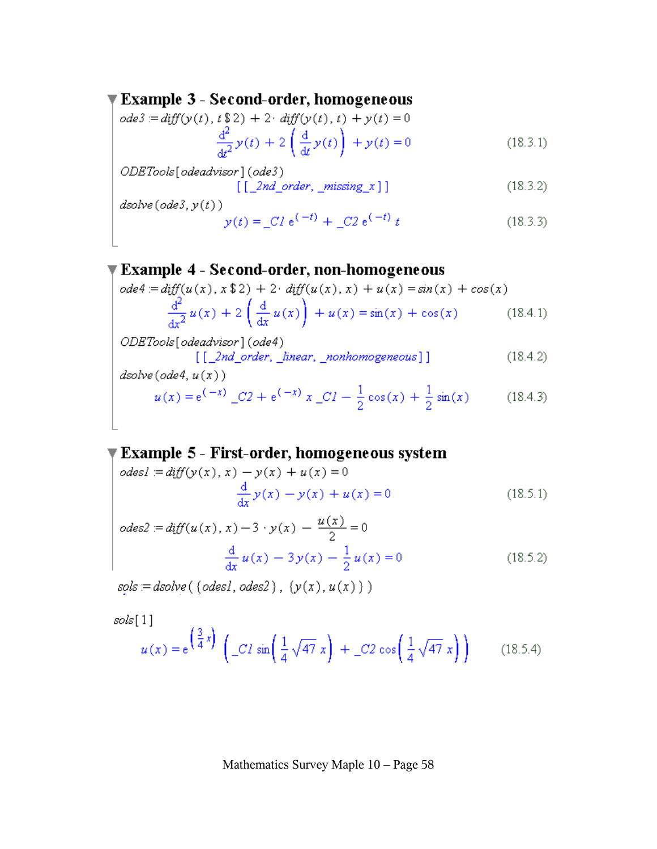## Example 3 - Second-order, homogeneous

$$
ode3 = diff(y(t), t \$2) + 2 \cdot diff(y(t), t) + y(t) = 0
$$
  

$$
\frac{d^{2}}{dt^{2}}y(t) + 2\left(\frac{d}{dt}y(t)\right) + y(t) = 0
$$
 (18.3.1)

ODETools[odeadvisor](ode3)

 $[$ [ $2nd$ \_order, \_missing\_x]]  $(18.3.2)$ 

 $\emph{dsolve}\,(\emph{ode3},y(t))$ 

$$
y(t) = C1 e^{(-t)} + C2 e^{(-t)} t
$$
 (18.3.3)

**Example 4 - Second-order, non-homogeneous**  
\n
$$
ode4 = diff(u(x), x $2) + 2 \cdot diff(u(x), x) + u(x) = sin(x) + cos(x)
$$
\n
$$
\frac{d^{2}}{dx^{2}} u(x) + 2 \left(\frac{d}{dx} u(x)\right) + u(x) = sin(x) + cos(x) \qquad (18.4.1)
$$
\n
$$
ODETools[odeadvisor] (ode4)
$$

 $[1] \cup \{1, 2, 3, 4\}$  [  $[2nd\_order, 2]$  ]]  $(18.4.2)$  $dsolve(ode4, u(x))$ 

$$
u(x) = e^{(-x)} \_C2 + e^{(-x)} x \_C1 - \frac{1}{2} \cos(x) + \frac{1}{2} \sin(x) \tag{18.4.3}
$$

**Example 5 - First-order, homogeneous system**  
\n
$$
odes1 = diff(y(x), x) - y(x) + u(x) = 0
$$
\n
$$
\frac{d}{dx}y(x) - y(x) + u(x) = 0
$$
\n(18.5.1)

$$
odes2 = diff(u(x), x) - 3 \cdot y(x) - \frac{u(x)}{2} = 0
$$

$$
\frac{d}{dx} u(x) - 3y(x) - \frac{1}{2} u(x) = 0
$$
(18.5.2)

 $sols = dsolve((odes1,odes2), (y(x), u(x)))$ 

 $sols[1]$ 

$$
u(x) = e^{\left(\frac{3}{4}x\right)} \left( \begin{array}{c} c & 1 \\ -C & \sin\left(\frac{1}{4}\sqrt{47}x\right) + C & 2\cos\left(\frac{1}{4}\sqrt{47}x\right) \end{array} \right) \tag{18.5.4}
$$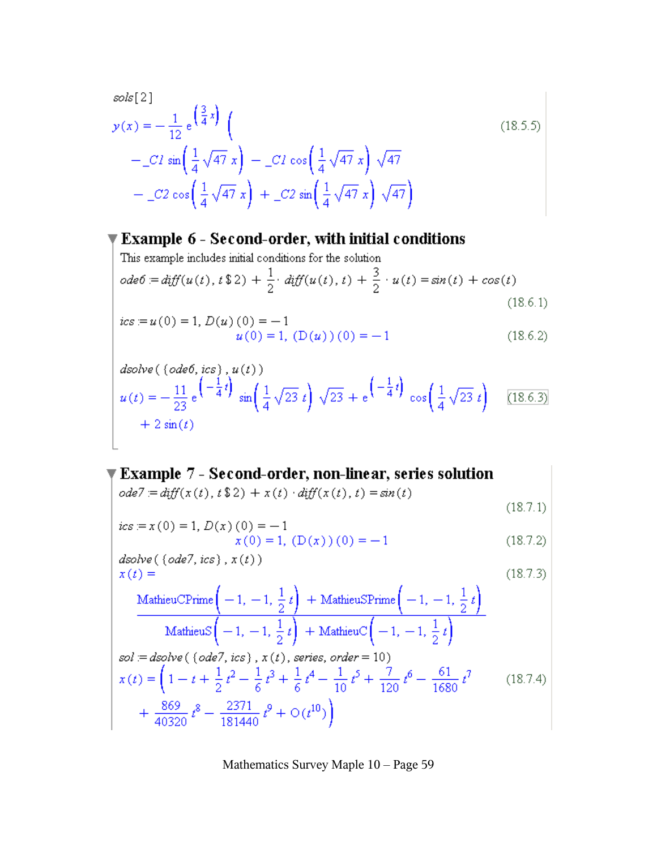$$
sols[2]
$$
  
\n
$$
y(x) = -\frac{1}{12} e^{-\left(\frac{3}{4}x\right)} \left(-\frac{1}{4} \sqrt{47} x\right) - C l \cos\left(\frac{1}{4} \sqrt{47} x\right) \sqrt{47}
$$
  
\n
$$
= -C 2 \cos\left(\frac{1}{4} \sqrt{47} x\right) + C 2 \sin\left(\frac{1}{4} \sqrt{47} x\right) \sqrt{47}
$$
\n(18.5.5)

## $\P$  Example 6 - Second-order, with initial conditions

This example includes initial conditions for the solution  
\n
$$
ode6 := diff(u(t), t \, \$ \, 2) + \frac{1}{2} \cdot diff(u(t), t) + \frac{3}{2} \cdot u(t) = sin(t) + cos(t)
$$
\n(18.6.1)

$$
ics = u(0) = 1, D(u)(0) = -1
$$
  
 
$$
u(0) = 1, (D(u))(0) = -1
$$
 (18.6.2)

$$
dsolve\left(\left(\text{ode }6,\text{ics}\right),u(t)\right)
$$
  
\n
$$
u(t) = -\frac{11}{23}e^{\left(-\frac{1}{4}t\right)}\sin\left(\frac{1}{4}\sqrt{23}t\right)\sqrt{23} + e^{\left(-\frac{1}{4}t\right)}\cos\left(\frac{1}{4}\sqrt{23}t\right)
$$
 [18.6.3]  
\n
$$
+ 2\sin(t)
$$

## $\P$  Example 7 - Second-order, non-linear, series solution

$$
ode7 = diff(x(t), t \, \$\, 2) + x(t) \cdot diff(x(t), t) = sin(t)
$$

$$
(18.7.1)
$$

$$
ics := x(0) = 1, D(x)(0) = -1x(0) = 1, (D(x))(0) = -1
$$
\n(18.7.2)

dsolve ( (ode7, ics), x(t))  
\n
$$
x(t) =
$$
\n(18.7.3)  
\nMathieuCPrime $\left(-1, -1, \frac{1}{2}t\right)$  + MathieuSPrime $\left(-1, -1, \frac{1}{2}t\right)$   
\nMathieuS $\left(-1, -1, \frac{1}{2}t\right)$  + MathieuC $\left(-1, -1, \frac{1}{2}t\right)$   
\nsol := dsolve ( (ode7, ics), x(t), series, order = 10)  
\n
$$
x(t) = \left(1 - t + \frac{1}{2}t^2 - \frac{1}{6}t^3 + \frac{1}{6}t^4 - \frac{1}{10}t^5 + \frac{7}{120}t^6 - \frac{61}{1680}t^7 + \frac{869}{40320}t^8 - \frac{2371}{181440}t^9 + O(t^{10})\right)
$$
\n(18.7.4)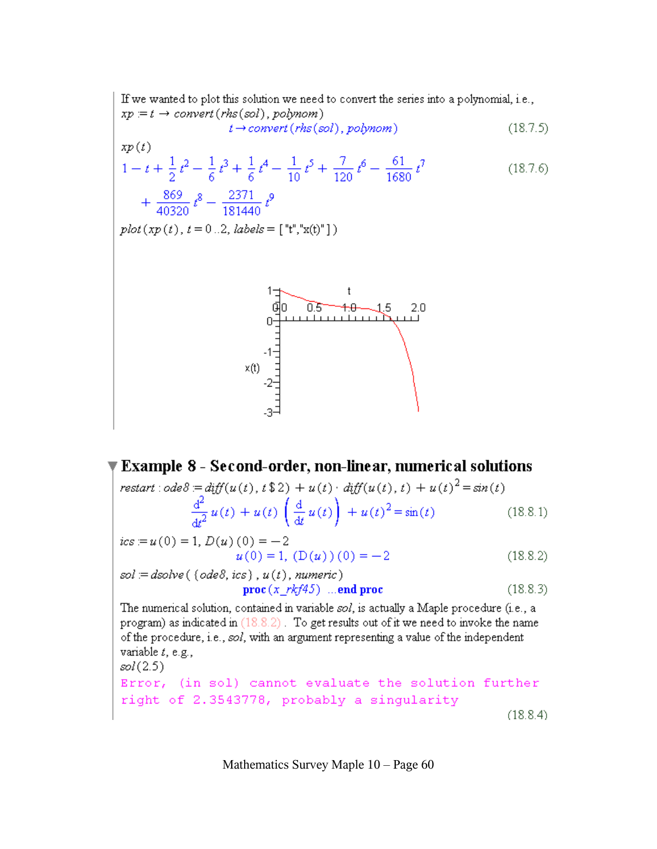If we wanted to plot this solution we need to convert the series into a polynomial, i.e.,  $xp = t \rightarrow convert(rhs(sol), polymom)$ 

$$
t \to convert(rhs(sol), polymom) \tag{18.7.5}
$$

$$
xp(t)
$$
  
\n
$$
1 - t + \frac{1}{2}t^2 - \frac{1}{6}t^3 + \frac{1}{6}t^4 - \frac{1}{10}t^5 + \frac{7}{120}t^6 - \frac{61}{1680}t^7 + \frac{869}{40320}t^8 - \frac{2371}{181440}t^9
$$
\n(18.7.6)

 $plot(xp(t), t = 0..2, labels = ['t", "x(t)"])$ 



**Example 8 - Second-order, non-linear, numerical solutions**  
\n
$$
restart : ode8 := diff(u(t), t $2) + u(t) \cdot diff(u(t), t) + u(t)^{2} = sin(t)
$$
\n
$$
\frac{d^{2}}{dt^{2}} u(t) + u(t) \left(\frac{d}{dt} u(t)\right) + u(t)^{2} = sin(t)
$$
\n(18.8.1)  
\n
$$
ics := u(0) = 1, D(u)(0) = -2
$$
\n
$$
u(0) = 1, (D(u)))(0) = -2
$$
\n(18.8.2)  
\n
$$
sol := dsolve(\lbrace ode8,ics \rbrace, u(t), numeric)
$$
\n
$$
proc(x_r k f 45) ... end proc
$$
\n(18.8.3)  
\nThe numerical solution, contained in variable sol, is actually a Maple procedure (i.e., a program) as indicated in (18.8.2). To get results out of it we need to invoke the name of the procedure, i.e., sol, with an argument representing a value of the independent variable *t*, e.g.,  
\n
$$
sol(2.5)
$$
\nError, (in sol) cannot evaluate the solution further

right of 2.3543778, probably a singularity

 $(18.8.4)$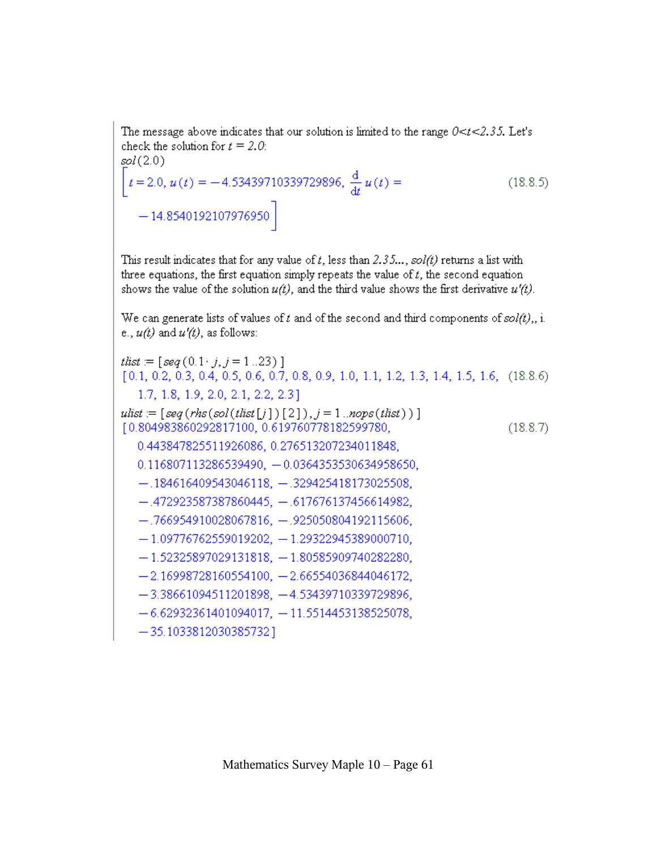The message above indicates that our solution is limited to the range  $0 < t < 2.35$ . Let's check the solution for  $t = 2.0$ .  $sol(2.0)$  $t = 2.0, u(t) = -4.53439710339729896, \frac{d}{dt}u(t) =$  $(18.8.5)$  $-14.8540192107976950$ 

This result indicates that for any value of t, less than 2.35...,  $sol(t)$  returns a list with three equations, the first equation simply repeats the value of  $t$ , the second equation shows the value of the solution  $u(t)$ , and the third value shows the first derivative  $u'(t)$ .

We can generate lists of values of t and of the second and third components of  $sol(t)$ ,, i. e.,  $u(t)$  and  $u'(t)$ , as follows:

that  $= [seq(0.1 \cdot j, j = 1..23)]$  $[0.1, 0.2, 0.3, 0.4, 0.5, 0.6, 0.7, 0.8, 0.9, 1.0, 1.1, 1.2, 1.3, 1.4, 1.5, 1.6, (18.8.6)$ 1.7, 1.8, 1.9, 2.0, 2.1, 2.2, 2.3] ulist  $=[seg(rhs(sol(tlist[j])[2]), j=1..nops(tlist))]$ [0.804983860292817100, 0.619760778182599780,  $(18.8.7)$ 0.443847825511926086, 0.276513207234011848, 0.116807113286539490, -0.0364353530634958650,  $-.184616409543046118, -.329425418173025508,$  $-.472923587387860445, -.617676137456614982,$  $-.766954910028067816, -.925050804192115606,$  $-1.09776762559019202, -1.29322945389000710,$  $-1.52325897029131818, -1.80585909740282280,$  $-2.16998728160554100, -2.66554036844046172,$  $-3.38661094511201898, -4.53439710339729896,$  $-6.62932361401094017, -11.5514453138525078,$  $-35.1033812030385732$ ]